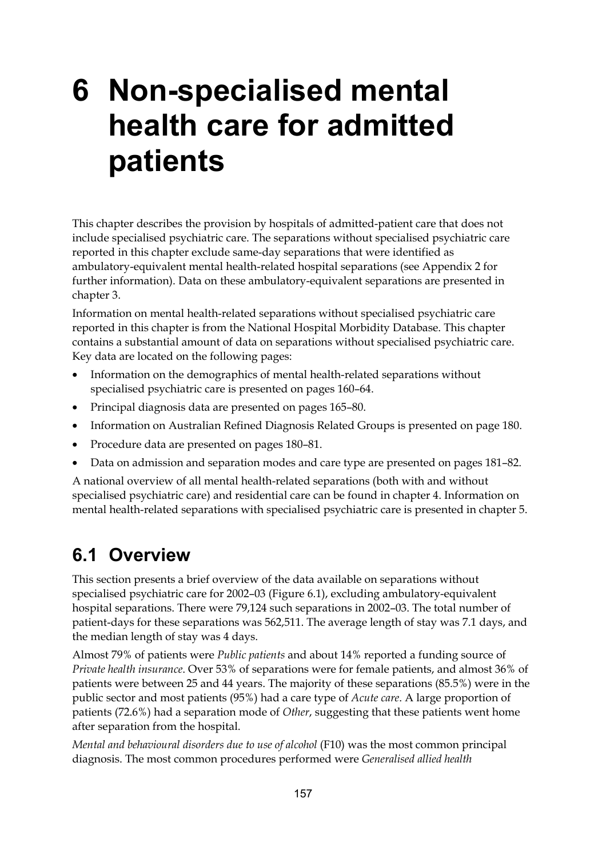# **6 Non-specialised mental health care for admitted patients**

This chapter describes the provision by hospitals of admitted-patient care that does not include specialised psychiatric care. The separations without specialised psychiatric care reported in this chapter exclude same-day separations that were identified as ambulatory-equivalent mental health-related hospital separations (see Appendix 2 for further information). Data on these ambulatory-equivalent separations are presented in chapter 3.

Information on mental health-related separations without specialised psychiatric care reported in this chapter is from the National Hospital Morbidity Database. This chapter contains a substantial amount of data on separations without specialised psychiatric care. Key data are located on the following pages:

- Information on the demographics of mental health-related separations without specialised psychiatric care is presented on pages 160–64.
- Principal diagnosis data are presented on pages 165–80.
- Information on Australian Refined Diagnosis Related Groups is presented on page 180.
- Procedure data are presented on pages 180–81.
- Data on admission and separation modes and care type are presented on pages 181–82.

A national overview of all mental health-related separations (both with and without specialised psychiatric care) and residential care can be found in chapter 4. Information on mental health-related separations with specialised psychiatric care is presented in chapter 5.

## **6.1 Overview**

This section presents a brief overview of the data available on separations without specialised psychiatric care for 2002–03 (Figure 6.1), excluding ambulatory-equivalent hospital separations. There were 79,124 such separations in 2002–03. The total number of patient-days for these separations was 562,511. The average length of stay was 7.1 days, and the median length of stay was 4 days.

Almost 79% of patients were *Public patients* and about 14% reported a funding source of *Private health insurance*. Over 53% of separations were for female patients, and almost 36% of patients were between 25 and 44 years. The majority of these separations (85.5%) were in the public sector and most patients (95%) had a care type of *Acute care*. A large proportion of patients (72.6%) had a separation mode of *Other*, suggesting that these patients went home after separation from the hospital.

*Mental and behavioural disorders due to use of alcohol* (F10) was the most common principal diagnosis. The most common procedures performed were *Generalised allied health*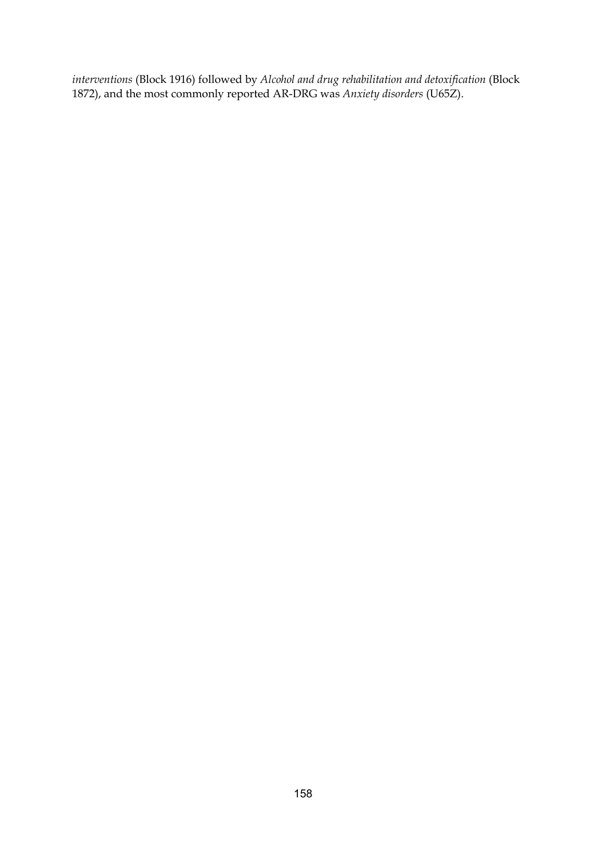*interventions* (Block 1916) followed by *Alcohol and drug rehabilitation and detoxification* (Block 1872), and the most commonly reported AR-DRG was *Anxiety disorders* (U65Z).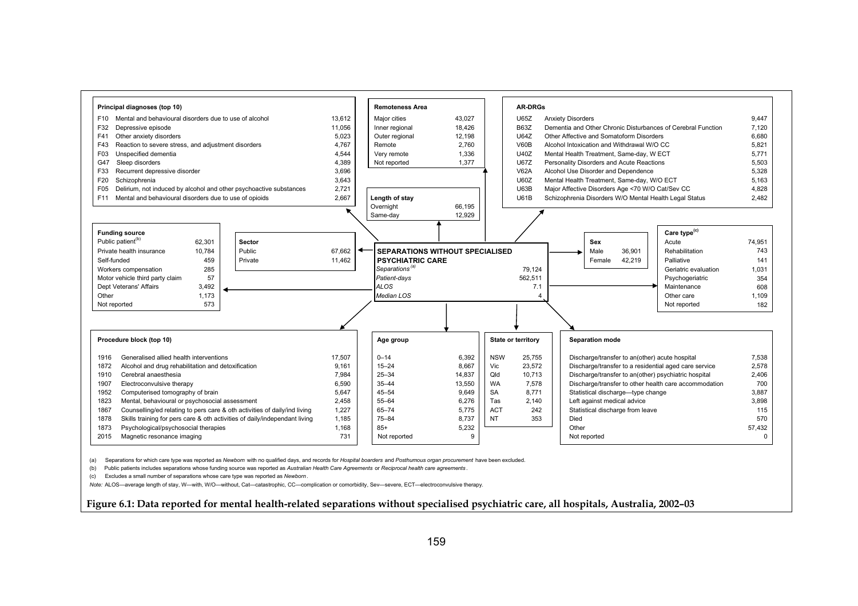

(a) Separations for which care type was reported as *Newborn* with no qualified days, and records for *Hospital boarders* and *Posthumous organ procurement* have been excluded.

(b) Public patients includes separations whose funding source was reported as *Australian Health Care Agreements* or *Reciprocal health care agreements* .

(c) Excludes a small number of separations whose care type was reported as *Newborn*.

*Note:* ALOS—average length of stay, W—with, W/O—without, Cat—catastrophic, CC—complication or comorbidity, Sev—severe, ECT—electroconvulsive therapy.

#### **Figure 6.1: Data reported for mental health-related separations without specialised psychiatric care, all hospitals, Australia, 2002–03**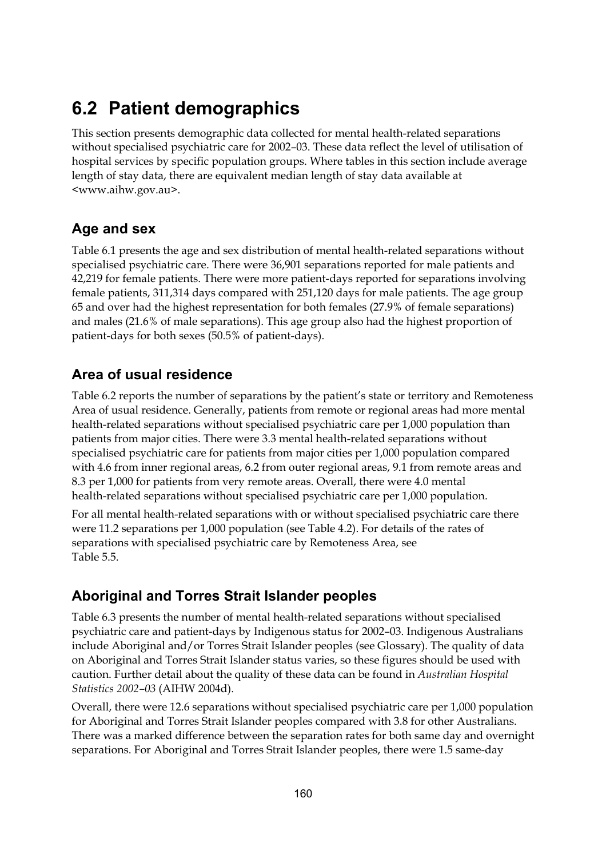## **6.2 Patient demographics**

This section presents demographic data collected for mental health-related separations without specialised psychiatric care for 2002–03. These data reflect the level of utilisation of hospital services by specific population groups. Where tables in this section include average length of stay data, there are equivalent median length of stay data available at <www.aihw.gov.au>.

### **Age and sex**

Table 6.1 presents the age and sex distribution of mental health-related separations without specialised psychiatric care. There were 36,901 separations reported for male patients and 42,219 for female patients. There were more patient-days reported for separations involving female patients, 311,314 days compared with 251,120 days for male patients. The age group 65 and over had the highest representation for both females (27.9% of female separations) and males (21.6% of male separations). This age group also had the highest proportion of patient-days for both sexes (50.5% of patient-days).

### **Area of usual residence**

Table 6.2 reports the number of separations by the patient's state or territory and Remoteness Area of usual residence. Generally, patients from remote or regional areas had more mental health-related separations without specialised psychiatric care per 1,000 population than patients from major cities. There were 3.3 mental health-related separations without specialised psychiatric care for patients from major cities per 1,000 population compared with 4.6 from inner regional areas, 6.2 from outer regional areas, 9.1 from remote areas and 8.3 per 1,000 for patients from very remote areas. Overall, there were 4.0 mental health-related separations without specialised psychiatric care per 1,000 population.

For all mental health-related separations with or without specialised psychiatric care there were 11.2 separations per 1,000 population (see Table 4.2). For details of the rates of separations with specialised psychiatric care by Remoteness Area, see Table 5.5.

### **Aboriginal and Torres Strait Islander peoples**

Table 6.3 presents the number of mental health-related separations without specialised psychiatric care and patient-days by Indigenous status for 2002–03. Indigenous Australians include Aboriginal and/or Torres Strait Islander peoples (see Glossary). The quality of data on Aboriginal and Torres Strait Islander status varies, so these figures should be used with caution. Further detail about the quality of these data can be found in *Australian Hospital Statistics 2002–03* (AIHW 2004d).

Overall, there were 12.6 separations without specialised psychiatric care per 1,000 population for Aboriginal and Torres Strait Islander peoples compared with 3.8 for other Australians. There was a marked difference between the separation rates for both same day and overnight separations. For Aboriginal and Torres Strait Islander peoples, there were 1.5 same-day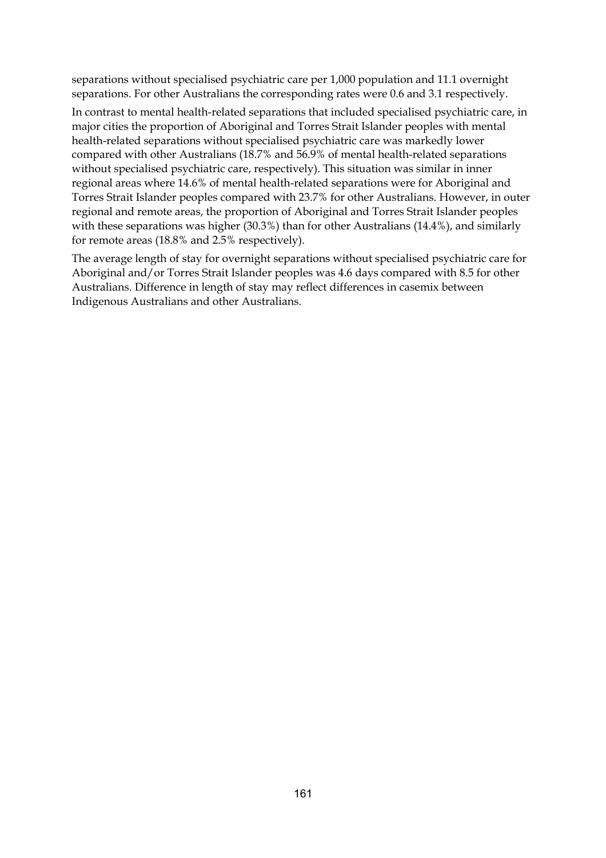separations without specialised psychiatric care per 1,000 population and 11.1 overnight separations. For other Australians the corresponding rates were 0.6 and 3.1 respectively.

In contrast to mental health-related separations that included specialised psychiatric care, in major cities the proportion of Aboriginal and Torres Strait Islander peoples with mental health-related separations without specialised psychiatric care was markedly lower compared with other Australians (18.7% and 56.9% of mental health-related separations without specialised psychiatric care, respectively). This situation was similar in inner regional areas where 14.6% of mental health-related separations were for Aboriginal and Torres Strait Islander peoples compared with 23.7% for other Australians. However, in outer regional and remote areas, the proportion of Aboriginal and Torres Strait Islander peoples with these separations was higher (30.3%) than for other Australians (14.4%), and similarly for remote areas (18.8% and 2.5% respectively).

The average length of stay for overnight separations without specialised psychiatric care for Aboriginal and/or Torres Strait Islander peoples was 4.6 days compared with 8.5 for other Australians. Difference in length of stay may reflect differences in casemix between Indigenous Australians and other Australians.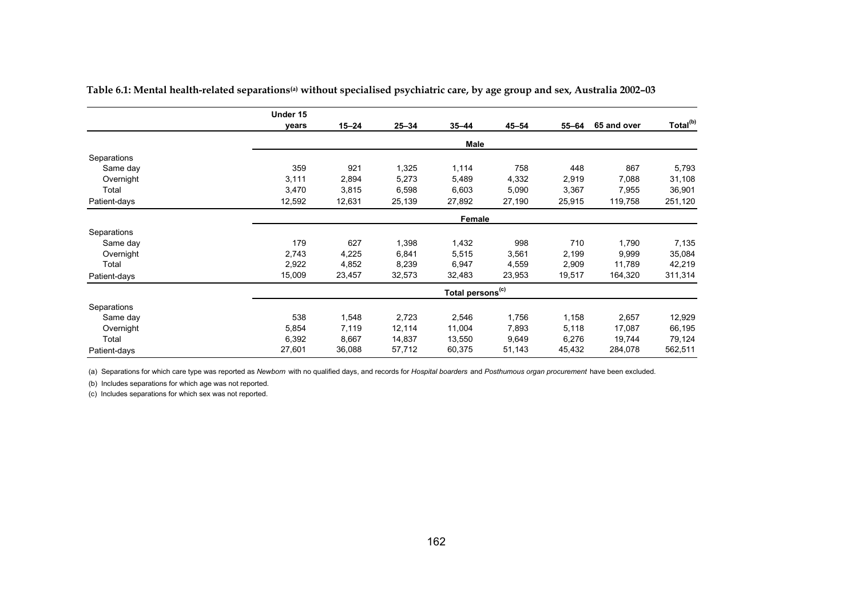|              | Under 15 |           |           |                              |           |        |             |                      |
|--------------|----------|-----------|-----------|------------------------------|-----------|--------|-------------|----------------------|
|              | years    | $15 - 24$ | $25 - 34$ | $35 - 44$                    | $45 - 54$ | 55-64  | 65 and over | Total <sup>(b)</sup> |
|              |          |           |           | Male                         |           |        |             |                      |
| Separations  |          |           |           |                              |           |        |             |                      |
| Same day     | 359      | 921       | 1,325     | 1,114                        | 758       | 448    | 867         | 5,793                |
| Overnight    | 3,111    | 2,894     | 5,273     | 5,489                        | 4,332     | 2,919  | 7,088       | 31,108               |
| Total        | 3,470    | 3,815     | 6,598     | 6,603                        | 5,090     | 3,367  | 7,955       | 36,901               |
| Patient-days | 12,592   | 12,631    | 25,139    | 27,892                       | 27,190    | 25,915 | 119,758     | 251,120              |
|              |          |           |           | Female                       |           |        |             |                      |
| Separations  |          |           |           |                              |           |        |             |                      |
| Same day     | 179      | 627       | 1,398     | 1,432                        | 998       | 710    | 1,790       | 7,135                |
| Overnight    | 2,743    | 4,225     | 6,841     | 5,515                        | 3,561     | 2,199  | 9,999       | 35,084               |
| Total        | 2,922    | 4,852     | 8,239     | 6,947                        | 4,559     | 2,909  | 11,789      | 42,219               |
| Patient-days | 15,009   | 23,457    | 32,573    | 32,483                       | 23,953    | 19,517 | 164,320     | 311,314              |
|              |          |           |           | Total persons <sup>(c)</sup> |           |        |             |                      |
| Separations  |          |           |           |                              |           |        |             |                      |
| Same day     | 538      | 1,548     | 2,723     | 2,546                        | 1,756     | 1,158  | 2,657       | 12,929               |
| Overnight    | 5,854    | 7,119     | 12,114    | 11,004                       | 7,893     | 5,118  | 17,087      | 66,195               |
| Total        | 6,392    | 8,667     | 14,837    | 13,550                       | 9,649     | 6,276  | 19,744      | 79,124               |
| Patient-days | 27,601   | 36,088    | 57,712    | 60,375                       | 51,143    | 45,432 | 284,078     | 562,511              |

Table 6.1: Mental health-related separations<sup>(a)</sup> without specialised psychiatric care, by age group and sex, Australia 2002-03

(a) Separations for which care type was reported as *Newborn* with no qualified days, and records for *Hospital boarders* and *Posthumous organ procurement* have been excluded.

(b) Includes separations for which age was not reported.

(c) Includes separations for which sex was not reported.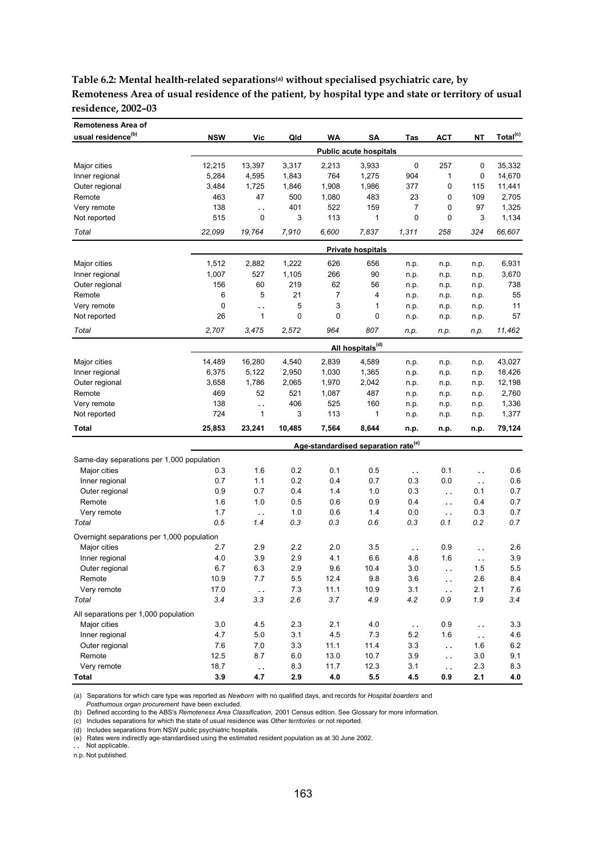**Table 6.2: Mental health-related separations(a) without specialised psychiatric care, by Remoteness Area of usual residence of the patient, by hospital type and state or territory of usual residence, 2002–03**

| <b>Remoteness Area of</b>                  |            |                        |        |       |                                                 |                        |                        |          |                      |
|--------------------------------------------|------------|------------------------|--------|-------|-------------------------------------------------|------------------------|------------------------|----------|----------------------|
| usual residence <sup>(b)</sup>             | <b>NSW</b> | Vic                    | Qld    | WA    | SΑ                                              | Tas                    | <b>ACT</b>             | NΤ       | Total <sup>(c)</sup> |
|                                            |            |                        |        |       | <b>Public acute hospitals</b>                   |                        |                        |          |                      |
| Major cities                               | 12,215     | 13,397                 | 3,317  | 2,213 | 3,933                                           | 0                      | 257                    | 0        | 35,332               |
| Inner regional                             | 5,284      | 4,595                  | 1,843  | 764   | 1,275                                           | 904                    | 1                      | 0        | 14,670               |
| Outer regional                             | 3,484      | 1,725                  | 1,846  | 1,908 | 1,986                                           | 377                    | 0                      | 115      | 11,441               |
| Remote                                     | 463        | 47                     | 500    | 1,080 | 483                                             | 23                     | 0                      | 109      | 2,705                |
| Very remote                                | 138        | $\ddot{\phantom{a}}$   | 401    | 522   | 159                                             | $\overline{7}$         | 0                      | 97       | 1,325                |
| Not reported                               | 515        | 0                      | 3      | 113   | 1                                               | 0                      | 0                      | 3        | 1,134                |
| Total                                      | 22,099     | 19,764                 | 7,910  | 6,600 | 7,837                                           | 1,311                  | 258                    | 324      | 66,607               |
|                                            |            |                        |        |       | <b>Private hospitals</b>                        |                        |                        |          |                      |
| Major cities                               | 1,512      | 2,882                  | 1,222  | 626   | 656                                             | n.p.                   | n.p.                   | n.p.     | 6,931                |
| Inner regional                             | 1,007      | 527                    | 1,105  | 266   | 90                                              | n.p.                   | n.p.                   | n.p.     | 3,670                |
| Outer regional                             | 156        | 60                     | 219    | 62    | 56                                              | n.p.                   | n.p.                   | n.p.     | 738                  |
| Remote                                     | 6          | 5                      | 21     | 7     | 4                                               | n.p.                   | n.p.                   | n.p.     | 55                   |
| Very remote                                | 0          | $\ddot{\phantom{a}}$   | 5      | 3     | 1                                               | n.p.                   | n.p.                   | n.p.     | 11                   |
| Not reported                               | 26         | 1                      | 0      | 0     | 0                                               | n.p.                   | n.p.                   | n.p.     | 57                   |
| Total                                      | 2,707      | 3,475                  | 2,572  | 964   | 807                                             | n.p.                   | n.p.                   | n.p.     | 11,462               |
|                                            |            |                        |        |       | All hospitals <sup>(d)</sup>                    |                        |                        |          |                      |
| Major cities                               | 14,489     | 16,280                 | 4,540  | 2,839 | 4,589                                           | n.p.                   | n.p.                   | n.p.     | 43,027               |
| Inner regional                             | 6,375      | 5,122                  | 2,950  | 1,030 | 1,365                                           | n.p.                   | n.p.                   | n.p.     | 18,426               |
| Outer regional                             | 3,658      | 1,786                  | 2,065  | 1,970 | 2,042                                           | n.p.                   | n.p.                   | n.p.     | 12,198               |
| Remote                                     | 469        | 52                     | 521    | 1,087 | 487                                             | n.p.                   | n.p.                   | n.p.     | 2,760                |
| Very remote                                | 138        | $\ddot{\phantom{a}}$   | 406    | 525   | 160                                             | n.p.                   | n.p.                   | n.p.     | 1,336                |
| Not reported                               | 724        | 1                      | 3      | 113   | 1                                               | n.p.                   | n.p.                   | n.p.     | 1,377                |
| Total                                      | 25,853     | 23,241                 | 10,485 | 7,564 | 8,644                                           | n.p.                   | n.p.                   | n.p.     | 79,124               |
|                                            |            |                        |        |       | Age-standardised separation rate <sup>(e)</sup> |                        |                        |          |                      |
| Same-day separations per 1,000 population  |            |                        |        |       |                                                 |                        |                        |          |                      |
| Major cities                               | 0.3        | 1.6                    | 0.2    | 0.1   | 0.5                                             | $\ddot{\phantom{1}}$ . | 0.1                    | . .      | 0.6                  |
| Inner regional                             | 0.7        | 1.1                    | 0.2    | 0.4   | 0.7                                             | 0.3                    | 0.0                    | . .      | 0.6                  |
| Outer regional                             | 0.9        | 0.7                    | 0.4    | 1.4   | 1.0                                             | 0.3                    | $\ddot{\phantom{0}}$   | 0.1      | 0.7                  |
| Remote                                     | 1.6        | 1.0                    | 0.5    | 0.6   | 0.9                                             | 0.4                    | $\ddot{\phantom{0}}$   | 0.4      | 0.7                  |
| Very remote                                | 1.7        | $\ddotsc$              | 1.0    | 0.6   | 1.4                                             | 0.0                    | $\sim$                 | 0.3      | 0.7                  |
| Total                                      | 0.5        | 1.4                    | 0.3    | 0.3   | 0.6                                             | 0.3                    | 0.1                    | 0.2      | 0.7                  |
| Overnight separations per 1,000 population |            |                        |        |       |                                                 |                        |                        |          |                      |
| Major cities                               | 2.7        | 2.9                    | 2.2    | 2.0   | 3.5                                             | $\ddot{\phantom{a}}$   | 0.9                    | .,       | 2.6                  |
| Inner regional                             | 4.0        | 3.9                    | 2.9    | 4.1   | 6.6                                             | 4.8                    | 1.6                    | $\sim$   | 3.9                  |
| Outer regional                             | 6.7        | 6.3                    | 2.9    | 9.6   | 10.4                                            | 3.0                    | $\ddot{\phantom{a}}$   | 1.5      | 5.5                  |
| Remote                                     | 10.9       | 7.7                    | 5.5    | 12.4  | 9.8                                             | 3.6                    | $\sim$ $\alpha$        | 2.6      | 8.4                  |
| Very remote                                | 17.0       | $\epsilon$ .           | 7.3    | 11.1  | 10.9                                            | 3.1                    | $\ddot{\phantom{1}}$ . | 2.1      | 7.6                  |
| Total                                      | 3.4        | 3.3                    | 2.6    | 3.7   | 4.9                                             | 4.2                    | 0.9                    | 1.9      | 3.4                  |
| All separations per 1,000 population       |            |                        |        |       |                                                 |                        |                        |          |                      |
| Major cities                               | 3.0        | 4.5                    | 2.3    | 2.1   | 4.0                                             | $\ddot{\phantom{1}}$   | 0.9                    | $\sim$   | 3.3                  |
| Inner regional                             | 4.7        | $5.0\,$                | 3.1    | 4.5   | $7.3$                                           | 5.2                    | 1.6                    | $\sim$ . | 4.6                  |
| Outer regional                             | 7.6        | 7.0                    | 3.3    | 11.1  | 11.4                                            | 3.3                    | $\ddot{\phantom{a}}$   | 1.6      | 6.2                  |
| Remote                                     | 12.5       | 8.7                    | 6.0    | 13.0  | 10.7                                            | 3.9                    | $\sim$ $\sim$          | 3.0      | 9.1                  |
| Very remote                                | 18.7       | $\ddot{\phantom{1}}$ . | 8.3    | 11.7  | 12.3                                            | 3.1                    | $\ddot{\phantom{1}}$   | 2.3      | 8.3                  |
| Total                                      | 3.9        | 4.7                    | 2.9    | 4.0   | $5.5\,$                                         | 4.5                    | 0.9                    | 2.1      | 4.0                  |

(a) Separations for which care type was reported as *Newborn* with no qualified days, and records for *Hospital boarders* and

 *Posthumous organ procurement* have been excluded.

(b) Defined according to the ABS's *Remoteness Area Classification,* 2001 Census edition. See Glossary for more information.

(c) Includes separations for which the state of usual residence was *Other territories* or not reported.

(d) Includes separations from NSW public psychiatric hospitals.

(e) Rates were indirectly age-standardised using the estimated resident population as at 30 June 2002. **. .** Not applicable.

n.p. Not published.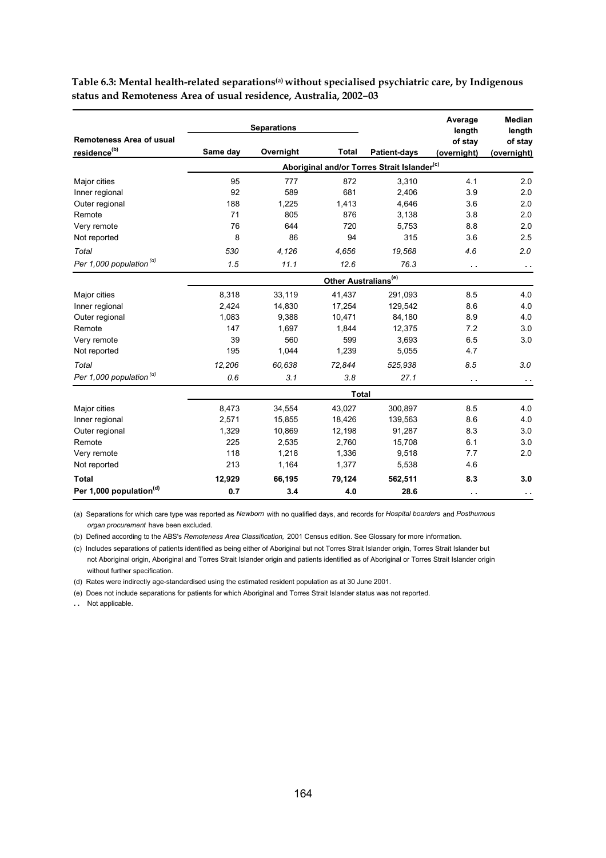|                                     |          | <b>Separations</b> |                                  |                                                         | Average<br>length | <b>Median</b><br>length |
|-------------------------------------|----------|--------------------|----------------------------------|---------------------------------------------------------|-------------------|-------------------------|
| <b>Remoteness Area of usual</b>     |          |                    |                                  |                                                         | of stay           | of stay                 |
| residence <sup>(b)</sup>            | Same day | Overnight          | <b>Total</b>                     | <b>Patient-days</b>                                     | (overnight)       | (overnight)             |
|                                     |          |                    |                                  | Aboriginal and/or Torres Strait Islander <sup>(c)</sup> |                   |                         |
| Major cities                        | 95       | 777                | 872                              | 3,310                                                   | 4.1               | 2.0                     |
| Inner regional                      | 92       | 589                | 681                              | 2,406                                                   | 3.9               | 2.0                     |
| Outer regional                      | 188      | 1,225              | 1,413                            | 4,646                                                   | 3.6               | 2.0                     |
| Remote                              | 71       | 805                | 876                              | 3,138                                                   | 3.8               | 2.0                     |
| Very remote                         | 76       | 644                | 720                              | 5,753                                                   | 8.8               | 2.0                     |
| Not reported                        | 8        | 86                 | 94                               | 315                                                     | 3.6               | 2.5                     |
| Total                               | 530      | 4,126              | 4,656                            | 19,568                                                  | 4.6               | 2.0                     |
| Per 1,000 population $^{(d)}$       | 1.5      | 11.1               | 12.6                             | 76.3                                                    | $\sim$            | $\sim$                  |
|                                     |          |                    | Other Australians <sup>(e)</sup> |                                                         |                   |                         |
| Major cities                        | 8,318    | 33,119             | 41,437                           | 291,093                                                 | 8.5               | 4.0                     |
| Inner regional                      | 2,424    | 14,830             | 17,254                           | 129,542                                                 | 8.6               | 4.0                     |
| Outer regional                      | 1,083    | 9,388              | 10,471                           | 84,180                                                  | 8.9               | 4.0                     |
| Remote                              | 147      | 1,697              | 1,844                            | 12,375                                                  | 7.2               | 3.0                     |
| Very remote                         | 39       | 560                | 599                              | 3,693                                                   | 6.5               | 3.0                     |
| Not reported                        | 195      | 1,044              | 1,239                            | 5,055                                                   | 4.7               |                         |
| Total                               | 12.206   | 60,638             | 72.844                           | 525,938                                                 | 8.5               | 3.0                     |
| Per 1,000 population <sup>(d)</sup> | 0.6      | 3.1                | 3.8                              | 27.1                                                    | $\sim$ $\sim$     | $\sim$                  |
|                                     |          |                    | <b>Total</b>                     |                                                         |                   |                         |
| Major cities                        | 8,473    | 34,554             | 43,027                           | 300,897                                                 | 8.5               | 4.0                     |
| Inner regional                      | 2,571    | 15,855             | 18,426                           | 139,563                                                 | 8.6               | 4.0                     |
| Outer regional                      | 1,329    | 10,869             | 12,198                           | 91,287                                                  | 8.3               | 3.0                     |
| Remote                              | 225      | 2,535              | 2,760                            | 15,708                                                  | 6.1               | 3.0                     |
| Very remote                         | 118      | 1,218              | 1,336                            | 9,518                                                   | 7.7               | 2.0                     |
| Not reported                        | 213      | 1,164              | 1,377                            | 5,538                                                   | 4.6               |                         |
| <b>Total</b>                        | 12,929   | 66,195             | 79,124                           | 562,511                                                 | 8.3               | 3.0                     |
| Per 1,000 population <sup>(d)</sup> | 0.7      | 3.4                | 4.0                              | 28.6                                                    | $\sim$ $\sim$     | $\sim$                  |

Table 6.3: Mental health-related separations<sup>(a)</sup> without specialised psychiatric care, by Indigenous **status and Remoteness Area of usual residence, Australia, 2002**–**03**

(a) Separations for which care type was reported as *Newborn* with no qualified days, and records for *Hospital boarders* and *Posthumous organ procurement* have been excluded.

(b) Defined according to the ABS's *Remoteness Area Classification,* 2001 Census edition. See Glossary for more information.

(c) Includes separations of patients identified as being either of Aboriginal but not Torres Strait Islander origin, Torres Strait Islander but not Aboriginal origin, Aboriginal and Torres Strait Islander origin and patients identified as of Aboriginal or Torres Strait Islander origin without further specification.

(d) Rates were indirectly age-standardised using the estimated resident population as at 30 June 2001.

(e) Does not include separations for patients for which Aboriginal and Torres Strait Islander status was not reported.

**. .** Not applicable.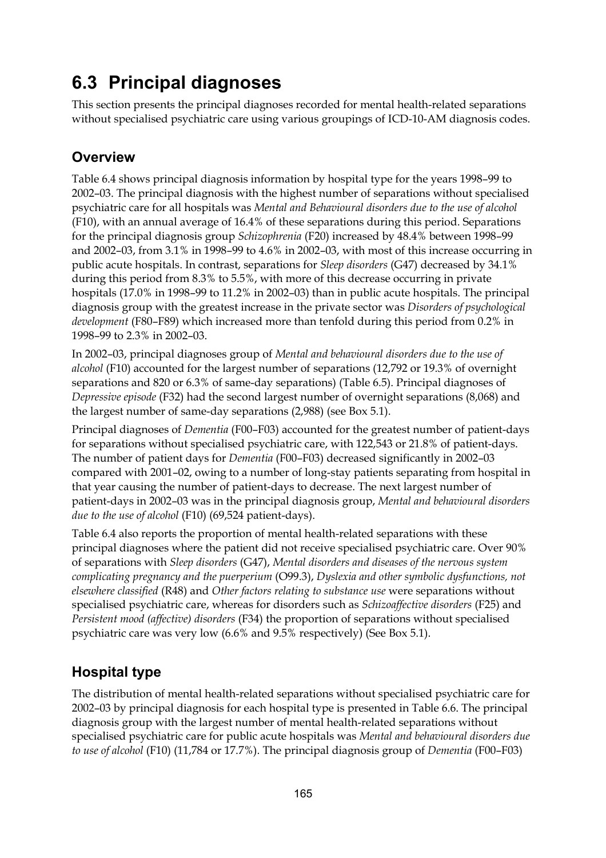## **6.3 Principal diagnoses**

This section presents the principal diagnoses recorded for mental health-related separations without specialised psychiatric care using various groupings of ICD-10-AM diagnosis codes.

### **Overview**

Table 6.4 shows principal diagnosis information by hospital type for the years 1998–99 to 2002–03. The principal diagnosis with the highest number of separations without specialised psychiatric care for all hospitals was *Mental and Behavioural disorders due to the use of alcohol* (F10), with an annual average of 16.4% of these separations during this period. Separations for the principal diagnosis group *Schizophrenia* (F20) increased by 48.4% between 1998–99 and 2002–03, from 3.1% in 1998–99 to 4.6% in 2002–03, with most of this increase occurring in public acute hospitals. In contrast, separations for *Sleep disorders* (G47) decreased by 34.1% during this period from 8.3% to 5.5%, with more of this decrease occurring in private hospitals (17.0% in 1998–99 to 11.2% in 2002–03) than in public acute hospitals. The principal diagnosis group with the greatest increase in the private sector was *Disorders of psychological development* (F80–F89) which increased more than tenfold during this period from 0.2% in 1998–99 to 2.3% in 2002–03.

In 2002–03, principal diagnoses group of *Mental and behavioural disorders due to the use of alcohol* (F10) accounted for the largest number of separations (12,792 or 19.3% of overnight separations and 820 or 6.3% of same-day separations) (Table 6.5). Principal diagnoses of *Depressive episode* (F32) had the second largest number of overnight separations (8,068) and the largest number of same-day separations (2,988) (see Box 5.1).

Principal diagnoses of *Dementia* (F00–F03) accounted for the greatest number of patient-days for separations without specialised psychiatric care, with 122,543 or 21.8% of patient-days. The number of patient days for *Dementia* (F00–F03) decreased significantly in 2002–03 compared with 2001–02, owing to a number of long-stay patients separating from hospital in that year causing the number of patient-days to decrease. The next largest number of patient-days in 2002–03 was in the principal diagnosis group, *Mental and behavioural disorders due to the use of alcohol* (F10) (69,524 patient-days).

Table 6.4 also reports the proportion of mental health-related separations with these principal diagnoses where the patient did not receive specialised psychiatric care. Over 90% of separations with *Sleep disorders* (G47), *Mental disorders and diseases of the nervous system complicating pregnancy and the puerperium* (O99.3), *Dyslexia and other symbolic dysfunctions, not elsewhere classified* (R48) and *Other factors relating to substance use* were separations without specialised psychiatric care, whereas for disorders such as *Schizoaffective disorders* (F25) and *Persistent mood (affective) disorders* (F34) the proportion of separations without specialised psychiatric care was very low (6.6% and 9.5% respectively) (See Box 5.1).

### **Hospital type**

The distribution of mental health-related separations without specialised psychiatric care for 2002–03 by principal diagnosis for each hospital type is presented in Table 6.6. The principal diagnosis group with the largest number of mental health-related separations without specialised psychiatric care for public acute hospitals was *Mental and behavioural disorders due to use of alcohol* (F10) (11,784 or 17.7%). The principal diagnosis group of *Dementia* (F00–F03)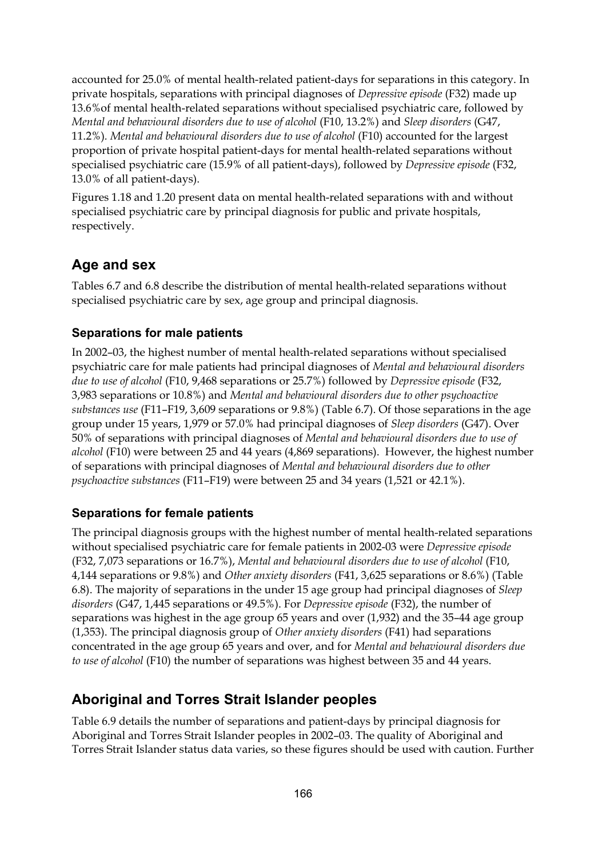accounted for 25.0% of mental health-related patient-days for separations in this category. In private hospitals, separations with principal diagnoses of *Depressive episode* (F32) made up 13.6%of mental health-related separations without specialised psychiatric care, followed by *Mental and behavioural disorders due to use of alcohol* (F10, 13.2%) and *Sleep disorders* (G47, 11.2%)*. Mental and behavioural disorders due to use of alcohol* (F10) accounted for the largest proportion of private hospital patient-days for mental health-related separations without specialised psychiatric care (15.9% of all patient-days), followed by *Depressive episode* (F32, 13.0% of all patient-days).

Figures 1.18 and 1.20 present data on mental health-related separations with and without specialised psychiatric care by principal diagnosis for public and private hospitals, respectively.

### **Age and sex**

Tables 6.7 and 6.8 describe the distribution of mental health-related separations without specialised psychiatric care by sex, age group and principal diagnosis.

#### **Separations for male patients**

In 2002–03, the highest number of mental health-related separations without specialised psychiatric care for male patients had principal diagnoses of *Mental and behavioural disorders due to use of alcohol* (F10, 9,468 separations or 25.7%) followed by *Depressive episode* (F32, 3,983 separations or 10.8%) and *Mental and behavioural disorders due to other psychoactive substances use* (F11–F19, 3,609 separations or 9.8%) (Table 6.7). Of those separations in the age group under 15 years, 1,979 or 57.0% had principal diagnoses of *Sleep disorders* (G47). Over 50% of separations with principal diagnoses of *Mental and behavioural disorders due to use of alcohol* (F10) were between 25 and 44 years (4,869 separations). However, the highest number of separations with principal diagnoses of *Mental and behavioural disorders due to other psychoactive substances* (F11–F19) were between 25 and 34 years (1,521 or 42.1%).

#### **Separations for female patients**

The principal diagnosis groups with the highest number of mental health-related separations without specialised psychiatric care for female patients in 2002-03 were *Depressive episode*  (F32, 7,073 separations or 16.7%), *Mental and behavioural disorders due to use of alcohol* (F10, 4,144 separations or 9.8%) and *Other anxiety disorders* (F41, 3,625 separations or 8.6%) (Table 6.8). The majority of separations in the under 15 age group had principal diagnoses of *Sleep disorders* (G47, 1,445 separations or 49.5%). For *Depressive episode* (F32), the number of separations was highest in the age group 65 years and over (1,932) and the 35–44 age group (1,353). The principal diagnosis group of *Other anxiety disorders* (F41) had separations concentrated in the age group 65 years and over, and for *Mental and behavioural disorders due to use of alcohol* (F10) the number of separations was highest between 35 and 44 years.

### **Aboriginal and Torres Strait Islander peoples**

Table 6.9 details the number of separations and patient-days by principal diagnosis for Aboriginal and Torres Strait Islander peoples in 2002–03. The quality of Aboriginal and Torres Strait Islander status data varies, so these figures should be used with caution. Further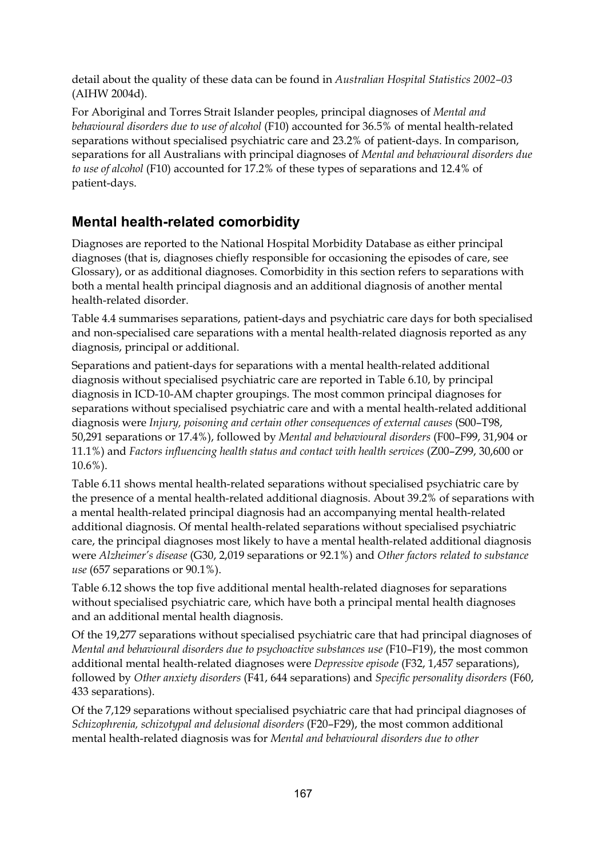detail about the quality of these data can be found in *Australian Hospital Statistics 2002–03* (AIHW 2004d).

For Aboriginal and Torres Strait Islander peoples, principal diagnoses of *Mental and behavioural disorders due to use of alcohol* (F10) accounted for 36.5% of mental health-related separations without specialised psychiatric care and 23.2% of patient-days. In comparison, separations for all Australians with principal diagnoses of *Mental and behavioural disorders due to use of alcohol* (F10) accounted for 17.2% of these types of separations and 12.4% of patient-days.

### **Mental health-related comorbidity**

Diagnoses are reported to the National Hospital Morbidity Database as either principal diagnoses (that is, diagnoses chiefly responsible for occasioning the episodes of care, see Glossary), or as additional diagnoses. Comorbidity in this section refers to separations with both a mental health principal diagnosis and an additional diagnosis of another mental health-related disorder.

Table 4.4 summarises separations, patient-days and psychiatric care days for both specialised and non-specialised care separations with a mental health-related diagnosis reported as any diagnosis, principal or additional.

Separations and patient-days for separations with a mental health-related additional diagnosis without specialised psychiatric care are reported in Table 6.10, by principal diagnosis in ICD-10-AM chapter groupings. The most common principal diagnoses for separations without specialised psychiatric care and with a mental health-related additional diagnosis were *Injury, poisoning and certain other consequences of external causes* (S00–T98, 50,291 separations or 17.4%), followed by *Mental and behavioural disorders* (F00–F99, 31,904 or 11.1%) and *Factors influencing health status and contact with health services* (Z00–Z99, 30,600 or 10.6%).

Table 6.11 shows mental health-related separations without specialised psychiatric care by the presence of a mental health-related additional diagnosis. About 39.2% of separations with a mental health-related principal diagnosis had an accompanying mental health-related additional diagnosis. Of mental health-related separations without specialised psychiatric care, the principal diagnoses most likely to have a mental health-related additional diagnosis were *Alzheimer's disease* (G30, 2,019 separations or 92.1%) and *Other factors related to substance use* (657 separations or 90.1%).

Table 6.12 shows the top five additional mental health-related diagnoses for separations without specialised psychiatric care, which have both a principal mental health diagnoses and an additional mental health diagnosis.

Of the 19,277 separations without specialised psychiatric care that had principal diagnoses of *Mental and behavioural disorders due to psychoactive substances use* (F10–F19), the most common additional mental health-related diagnoses were *Depressive episode* (F32, 1,457 separations), followed by *Other anxiety disorders* (F41, 644 separations) and *Specific personality disorders* (F60, 433 separations).

Of the 7,129 separations without specialised psychiatric care that had principal diagnoses of *Schizophrenia, schizotypal and delusional disorders* (F20–F29), the most common additional mental health-related diagnosis was for *Mental and behavioural disorders due to other*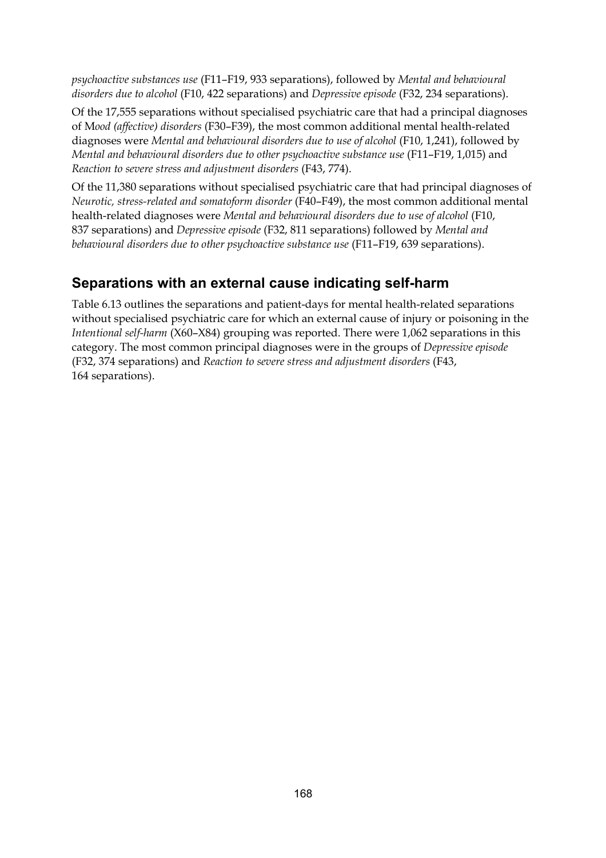*psychoactive substances use* (F11–F19, 933 separations), followed by *Mental and behavioural disorders due to alcohol* (F10, 422 separations) and *Depressive episode* (F32, 234 separations).

Of the 17,555 separations without specialised psychiatric care that had a principal diagnoses of M*ood (affective) disorders* (F30–F39), the most common additional mental health-related diagnoses were *Mental and behavioural disorders due to use of alcohol* (F10, 1,241), followed by *Mental and behavioural disorders due to other psychoactive substance use* (F11–F19, 1,015) and *Reaction to severe stress and adjustment disorders* (F43, 774).

Of the 11,380 separations without specialised psychiatric care that had principal diagnoses of *Neurotic, stress-related and somatoform disorder* (F40–F49), the most common additional mental health-related diagnoses were *Mental and behavioural disorders due to use of alcohol* (F10, 837 separations) and *Depressive episode* (F32, 811 separations) followed by *Mental and behavioural disorders due to other psychoactive substance use* (F11–F19, 639 separations).

### **Separations with an external cause indicating self-harm**

Table 6.13 outlines the separations and patient-days for mental health-related separations without specialised psychiatric care for which an external cause of injury or poisoning in the *Intentional self-harm* (X60–X84) grouping was reported. There were 1,062 separations in this category. The most common principal diagnoses were in the groups of *Depressive episode*  (F32, 374 separations) and *Reaction to severe stress and adjustment disorders* (F43, 164 separations).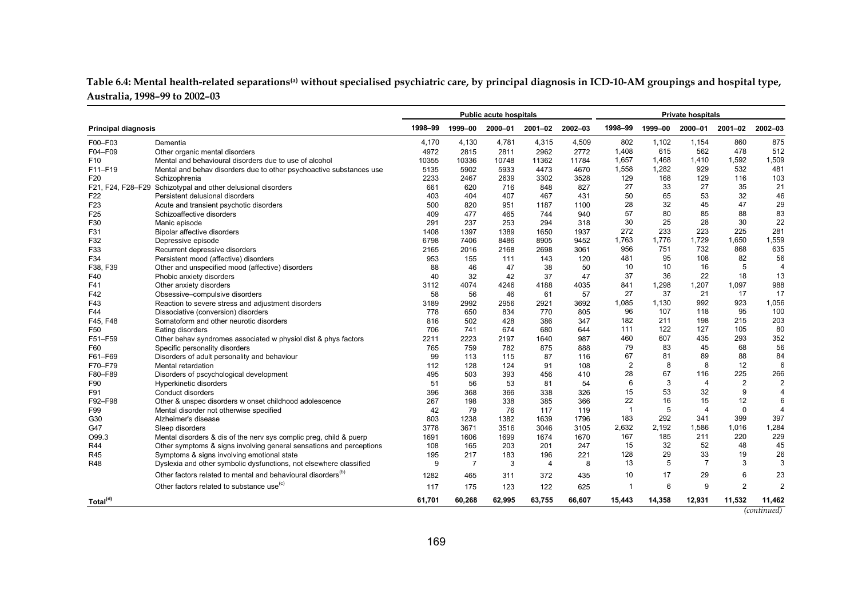| Table 6.4: Mental health-related separations <sup>(a)</sup> without specialised psychiatric care, by principal diagnosis in ICD-10-AM groupings and hospital type, |  |  |
|--------------------------------------------------------------------------------------------------------------------------------------------------------------------|--|--|
| Australia, 1998–99 to 2002–03                                                                                                                                      |  |  |

|                            |                                                                          | <b>Public acute hospitals</b><br><b>Private hospitals</b> |                |         |                |         |                |         |                |                |                    |
|----------------------------|--------------------------------------------------------------------------|-----------------------------------------------------------|----------------|---------|----------------|---------|----------------|---------|----------------|----------------|--------------------|
| <b>Principal diagnosis</b> |                                                                          | 1998-99                                                   | 1999-00        | 2000-01 | 2001-02        | 2002-03 | 1998-99        | 1999-00 | 2000-01        | 2001-02        | 2002-03            |
| F00-F03                    | Dementia                                                                 | 4,170                                                     | 4,130          | 4,781   | 4,315          | 4,509   | 802            | 1,102   | 1,154          | 860            | 875                |
| F04-F09                    | Other organic mental disorders                                           | 4972                                                      | 2815           | 2811    | 2962           | 2772    | 1,408          | 615     | 562            | 478            | 512                |
| F <sub>10</sub>            | Mental and behavioural disorders due to use of alcohol                   | 10355                                                     | 10336          | 10748   | 11362          | 11784   | 1,657          | 1,468   | 1,410          | 1,592          | 1,509              |
| F11-F19                    | Mental and behav disorders due to other psychoactive substances use      | 5135                                                      | 5902           | 5933    | 4473           | 4670    | 1,558          | 1,282   | 929            | 532            | 481                |
| F20                        | Schizophrenia                                                            | 2233                                                      | 2467           | 2639    | 3302           | 3528    | 129            | 168     | 129            | 116            | 103                |
|                            | F21, F24, F28-F29 Schizotypal and other delusional disorders             | 661                                                       | 620            | 716     | 848            | 827     | 27             | 33      | 27             | 35             | 21                 |
| F <sub>22</sub>            | Persistent delusional disorders                                          | 403                                                       | 404            | 407     | 467            | 431     | 50             | 65      | 53             | 32             | 46                 |
| F <sub>23</sub>            | Acute and transient psychotic disorders                                  | 500                                                       | 820            | 951     | 1187           | 1100    | 28             | 32      | 45             | 47             | 29                 |
| F <sub>25</sub>            | Schizoaffective disorders                                                | 409                                                       | 477            | 465     | 744            | 940     | 57             | 80      | 85             | 88             | 83                 |
| F30                        | Manic episode                                                            | 291                                                       | 237            | 253     | 294            | 318     | 30             | 25      | 28             | 30             | 22                 |
| F31                        | Bipolar affective disorders                                              | 1408                                                      | 1397           | 1389    | 1650           | 1937    | 272            | 233     | 223            | 225            | 281                |
| F32                        | Depressive episode                                                       | 6798                                                      | 7406           | 8486    | 8905           | 9452    | 1,763          | 1,776   | 1,729          | 1,650          | 1,559              |
| F33                        | Recurrent depressive disorders                                           | 2165                                                      | 2016           | 2168    | 2698           | 3061    | 956            | 751     | 732            | 868            | 635                |
| F34                        | Persistent mood (affective) disorders                                    | 953                                                       | 155            | 111     | 143            | 120     | 481            | 95      | 108            | 82             | 56                 |
| F38, F39                   | Other and unspecified mood (affective) disorders                         | 88                                                        | 46             | 47      | 38             | 50      | 10             | 10      | 16             | 5              | $\overline{4}$     |
| F40                        | Phobic anxiety disorders                                                 | 40                                                        | 32             | 42      | 37             | 47      | 37             | 36      | 22             | 18             | 13                 |
| F41                        | Other anxiety disorders                                                  | 3112                                                      | 4074           | 4246    | 4188           | 4035    | 841            | 1,298   | 1,207          | 1.097          | 988                |
| F42                        | Obsessive-compulsive disorders                                           | 58                                                        | 56             | 46      | 61             | 57      | 27             | 37      | 21             | 17             | 17                 |
| F43                        | Reaction to severe stress and adjustment disorders                       | 3189                                                      | 2992           | 2956    | 2921           | 3692    | 1,085          | 1,130   | 992            | 923            | 1,056              |
| F44                        | Dissociative (conversion) disorders                                      | 778                                                       | 650            | 834     | 770            | 805     | 96             | 107     | 118            | 95             | 100                |
| F45, F48                   | Somatoform and other neurotic disorders                                  | 816                                                       | 502            | 428     | 386            | 347     | 182            | 211     | 198            | 215            | 203                |
| F <sub>50</sub>            | Eating disorders                                                         | 706                                                       | 741            | 674     | 680            | 644     | 111            | 122     | 127            | 105            | 80                 |
| F51-F59                    | Other behav syndromes associated w physiol dist & phys factors           | 2211                                                      | 2223           | 2197    | 1640           | 987     | 460            | 607     | 435            | 293            | 352                |
| F60                        | Specific personality disorders                                           | 765                                                       | 759            | 782     | 875            | 888     | 79             | 83      | 45             | 68             | 56                 |
| F61-F69                    | Disorders of adult personality and behaviour                             | 99                                                        | 113            | 115     | 87             | 116     | 67             | 81      | 89             | 88             | 84                 |
| F70-F79                    | Mental retardation                                                       | 112                                                       | 128            | 124     | 91             | 108     | $\overline{2}$ | 8       | 8              | 12             | 6                  |
| F80-F89                    | Disorders of pscychological development                                  | 495                                                       | 503            | 393     | 456            | 410     | 28             | 67      | 116            | 225            | 266                |
| F90                        | Hyperkinetic disorders                                                   | 51                                                        | 56             | 53      | 81             | 54      | 6              | 3       | $\overline{4}$ | 2              | $\overline{2}$     |
| F91                        | Conduct disorders                                                        | 396                                                       | 368            | 366     | 338            | 326     | 15             | 53      | 32             | 9              | $\overline{4}$     |
| F92-F98                    | Other & unspec disorders w onset childhood adolescence                   | 267                                                       | 198            | 338     | 385            | 366     | 22             | 16      | 15             | 12             | 6                  |
| F99                        | Mental disorder not otherwise specified                                  | 42                                                        | 79             | 76      | 117            | 119     | $\overline{1}$ | 5       | $\overline{4}$ | $\mathbf 0$    | $\overline{4}$     |
| G30                        | Alzheimer's disease                                                      | 803                                                       | 1238           | 1382    | 1639           | 1796    | 183            | 292     | 341            | 399            | 397                |
| G47                        | Sleep disorders                                                          | 3778                                                      | 3671           | 3516    | 3046           | 3105    | 2,632          | 2,192   | 1,586          | 1,016          | 1,284              |
| O99.3                      | Mental disorders & dis of the nerv sys complic preq, child & puerp       | 1691                                                      | 1606           | 1699    | 1674           | 1670    | 167            | 185     | 211            | 220            | 229                |
| R44                        | Other symptoms & signs involving general sensations and perceptions      | 108                                                       | 165            | 203     | 201            | 247     | 15             | 32      | 52             | 48             | 45                 |
| R45                        | Symptoms & signs involving emotional state                               | 195                                                       | 217            | 183     | 196            | 221     | 128            | 29      | 33             | 19             | 26                 |
| <b>R48</b>                 | Dyslexia and other symbolic dysfunctions, not elsewhere classified       | 9                                                         | $\overline{7}$ | 3       | $\overline{4}$ | 8       | 13             | 5       | $\overline{7}$ | 3              | 3                  |
|                            | Other factors related to mental and behavioural disorders <sup>(b)</sup> | 1282                                                      | 465            | 311     | 372            | 435     | 10             | 17      | 29             | 6              | 23                 |
|                            | Other factors related to substance use <sup>(c)</sup>                    | 117                                                       | 175            | 123     | 122            | 625     | $\overline{1}$ | 6       | 9              | $\overline{2}$ | $\overline{2}$     |
| Total <sup>(d)</sup>       |                                                                          | 61.701                                                    | 60,268         | 62.995  | 63,755         | 66.607  | 15.443         | 14,358  | 12,931         | 11,532         | 11,462             |
|                            |                                                                          |                                                           |                |         |                |         |                |         |                |                | <i>(continued)</i> |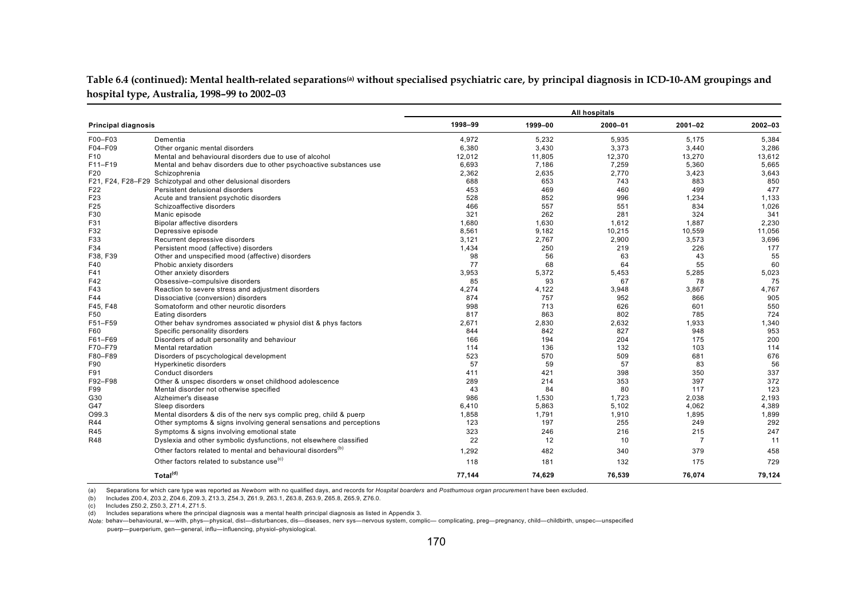Table 6.4 (continued): Mental health-related separations<sup>(a)</sup> without specialised psychiatric care, by principal diagnosis in ICD-10-AM groupings and **hospital type, Australia, 1998–99 to 2002–03**

|                            |                                                                          | All hospitals |         |         |                |         |  |  |  |
|----------------------------|--------------------------------------------------------------------------|---------------|---------|---------|----------------|---------|--|--|--|
| <b>Principal diagnosis</b> |                                                                          | 1998-99       | 1999-00 | 2000-01 | $2001 - 02$    | 2002-03 |  |  |  |
| F00-F03                    | Dementia                                                                 | 4.972         | 5.232   | 5,935   | 5.175          | 5,384   |  |  |  |
| F04-F09                    | Other organic mental disorders                                           | 6,380         | 3,430   | 3,373   | 3,440          | 3,286   |  |  |  |
| F <sub>10</sub>            | Mental and behavioural disorders due to use of alcohol                   | 12,012        | 11,805  | 12,370  | 13,270         | 13,612  |  |  |  |
| F11-F19                    | Mental and behav disorders due to other psychoactive substances use      | 6,693         | 7.186   | 7,259   | 5,360          | 5.665   |  |  |  |
| F20                        | Schizophrenia                                                            | 2,362         | 2,635   | 2.770   | 3,423          | 3.643   |  |  |  |
|                            | F21, F24, F28-F29 Schizotypal and other delusional disorders             | 688           | 653     | 743     | 883            | 850     |  |  |  |
| F22                        | Persistent delusional disorders                                          | 453           | 469     | 460     | 499            | 477     |  |  |  |
| F <sub>23</sub>            | Acute and transient psychotic disorders                                  | 528           | 852     | 996     | 1,234          | 1,133   |  |  |  |
| F25                        | Schizoaffective disorders                                                | 466           | 557     | 551     | 834            | 1,026   |  |  |  |
| F30                        | Manic episode                                                            | 321           | 262     | 281     | 324            | 341     |  |  |  |
| F31                        | Bipolar affective disorders                                              | 1,680         | 1,630   | 1,612   | 1,887          | 2,230   |  |  |  |
| F32                        | Depressive episode                                                       | 8,561         | 9.182   | 10,215  | 10,559         | 11,056  |  |  |  |
| F33                        | Recurrent depressive disorders                                           | 3,121         | 2.767   | 2,900   | 3,573          | 3,696   |  |  |  |
| F34                        | Persistent mood (affective) disorders                                    | 1,434         | 250     | 219     | 226            | 177     |  |  |  |
| F38, F39                   | Other and unspecified mood (affective) disorders                         | 98            | 56      | 63      | 43             | 55      |  |  |  |
| F40                        | Phobic anxiety disorders                                                 | 77            | 68      | 64      | 55             | 60      |  |  |  |
| F41                        | Other anxiety disorders                                                  | 3,953         | 5.372   | 5,453   | 5,285          | 5,023   |  |  |  |
| F42                        | Obsessive-compulsive disorders                                           | 85            | 93      | 67      | 78             | 75      |  |  |  |
| F43                        | Reaction to severe stress and adjustment disorders                       | 4,274         | 4,122   | 3,948   | 3,867          | 4,767   |  |  |  |
| F44                        | Dissociative (conversion) disorders                                      | 874           | 757     | 952     | 866            | 905     |  |  |  |
| F45. F48                   | Somatoform and other neurotic disorders                                  | 998           | 713     | 626     | 601            | 550     |  |  |  |
| F50                        | Eating disorders                                                         | 817           | 863     | 802     | 785            | 724     |  |  |  |
| F51-F59                    | Other behav syndromes associated w physiol dist & phys factors           | 2,671         | 2,830   | 2,632   | 1,933          | 1,340   |  |  |  |
| F60                        | Specific personality disorders                                           | 844           | 842     | 827     | 948            | 953     |  |  |  |
| F61-F69                    | Disorders of adult personality and behaviour                             | 166           | 194     | 204     | 175            | 200     |  |  |  |
| F70-F79                    | Mental retardation                                                       | 114           | 136     | 132     | 103            | 114     |  |  |  |
| F80-F89                    | Disorders of pscychological development                                  | 523           | 570     | 509     | 681            | 676     |  |  |  |
| F90                        | Hyperkinetic disorders                                                   | 57            | 59      | 57      | 83             | 56      |  |  |  |
| F91                        | Conduct disorders                                                        | 411           | 421     | 398     | 350            | 337     |  |  |  |
| F92-F98                    | Other & unspec disorders w onset childhood adolescence                   | 289           | 214     | 353     | 397            | 372     |  |  |  |
| F99                        | Mental disorder not otherwise specified                                  | 43            | 84      | 80      | 117            | 123     |  |  |  |
| G30                        | Alzheimer's disease                                                      | 986           | 1,530   | 1,723   | 2,038          | 2,193   |  |  |  |
| G47                        | Sleep disorders                                                          | 6,410         | 5,863   | 5,102   | 4,062          | 4,389   |  |  |  |
| O99.3                      | Mental disorders & dis of the nerv sys complic preq, child & puerp       | 1,858         | 1,791   | 1,910   | 1,895          | 1,899   |  |  |  |
| R44                        | Other symptoms & signs involving general sensations and perceptions      | 123           | 197     | 255     | 249            | 292     |  |  |  |
| R45                        | Symptoms & signs involving emotional state                               | 323           | 246     | 216     | 215            | 247     |  |  |  |
| <b>R48</b>                 | Dyslexia and other symbolic dysfunctions, not elsewhere classified       | 22            | 12      | 10      | $\overline{7}$ | 11      |  |  |  |
|                            | Other factors related to mental and behavioural disorders <sup>(b)</sup> | 1,292         | 482     | 340     | 379            | 458     |  |  |  |
|                            | Other factors related to substance use <sup>(c)</sup>                    | 118           | 181     | 132     | 175            | 729     |  |  |  |
|                            | Total <sup>(d)</sup>                                                     | 77,144        | 74,629  | 76,539  | 76,074         | 79,124  |  |  |  |

(a) Separations for which care type was reported as *Newborn* with no qualified days, and records for *Hospital boarders* and *Posthumous organ procuremen* t have been excluded.

(b) Includes Z00.4, Z03.2, Z04.6, Z09.3, Z13.3, Z54.3, Z61.9, Z63.1, Z63.8, Z63.9, Z65.8, Z65.9, Z76.0.

(c) Includes Z50.2, Z50.3, Z71.4, Z71.5.

(d) Includes separations where the principal diagnosis was a mental health principal diagnosis as listed in Appendix 3.

*Note:* behav—behavioural, w—with, phys—physical, dist—disturbances, dis—diseases, nerv sys—nervous system, complic— complicating, preg—pregnancy, child—childbirth, unspec—unspecified puerp—puerperium, gen—general, influ—influencing, physiol–physiological.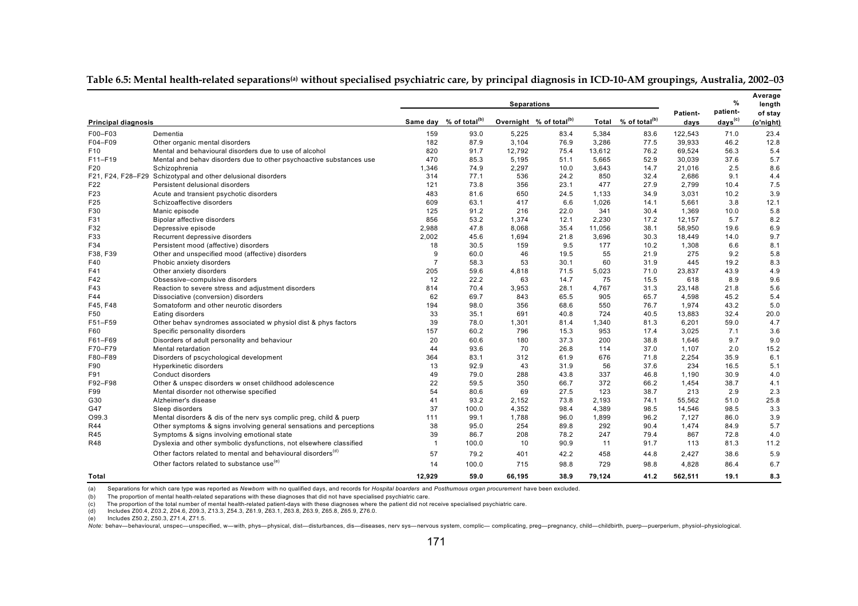|                            |                                                                          |                | <b>Separations</b>                 |        |                                     |        |                           |                  | %<br>patient-          | Average<br>length    |
|----------------------------|--------------------------------------------------------------------------|----------------|------------------------------------|--------|-------------------------------------|--------|---------------------------|------------------|------------------------|----------------------|
| <b>Principal diagnosis</b> |                                                                          |                | Same day % of total <sup>(b)</sup> |        | Overnight % of total <sup>(b)</sup> | Total  | % of total <sup>(b)</sup> | Patient-<br>days | ${\sf days}^{\rm (c)}$ | of stay<br>(o'night) |
| F00-F03                    | Dementia                                                                 | 159            | 93.0                               | 5,225  | 83.4                                | 5,384  | 83.6                      | 122,543          | 71.0                   | 23.4                 |
| F04-F09                    | Other organic mental disorders                                           | 182            | 87.9                               | 3,104  | 76.9                                | 3,286  | 77.5                      | 39,933           | 46.2                   | 12.8                 |
| F <sub>10</sub>            | Mental and behavioural disorders due to use of alcohol                   | 820            | 91.7                               | 12,792 | 75.4                                | 13,612 | 76.2                      | 69,524           | 56.3                   | 5.4                  |
| F11-F19                    | Mental and behav disorders due to other psychoactive substances use      | 470            | 85.3                               | 5,195  | 51.1                                | 5,665  | 52.9                      | 30,039           | 37.6                   | 5.7                  |
| F <sub>20</sub>            | Schizophrenia                                                            | 1,346          | 74.9                               | 2,297  | 10.0                                | 3,643  | 14.7                      | 21,016           | 2.5                    | 8.6                  |
|                            | F21, F24, F28-F29 Schizotypal and other delusional disorders             | 314            | 77.1                               | 536    | 24.2                                | 850    | 32.4                      | 2.686            | 9.1                    | 4.4                  |
| F <sub>22</sub>            | Persistent delusional disorders                                          | 121            | 73.8                               | 356    | 23.1                                | 477    | 27.9                      | 2.799            | 10.4                   | 7.5                  |
| F <sub>23</sub>            | Acute and transient psychotic disorders                                  | 483            | 81.6                               | 650    | 24.5                                | 1,133  | 34.9                      | 3,031            | 10.2                   | 3.9                  |
| F25                        | Schizoaffective disorders                                                | 609            | 63.1                               | 417    | 6.6                                 | 1,026  | 14.1                      | 5,661            | 3.8                    | 12.1                 |
| F30                        | Manic episode                                                            | 125            | 91.2                               | 216    | 22.0                                | 341    | 30.4                      | 1,369            | 10.0                   | 5.8                  |
| F31                        | <b>Bipolar affective disorders</b>                                       | 856            | 53.2                               | 1,374  | 12.1                                | 2,230  | 17.2                      | 12,157           | 5.7                    | 8.2                  |
| F32                        | Depressive episode                                                       | 2,988          | 47.8                               | 8,068  | 35.4                                | 11,056 | 38.1                      | 58,950           | 19.6                   | 6.9                  |
| F33                        | Recurrent depressive disorders                                           | 2,002          | 45.6                               | 1,694  | 21.8                                | 3,696  | 30.3                      | 18,449           | 14.0                   | 9.7                  |
| F34                        | Persistent mood (affective) disorders                                    | 18             | 30.5                               | 159    | 9.5                                 | 177    | 10.2                      | 1,308            | 6.6                    | 8.1                  |
| F38, F39                   | Other and unspecified mood (affective) disorders                         | 9              | 60.0                               | 46     | 19.5                                | 55     | 21.9                      | 275              | 9.2                    | 5.8                  |
| F40                        | Phobic anxiety disorders                                                 | $\overline{7}$ | 58.3                               | 53     | 30.1                                | 60     | 31.9                      | 445              | 19.2                   | 8.3                  |
| F41                        | Other anxiety disorders                                                  | 205            | 59.6                               | 4,818  | 71.5                                | 5,023  | 71.0                      | 23,837           | 43.9                   | 4.9                  |
| F42                        | Obsessive-compulsive disorders                                           | 12             | 22.2                               | 63     | 14.7                                | 75     | 15.5                      | 618              | 8.9                    | 9.6                  |
| F43                        | Reaction to severe stress and adjustment disorders                       | 814            | 70.4                               | 3,953  | 28.1                                | 4,767  | 31.3                      | 23,148           | 21.8                   | 5.6                  |
| F44                        | Dissociative (conversion) disorders                                      | 62             | 69.7                               | 843    | 65.5                                | 905    | 65.7                      | 4,598            | 45.2                   | 5.4                  |
| F45, F48                   | Somatoform and other neurotic disorders                                  | 194            | 98.0                               | 356    | 68.6                                | 550    | 76.7                      | 1,974            | 43.2                   | 5.0                  |
| F50                        | Eating disorders                                                         | 33             | 35.1                               | 691    | 40.8                                | 724    | 40.5                      | 13,883           | 32.4                   | 20.0                 |
| F51-F59                    | Other behav syndromes associated w physiol dist & phys factors           | 39             | 78.0                               | 1,301  | 81.4                                | 1,340  | 81.3                      | 6.201            | 59.0                   | 4.7                  |
| F60                        | Specific personality disorders                                           | 157            | 60.2                               | 796    | 15.3                                | 953    | 17.4                      | 3,025            | 7.1                    | 3.6                  |
| F61-F69                    | Disorders of adult personality and behaviour                             | 20             | 60.6                               | 180    | 37.3                                | 200    | 38.8                      | 1.646            | 9.7                    | 9.0                  |
| F70-F79                    | Mental retardation                                                       | 44             | 93.6                               | 70     | 26.8                                | 114    | 37.0                      | 1,107            | 2.0                    | 15.2                 |
| F80-F89                    | Disorders of pscychological development                                  | 364            | 83.1                               | 312    | 61.9                                | 676    | 71.8                      | 2,254            | 35.9                   | 6.1                  |
| F90                        | Hyperkinetic disorders                                                   | 13             | 92.9                               | 43     | 31.9                                | 56     | 37.6                      | 234              | 16.5                   | 5.1                  |
| F91                        | Conduct disorders                                                        | 49             | 79.0                               | 288    | 43.8                                | 337    | 46.8                      | 1.190            | 30.9                   | 4.0                  |
| F92-F98                    | Other & unspec disorders w onset childhood adolescence                   | 22             | 59.5                               | 350    | 66.7                                | 372    | 66.2                      | 1,454            | 38.7                   | 4.1                  |
| F99                        | Mental disorder not otherwise specified                                  | 54             | 80.6                               | 69     | 27.5                                | 123    | 38.7                      | 213              | 2.9                    | 2.3                  |
| G30                        | Alzheimer's disease                                                      | 41             | 93.2                               | 2,152  | 73.8                                | 2,193  | 74.1                      | 55,562           | 51.0                   | 25.8                 |
| G47                        | Sleep disorders                                                          | 37             | 100.0                              | 4,352  | 98.4                                | 4,389  | 98.5                      | 14,546           | 98.5                   | 3.3                  |
| O99.3                      | Mental disorders & dis of the nerv sys complic preq, child & puerp       | 111            | 99.1                               | 1,788  | 96.0                                | 1,899  | 96.2                      | 7,127            | 86.0                   | 3.9                  |
| <b>R44</b>                 | Other symptoms & signs involving general sensations and perceptions      | 38             | 95.0                               | 254    | 89.8                                | 292    | 90.4                      | 1,474            | 84.9                   | 5.7                  |
| <b>R45</b>                 | Symptoms & signs involving emotional state                               | 39             | 86.7                               | 208    | 78.2                                | 247    | 79.4                      | 867              | 72.8                   | 4.0                  |
| R48                        | Dyslexia and other symbolic dysfunctions, not elsewhere classified       | $\overline{1}$ | 100.0                              | 10     | 90.9                                | 11     | 91.7                      | 113              | 81.3                   | 11.2                 |
|                            | Other factors related to mental and behavioural disorders <sup>(d)</sup> | 57             | 79.2                               | 401    | 42.2                                | 458    | 44.8                      | 2,427            | 38.6                   | 5.9                  |
|                            | Other factors related to substance use <sup>(e)</sup>                    | 14             | 100.0                              | 715    | 98.8                                | 729    | 98.8                      | 4,828            | 86.4                   | 6.7                  |
| Total                      |                                                                          | 12,929         | 59.0                               | 66.195 | 38.9                                | 79,124 | 41.2                      | 562,511          | 19.1                   | 8.3                  |

#### **Table 6.5: Mental health-related separations(a) without specialised psychiatric care, by principal diagnosis in ICD-10-AM groupings, Australia, 2002**–**03**

(a) Separations for which care type was reported as *Newborn* with no qualified days, and records for *Hospital boarders* and *Posthumous organ procurement* have been excluded.

(b) The proportion of mental health-related separations with these diagnoses that did not have specialised psychiatric care.

(c) The proportion of the total number of mental health-related patient-days with these diagnoses where the patient did not receive specialised psychiatric care.

(d) Includes Z00.4, Z03.2, Z04.6, Z09.3, Z13.3, Z54.3, Z61.9, Z63.1, Z63.8, Z63.9, Z65.8, Z65.9, Z76.0.

(e) Includes Z50.2, Z50.3, Z71.4, Z71.5.

. Note: behav-behavioural, unspec-unspecified, w-with, phys-physical, dist-disturbances, dis-diseases, nerv sys-nervous system, complic-complicating, preg-pregnancy, child-childbirth, puerp-puerperium, physiol-physiologica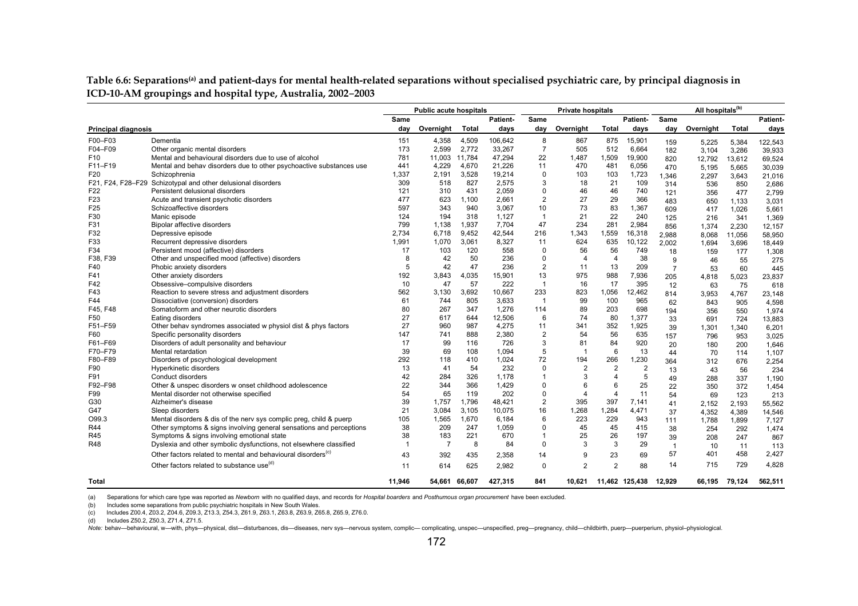Table 6.6: Separations<sup>(a)</sup> and patient-days for mental health-related separations without specialised psychiatric care, by principal diagnosis in **ICD-10-AM groupings and hospital type, Australia, 2002**–**2003**

|                            |                                                                          |                | <b>Public acute hospitals</b> |              |          |                | <b>Private hospitals</b> |                |                |                | All hospitals <sup>(b)</sup> |              |          |
|----------------------------|--------------------------------------------------------------------------|----------------|-------------------------------|--------------|----------|----------------|--------------------------|----------------|----------------|----------------|------------------------------|--------------|----------|
|                            |                                                                          | Same           |                               |              | Patient- | Same           |                          |                | Patient-       | Same           |                              |              | Patient- |
| <b>Principal diagnosis</b> |                                                                          | day            | Overnight                     | <b>Total</b> | days     | day            | Overnight                | Total          | days           | day            | Overnight                    | <b>Total</b> | days     |
| F00-F03                    | Dementia                                                                 | 151            | 4,358                         | 4,509        | 106,642  | 8              | 867                      | 875            | 15,901         | 159            | 5,225                        | 5,384        | 122,543  |
| F04-F09                    | Other organic mental disorders                                           | 173            | 2,599                         | 2,772        | 33,267   | $\overline{7}$ | 505                      | 512            | 6,664          | 182            | 3,104                        | 3,286        | 39,933   |
| F10                        | Mental and behavioural disorders due to use of alcohol                   | 781            | 11,003                        | 11.784       | 47.294   | 22             | 1,487                    | 1,509          | 19,900         | 820            | 12,792                       | 13,612       | 69,524   |
| F11-F19                    | Mental and behav disorders due to other psychoactive substances use      | 441            | 4,229                         | 4,670        | 21.226   | 11             | 470                      | 481            | 6,056          | 470            | 5.195                        | 5,665        | 30,039   |
| F20                        | Schizophrenia                                                            | 1,337          | 2,191                         | 3,528        | 19,214   | 0              | 103                      | 103            | 1,723          | 1.346          | 2,297                        | 3,643        | 21,016   |
|                            | F21, F24, F28-F29 Schizotypal and other delusional disorders             | 309            | 518                           | 827          | 2,575    | 3              | 18                       | 21             | 109            | 314            | 536                          | 850          | 2,686    |
| F <sub>22</sub>            | Persistent delusional disorders                                          | 121            | 310                           | 431          | 2,059    | 0              | 46                       | 46             | 740            | 121            | 356                          | 477          | 2,799    |
| F23                        | Acute and transient psychotic disorders                                  | 477            | 623                           | 1.100        | 2,661    | $\overline{2}$ | 27                       | 29             | 366            | 483            | 650                          | 1,133        | 3,031    |
| F <sub>25</sub>            | Schizoaffective disorders                                                | 597            | 343                           | 940          | 3.067    | 10             | 73                       | 83             | 1,367          | 609            | 417                          | 1,026        | 5,661    |
| F30                        | Manic episode                                                            | 124            | 194                           | 318          | 1,127    | $\overline{1}$ | 21                       | 22             | 240            | 125            | 216                          | 341          | 1,369    |
| F31                        | Bipolar affective disorders                                              | 799            | 1,138                         | 1,937        | 7.704    | 47             | 234                      | 281            | 2,984          | 856            | 1,374                        | 2,230        | 12,157   |
| F32                        | Depressive episode                                                       | 2.734          | 6.718                         | 9.452        | 42.544   | 216            | 1,343                    | 1,559          | 16,318         | 2.988          | 8.068                        | 11,056       | 58,950   |
| F33                        | Recurrent depressive disorders                                           | 1,991          | 1,070                         | 3,061        | 8,327    | 11             | 624                      | 635            | 10,122         | 2.002          | 1,694                        | 3,696        | 18,449   |
| F34                        | Persistent mood (affective) disorders                                    | 17             | 103                           | 120          | 558      | 0              | 56                       | 56             | 749            | 18             | 159                          | 177          | 1,308    |
| F38, F39                   | Other and unspecified mood (affective) disorders                         | 8              | 42                            | 50           | 236      | $\Omega$       | $\boldsymbol{\Delta}$    | $\overline{4}$ | 38             | 9              | 46                           | 55           | 275      |
| F40                        | Phobic anxiety disorders                                                 | 5              | 42                            | 47           | 236      | $\overline{2}$ | 11                       | 13             | 209            | $\overline{7}$ | 53                           | 60           | 445      |
| F41                        | Other anxiety disorders                                                  | 192            | 3,843                         | 4,035        | 15,901   | 13             | 975                      | 988            | 7,936          | 205            | 4,818                        | 5,023        | 23,837   |
| F42                        | Obsessive-compulsive disorders                                           | 10             | 47                            | 57           | 222      | -1             | 16                       | 17             | 395            | 12             | 63                           | 75           | 618      |
| F43                        | Reaction to severe stress and adjustment disorders                       | 562            | 3,130                         | 3,692        | 10,667   | 233            | 823                      | 1,056          | 12,462         | 814            | 3,953                        | 4,767        | 23,148   |
| F44                        | Dissociative (conversion) disorders                                      | 61             | 744                           | 805          | 3.633    | $\overline{1}$ | 99                       | 100            | 965            | 62             | 843                          | 905          | 4,598    |
| F45, F48                   | Somatoform and other neurotic disorders                                  | 80             | 267                           | 347          | 1,276    | 114            | 89                       | 203            | 698            | 194            | 356                          | 550          | 1,974    |
| F50                        | Eating disorders                                                         | 27             | 617                           | 644          | 12,506   | 6              | 74                       | 80             | 1,377          | 33             | 691                          | 724          | 13,883   |
| F51-F59                    | Other behav syndromes associated w physiol dist & phys factors           | 27             | 960                           | 987          | 4,275    | 11             | 341                      | 352            | 1,925          | 39             | 1,301                        | 1,340        | 6,201    |
| F60                        | Specific personality disorders                                           | 147            | 741                           | 888          | 2.380    | $\overline{2}$ | 54                       | 56             | 635            | 157            | 796                          | 953          | 3,025    |
| F61-F69                    | Disorders of adult personality and behaviour                             | 17             | 99                            | 116          | 726      | 3              | 81                       | 84             | 920            | 20             | 180                          | 200          | 1.646    |
| F70-F79                    | Mental retardation                                                       | 39             | 69                            | 108          | 1.094    | 5              | -1                       | 6              | 13             | 44             | 70                           | 114          | 1,107    |
| F80-F89                    | Disorders of pscychological development                                  | 292            | 118                           | 410          | 1,024    | 72             | 194                      | 266            | 1,230          | 364            | 312                          | 676          | 2,254    |
| F90                        | Hyperkinetic disorders                                                   | 13             | 41                            | 54           | 232      | 0              | $\overline{2}$           | $\overline{2}$ | $\overline{2}$ | 13             | 43                           | 56           | 234      |
| F91                        | Conduct disorders                                                        | 42             | 284                           | 326          | 1.178    | 1              | 3                        | $\overline{4}$ | 5              | 49             | 288                          | 337          | 1,190    |
| F92-F98                    | Other & unspec disorders w onset childhood adolescence                   | 22             | 344                           | 366          | 1,429    | 0              | 6                        | 6              | 25             | 22             | 350                          | 372          | 1,454    |
| F99                        | Mental disorder not otherwise specified                                  | 54             | 65                            | 119          | 202      | 0              | $\overline{\mathbf{4}}$  | $\overline{4}$ | 11             | 54             | 69                           | 123          | 213      |
| G30                        | Alzheimer's disease                                                      | 39             | 1,757                         | 1,796        | 48,421   | $\overline{2}$ | 395                      | 397            | 7,141          | 41             | 2,152                        | 2,193        | 55,562   |
| G47                        | Sleep disorders                                                          | 21             | 3.084                         | 3.105        | 10.075   | 16             | 1,268                    | 1,284          | 4,471          | 37             | 4,352                        | 4,389        | 14,546   |
| O99.3                      | Mental disorders & dis of the nerv sys complic preg, child & puerp       | 105            | 1,565                         | 1,670        | 6.184    | 6              | 223                      | 229            | 943            | 111            | 1,788                        | 1,899        | 7,127    |
| R44                        | Other symptoms & signs involving general sensations and perceptions      | 38             | 209                           | 247          | 1,059    | <sup>0</sup>   | 45                       | 45             | 415            | 38             | 254                          | 292          | 1,474    |
| R45                        | Symptoms & signs involving emotional state                               | 38             | 183                           | 221          | 670      | 1              | 25                       | 26             | 197            | 39             | 208                          | 247          | 867      |
| R48                        | Dyslexia and other symbolic dysfunctions, not elsewhere classified       | $\overline{1}$ | $\overline{7}$                | 8            | 84       | 0              | 3                        | 3              | 29             | $\overline{1}$ | 10                           | 11           | 113      |
|                            | Other factors related to mental and behavioural disorders <sup>(c)</sup> | 43             | 392                           | 435          | 2,358    | 14             | 9                        | 23             | 69             | 57             | 401                          | 458          | 2,427    |
|                            | Other factors related to substance use <sup>(d)</sup>                    | 11             | 614                           | 625          | 2,982    | 0              | $\overline{2}$           | $\overline{2}$ | 88             | 14             | 715                          | 729          | 4,828    |
| <b>Total</b>               |                                                                          | 11,946         | 54,661                        | 66.607       | 427,315  | 841            | 10.621                   |                | 11,462 125,438 | 12,929         | 66,195                       | 79,124       | 562,511  |

(a) Separations for which care type was reported as *Newborn* with no qualified days, and records for *Hospital boarders* and *Posthumous organ procurement* have been excluded.

(b) Includes some separations from public psychiatric hospitals in New South Wales.

(c) Includes Z00.4, Z03.2, Z04.6, Z09.3, Z13.3, Z54.3, Z61.9, Z63.1, Z63.8, Z63.9, Z65.8, Z65.9, Z76.0.

(d) Includes Z50.2, Z50.3, Z71.4, Z71.5.

Note: behav-behavioural, w-with, phys-physical, dist-disturbances, dis-diseases, nerv sys-nervous system, complic- complicating, unspec-unspecified, preg-pregnancy, child-childbirth, puerp-puerperium, physiol-physiological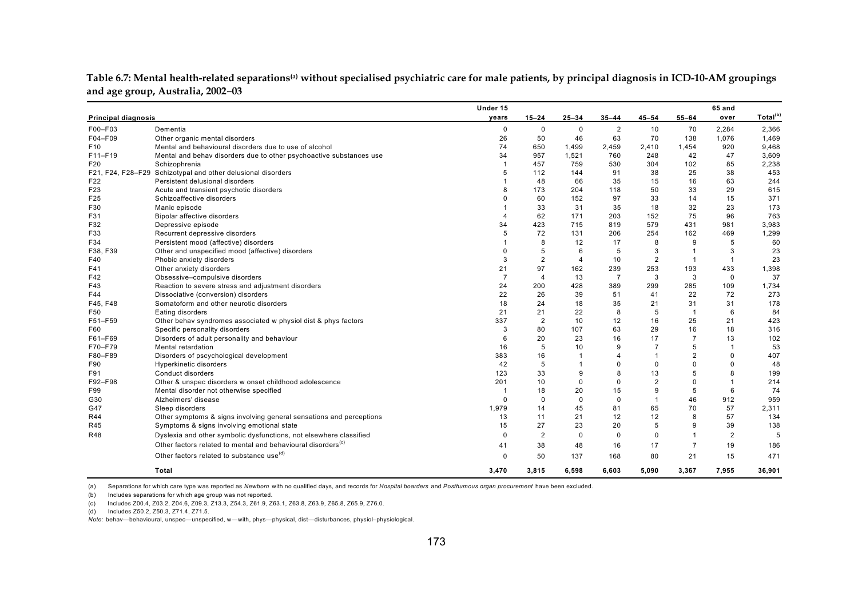|                            |                                                                          | Under 15       |                |                |                |                |                | 65 and         |                      |
|----------------------------|--------------------------------------------------------------------------|----------------|----------------|----------------|----------------|----------------|----------------|----------------|----------------------|
| <b>Principal diagnosis</b> |                                                                          | years          | $15 - 24$      | $25 - 34$      | $35 - 44$      | 45-54          | $55 - 64$      | over           | Total <sup>(b)</sup> |
| F00-F03                    | Dementia                                                                 | 0              | 0              | $\mathbf 0$    | $\overline{2}$ | 10             | 70             | 2,284          | 2,366                |
| F04-F09                    | Other organic mental disorders                                           | 26             | 50             | 46             | 63             | 70             | 138            | 1,076          | 1,469                |
| F <sub>10</sub>            | Mental and behavioural disorders due to use of alcohol                   | 74             | 650            | 1,499          | 2,459          | 2,410          | 1.454          | 920            | 9,468                |
| F11-F19                    | Mental and behav disorders due to other psychoactive substances use      | 34             | 957            | 1,521          | 760            | 248            | 42             | 47             | 3,609                |
| F20                        | Schizophrenia                                                            |                | 457            | 759            | 530            | 304            | 102            | 85             | 2,238                |
|                            | F21, F24, F28-F29 Schizotypal and other delusional disorders             | 5              | 112            | 144            | 91             | 38             | 25             | 38             | 453                  |
| F22                        | Persistent delusional disorders                                          |                | 48             | 66             | 35             | 15             | 16             | 63             | 244                  |
| F23                        | Acute and transient psychotic disorders                                  | 8              | 173            | 204            | 118            | 50             | 33             | 29             | 615                  |
| F25                        | Schizoaffective disorders                                                |                | 60             | 152            | 97             | 33             | 14             | 15             | 371                  |
| F30                        | Manic episode                                                            |                | 33             | 31             | 35             | 18             | 32             | 23             | 173                  |
| F31                        | Bipolar affective disorders                                              |                | 62             | 171            | 203            | 152            | 75             | 96             | 763                  |
| F32                        | Depressive episode                                                       | 34             | 423            | 715            | 819            | 579            | 431            | 981            | 3,983                |
| F33                        | Recurrent depressive disorders                                           | 5              | 72             | 131            | 206            | 254            | 162            | 469            | 1,299                |
| F34                        | Persistent mood (affective) disorders                                    |                | 8              | 12             | 17             | 8              | 9              | 5              | 60                   |
| F38, F39                   | Other and unspecified mood (affective) disorders                         |                | 5              | 6              | 5              | 3              | $\overline{1}$ | 3              | 23                   |
| F40                        | Phobic anxiety disorders                                                 | 3              | $\overline{2}$ | $\overline{4}$ | 10             | $\overline{2}$ | $\mathbf{1}$   | $\mathbf{1}$   | 23                   |
| F41                        | Other anxiety disorders                                                  | 21             | 97             | 162            | 239            | 253            | 193            | 433            | 1,398                |
| F42                        | Obsessive-compulsive disorders                                           | $\overline{7}$ | $\overline{4}$ | 13             | $\overline{7}$ | 3              | 3              | $\mathbf 0$    | 37                   |
| F43                        | Reaction to severe stress and adjustment disorders                       | 24             | 200            | 428            | 389            | 299            | 285            | 109            | 1,734                |
| F44                        | Dissociative (conversion) disorders                                      | 22             | 26             | 39             | 51             | 41             | 22             | 72             | 273                  |
| F45, F48                   | Somatoform and other neurotic disorders                                  | 18             | 24             | 18             | 35             | 21             | 31             | 31             | 178                  |
| F50                        | Eating disorders                                                         | 21             | 21             | 22             | 8              | 5              | $\overline{1}$ | 6              | 84                   |
| F51-F59                    | Other behav syndromes associated w physiol dist & phys factors           | 337            | $\overline{2}$ | 10             | 12             | 16             | 25             | 21             | 423                  |
| F60                        | Specific personality disorders                                           | 3              | 80             | 107            | 63             | 29             | 16             | 18             | 316                  |
| F61-F69                    | Disorders of adult personality and behaviour                             | 6              | 20             | 23             | 16             | 17             | $\overline{7}$ | 13             | 102                  |
| F70-F79                    | Mental retardation                                                       | 16             | 5              | 10             | 9              | $\overline{7}$ | 5              | $\overline{1}$ | 53                   |
| F80-F89                    | Disorders of pscychological development                                  | 383            | 16             | $\mathbf{1}$   | $\overline{4}$ | $\overline{1}$ | $\overline{2}$ | $\Omega$       | 407                  |
| F90                        | Hyperkinetic disorders                                                   | 42             | 5              | $\overline{1}$ | $\Omega$       | $\mathbf 0$    | $\Omega$       |                | 48                   |
| F91                        | Conduct disorders                                                        | 123            | 33             | 9              | 8              | 13             | 5              |                | 199                  |
| F92-F98                    | Other & unspec disorders w onset childhood adolescence                   | 201            | 10             | $\Omega$       | $\Omega$       | $\overline{2}$ | $\Omega$       |                | 214                  |
| F99                        | Mental disorder not otherwise specified                                  |                | 18             | 20             | 15             | 9              | 5              | 6              | 74                   |
| G30                        | Alzheimers' disease                                                      | $\Omega$       | $\mathbf 0$    | $\Omega$       | $\mathbf 0$    | $\overline{1}$ | 46             | 912            | 959                  |
| G47                        | Sleep disorders                                                          | 1,979          | 14             | 45             | 81             | 65             | 70             | 57             | 2,311                |
| R44                        | Other symptoms & signs involving general sensations and perceptions      | 13             | 11             | 21             | 12             | 12             | 8              | 57             | 134                  |
| R45                        | Symptoms & signs involving emotional state                               | 15             | 27             | 23             | 20             | 5              | 9              | 39             | 138                  |
| R48                        | Dyslexia and other symbolic dysfunctions, not elsewhere classified       | $\Omega$       | $\overline{2}$ | $\mathbf 0$    | $\mathbf 0$    | $\Omega$       | 1              | $\overline{2}$ | 5                    |
|                            | Other factors related to mental and behavioural disorders <sup>(c)</sup> | 41             | 38             | 48             | 16             | 17             | $\overline{7}$ | 19             | 186                  |
|                            | Other factors related to substance use <sup>(d)</sup>                    | ŋ              | 50             | 137            | 168            | 80             | 21             | 15             | 471                  |
|                            |                                                                          |                |                |                |                |                |                |                |                      |
|                            | Total                                                                    | 3.470          | 3.815          | 6.598          | 6.603          | 5.090          | 3.367          | 7.955          | 36.901               |

**Table 6.7: Mental health-related separations(a) without specialised psychiatric care for male patients, by principal diagnosis in ICD-10-AM groupings and age group, Australia, 2002**–**03** 

(a) Separations for which care type was reported as *Newborn* with no qualified days, and records for *Hospital boarders* and *Posthumous organ procurement* have been excluded.

(b) Includes separations for which age group was not reported.

(c) Includes Z00.4, Z03.2, Z04.6, Z09.3, Z13.3, Z54.3, Z61.9, Z63.1, Z63.8, Z63.9, Z65.8, Z65.9, Z76.0.

(d) Includes Z50.2, Z50.3, Z71.4, Z71.5.

*Note:* behav—behavioural, unspec—unspecified, w—with, phys—physical, dist—disturbances, physiol–physiological.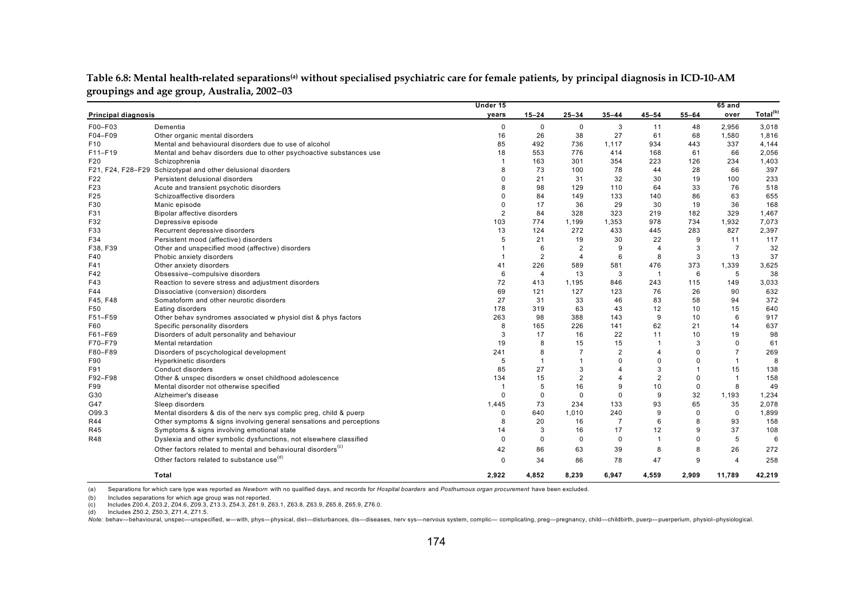|                            |                                                                          | Under 15       |                |                |                         |                |             | $65$ and       |                      |
|----------------------------|--------------------------------------------------------------------------|----------------|----------------|----------------|-------------------------|----------------|-------------|----------------|----------------------|
| <b>Principal diagnosis</b> |                                                                          | years          | $15 - 24$      | $25 - 34$      | $35 - 44$               | $45 - 54$      | $55 - 64$   | over           | Total <sup>(b)</sup> |
| F00-F03                    | Dementia                                                                 | $\mathbf 0$    | $\mathbf 0$    | 0              | 3                       | 11             | 48          | 2,956          | 3,018                |
| F04-F09                    | Other organic mental disorders                                           | 16             | 26             | 38             | 27                      | 61             | 68          | 1,580          | 1,816                |
| F10                        | Mental and behavioural disorders due to use of alcohol                   | 85             | 492            | 736            | 1,117                   | 934            | 443         | 337            | 4,144                |
| $F11-F19$                  | Mental and behav disorders due to other psychoactive substances use      | 18             | 553            | 776            | 414                     | 168            | 61          | 66             | 2,056                |
| F20                        | Schizophrenia                                                            |                | 163            | 301            | 354                     | 223            | 126         | 234            | 1,403                |
|                            | F21, F24, F28-F29 Schizotypal and other delusional disorders             | 8              | 73             | 100            | 78                      | 44             | 28          | 66             | 397                  |
| F22                        | Persistent delusional disorders                                          | $\Omega$       | 21             | 31             | 32                      | 30             | 19          | 100            | 233                  |
| F23                        | Acute and transient psychotic disorders                                  | 8              | 98             | 129            | 110                     | 64             | 33          | 76             | 518                  |
| F25                        | Schizoaffective disorders                                                | ŋ              | 84             | 149            | 133                     | 140            | 86          | 63             | 655                  |
| F30                        | Manic episode                                                            | $\Omega$       | 17             | 36             | 29                      | 30             | 19          | 36             | 168                  |
| F31                        | <b>Bipolar affective disorders</b>                                       | $\overline{2}$ | 84             | 328            | 323                     | 219            | 182         | 329            | 1,467                |
| F32                        | Depressive episode                                                       | 103            | 774            | 1,199          | 1,353                   | 978            | 734         | 1,932          | 7,073                |
| F33                        | Recurrent depressive disorders                                           | 13             | 124            | 272            | 433                     | 445            | 283         | 827            | 2,397                |
| F34                        | Persistent mood (affective) disorders                                    | 5              | 21             | 19             | 30                      | 22             | 9           | 11             | 117                  |
| F38, F39                   | Other and unspecified mood (affective) disorders                         |                | 6              | 2              | 9                       | $\overline{4}$ | 3           | $\overline{7}$ | 32                   |
| F40                        | Phobic anxiety disorders                                                 |                | $\overline{2}$ | $\overline{4}$ | 6                       | 8              | 3           | 13             | 37                   |
| F41                        | Other anxiety disorders                                                  | 41             | 226            | 589            | 581                     | 476            | 373         | 1,339          | 3,625                |
| F42                        | Obsessive-compulsive disorders                                           | 6              | $\overline{4}$ | 13             | 3                       | $\overline{1}$ | 6           | 5              | 38                   |
| F43                        | Reaction to severe stress and adjustment disorders                       | 72             | 413            | 1,195          | 846                     | 243            | 115         | 149            | 3,033                |
| F44                        | Dissociative (conversion) disorders                                      | 69             | 121            | 127            | 123                     | 76             | 26          | 90             | 632                  |
| F45, F48                   | Somatoform and other neurotic disorders                                  | 27             | 31             | 33             | 46                      | 83             | 58          | 94             | 372                  |
| F50                        | Eating disorders                                                         | 178            | 319            | 63             | 43                      | 12             | 10          | 15             | 640                  |
| F51-F59                    | Other behav syndromes associated w physiol dist & phys factors           | 263            | 98             | 388            | 143                     | 9              | 10          | 6              | 917                  |
| F60                        | Specific personality disorders                                           | 8              | 165            | 226            | 141                     | 62             | 21          | 14             | 637                  |
| F61-F69                    | Disorders of adult personality and behaviour                             | 3              | 17             | 16             | 22                      | 11             | 10          | 19             | 98                   |
| F70-F79                    | Mental retardation                                                       | 19             | 8              | 15             | 15                      | $\overline{1}$ | 3           | $\Omega$       | 61                   |
| F80-F89                    | Disorders of pscychological development                                  | 241            | 8              | $\overline{7}$ | 2                       | $\overline{4}$ | $\Omega$    | $\overline{7}$ | 269                  |
| F90                        | <b>Hyperkinetic disorders</b>                                            | 5              | $\mathbf{1}$   | $\mathbf{1}$   | $\Omega$                | $\Omega$       | $\Omega$    | $\mathbf{1}$   | 8                    |
| F91                        | Conduct disorders                                                        | 85             | 27             | 3              | $\overline{\mathbf{A}}$ | 3              |             | 15             | 138                  |
| F92-F98                    | Other & unspec disorders w onset childhood adolescence                   | 134            | 15             | $\overline{2}$ | 4                       | $\overline{2}$ | $\mathbf 0$ | $\overline{1}$ | 158                  |
| F99                        | Mental disorder not otherwise specified                                  |                | 5              | 16             | 9                       | 10             | $\mathbf 0$ | 8              | 49                   |
| G30                        | Alzheimer's disease                                                      | $\Omega$       | $\mathbf 0$    | $\mathbf 0$    | $\mathbf 0$             | 9              | 32          | 1,193          | 1,234                |
| G47                        | Sleep disorders                                                          | 1,445          | 73             | 234            | 133                     | 93             | 65          | 35             | 2,078                |
| O99.3                      | Mental disorders & dis of the nerv sys complic preg, child & puerp       | $\Omega$       | 640            | 1,010          | 240                     | 9              | $\mathbf 0$ | $\Omega$       | 1,899                |
| R44                        | Other symptoms & signs involving general sensations and perceptions      | 8              | 20             | 16             | $\overline{7}$          | 6              | 8           | 93             | 158                  |
| R45                        | Symptoms & signs involving emotional state                               | 14             | 3              | 16             | 17                      | 12             | 9           | 37             | 108                  |
| <b>R48</b>                 | Dyslexia and other symbolic dysfunctions, not elsewhere classified       | $\mathbf 0$    | $\Omega$       | $\Omega$       | $\mathbf 0$             | $\overline{1}$ | $\Omega$    | 5              | 6                    |
|                            | Other factors related to mental and behavioural disorders <sup>(c)</sup> | 42             | 86             | 63             | 39                      | 8              | 8           | 26             | 272                  |
|                            | Other factors related to substance use <sup>(d)</sup>                    | 0              | 34             | 86             | 78                      | 47             | 9           | $\overline{4}$ | 258                  |
|                            | Total                                                                    | 2,922          | 4,852          | 8,239          | 6,947                   | 4,559          | 2,909       | 11,789         | 42,219               |

**Table 6.8: Mental health-related separations(a) without specialised psychiatric care for female patients, by principal diagnosis in ICD-10-AM groupings and age group, Australia, 2002**–**03**

(a) Separations for which care type was reported as *Newborn* with no qualified days, and records for *Hospital boarders* and *Posthumous organ procurement* have been excluded.

(b) Includes separations for which age group was not reported.

(c) Includes Z00.4, Z03.2, Z04.6, Z09.3, Z13.3, Z54.3, Z61.9, Z63.1, Z63.8, Z63.9, Z65.8, Z65.9, Z76.0.

(d) Includes Z50.2, Z50.3, Z71.4, Z71.5.

Note: behav-behavioural, unspec-unspecified, w-with, phys-physical, dist-disturbances, dis-diseases, nerv sys-nervous system, complic- complicating, preg-pregnancy, child-childbirth, puerp-puerperium, physiol-physiological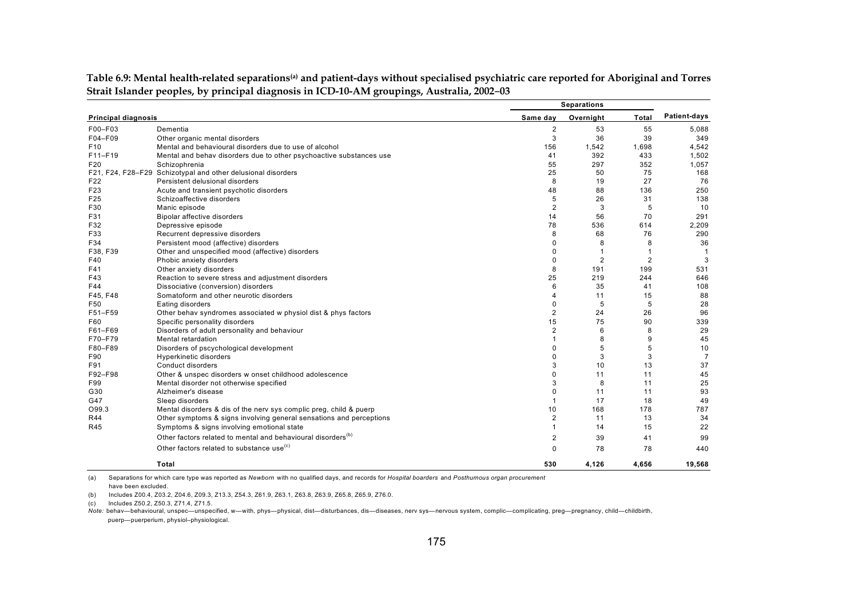|                            | <b>Separations</b>                                                       |                |                |                |                |
|----------------------------|--------------------------------------------------------------------------|----------------|----------------|----------------|----------------|
| <b>Principal diagnosis</b> |                                                                          | Same day       | Overnight      | <b>Total</b>   | Patient-days   |
| F00-F03                    | Dementia                                                                 | 2              | 53             | 55             | 5,088          |
| F04-F09                    | Other organic mental disorders                                           | 3              | 36             | 39             | 349            |
| F <sub>10</sub>            | Mental and behavioural disorders due to use of alcohol                   | 156            | 1,542          | 1,698          | 4,542          |
| F11-F19                    | Mental and behav disorders due to other psychoactive substances use      | 41             | 392            | 433            | 1,502          |
| F <sub>20</sub>            | Schizophrenia                                                            | 55             | 297            | 352            | 1,057          |
|                            | F21, F24, F28-F29 Schizotypal and other delusional disorders             | 25             | 50             | 75             | 168            |
| F <sub>22</sub>            | Persistent delusional disorders                                          | 8              | 19             | 27             | 76             |
| F <sub>23</sub>            | Acute and transient psychotic disorders                                  | 48             | 88             | 136            | 250            |
| F <sub>25</sub>            | Schizoaffective disorders                                                | 5              | 26             | 31             | 138            |
| F30                        | Manic episode                                                            | 2              | 3              | 5              | 10             |
| F31                        | Bipolar affective disorders                                              | 14             | 56             | 70             | 291            |
| F32                        | Depressive episode                                                       | 78             | 536            | 614            | 2,209          |
| F33                        | Recurrent depressive disorders                                           | 8              | 68             | 76             | 290            |
| F34                        | Persistent mood (affective) disorders                                    | 0              | 8              | 8              | 36             |
| F38, F39                   | Other and unspecified mood (affective) disorders                         | 0              | $\overline{1}$ |                | $\overline{1}$ |
| F40                        | Phobic anxiety disorders                                                 | 0              | $\overline{2}$ | $\overline{2}$ | 3              |
| F41                        | Other anxiety disorders                                                  | 8              | 191            | 199            | 531            |
| F43                        | Reaction to severe stress and adjustment disorders                       | 25             | 219            | 244            | 646            |
| F44                        | Dissociative (conversion) disorders                                      | 6              | 35             | 41             | 108            |
| F45, F48                   | Somatoform and other neurotic disorders                                  | 4              | 11             | 15             | 88             |
| F50                        | Eating disorders                                                         | 0              | 5              | 5              | 28             |
| F51-F59                    | Other behav syndromes associated w physiol dist & phys factors           | 2              | 24             | 26             | 96             |
| F60                        | Specific personality disorders                                           | 15             | 75             | 90             | 339            |
| F61-F69                    | Disorders of adult personality and behaviour                             | $\overline{2}$ | 6              | 8              | 29             |
| F70-F79                    | Mental retardation                                                       | 1              | 8              | 9              | 45             |
| F80-F89                    | Disorders of pscychological development                                  | 0              | 5              | 5              | 10             |
| F90                        | Hyperkinetic disorders                                                   | 0              | 3              | 3              | $\overline{7}$ |
| F91                        | Conduct disorders                                                        | 3              | 10             | 13             | 37             |
| F92-F98                    | Other & unspec disorders w onset childhood adolescence                   | 0              | 11             | 11             | 45             |
| F99                        | Mental disorder not otherwise specified                                  | 3              | 8              | 11             | 25             |
| G30                        | Alzheimer's disease                                                      | 0              | 11             | 11             | 93             |
| G47                        | Sleep disorders                                                          | $\mathbf{1}$   | 17             | 18             | 49             |
| O99.3                      | Mental disorders & dis of the nerv sys complic preg, child & puerp       | 10             | 168            | 178            | 787            |
| R44                        | Other symptoms & signs involving general sensations and perceptions      | $\overline{2}$ | 11             | 13             | 34             |
| R45                        | Symptoms & signs involving emotional state                               | $\mathbf{1}$   | 14             | 15             | 22             |
|                            | Other factors related to mental and behavioural disorders <sup>(b)</sup> | 2              | 39             | 41             | 99             |
|                            | Other factors related to substance use <sup>(c)</sup>                    | 0              | 78             | 78             | 440            |
|                            | Total                                                                    | 530            | 4,126          | 4,656          | 19,568         |
|                            |                                                                          |                |                |                |                |

**Table 6.9: Mental health-related separations(a) and patient-days without specialised psychiatric care reported for Aboriginal and Torres Strait Islander peoples, by principal diagnosis in ICD-10-AM groupings, Australia, 2002**–**03**

(a) Separations for which care type was reported as *Newborn* with no qualified days, and records for *Hospital boarders* and *Posthumous organ procurement*

have been excluded.

(b) Includes Z00.4, Z03.2, Z04.6, Z09.3, Z13.3, Z54.3, Z61.9, Z63.1, Z63.8, Z63.9, Z65.8, Z65.9, Z76.0.

(c) Includes Z50.2, Z50.3, Z71.4, Z71.5.

*Note:* behav—behavioural, unspec—unspecified, w—with, phys—physical, dist—disturbances, dis—diseases, nerv sys—nervous system, complic—complicating, preg—pregnancy, child—childbirth, puerp—puerperium, physiol–physiological.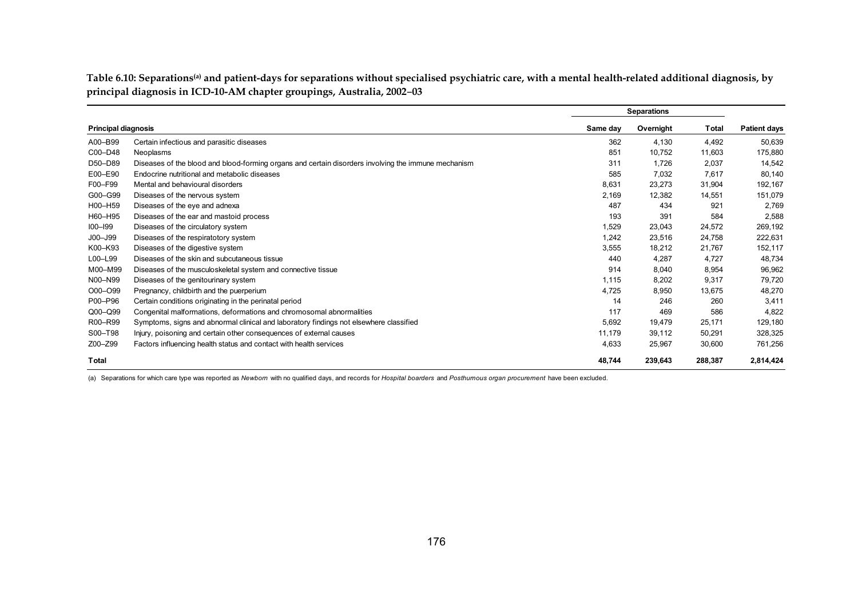Table 6.10: Separations<sup>(a)</sup> and patient-days for separations without specialised psychiatric care, with a mental health-related additional diagnosis, by **principal diagnosis in ICD-10-AM chapter groupings, Australia, 2002**–**03**

|                            |                                                                                                     |          | <b>Separations</b> |         |                     |
|----------------------------|-----------------------------------------------------------------------------------------------------|----------|--------------------|---------|---------------------|
| <b>Principal diagnosis</b> |                                                                                                     | Same day | Overnight          | Total   | <b>Patient days</b> |
| A00-B99                    | Certain infectious and parasitic diseases                                                           | 362      | 4,130              | 4,492   | 50,639              |
| C00-D48                    | Neoplasms                                                                                           | 851      | 10,752             | 11,603  | 175,880             |
| D50-D89                    | Diseases of the blood and blood-forming organs and certain disorders involving the immune mechanism | 311      | 1,726              | 2,037   | 14,542              |
| E00-E90                    | Endocrine nutritional and metabolic diseases                                                        | 585      | 7,032              | 7,617   | 80,140              |
| F00-F99                    | Mental and behavioural disorders                                                                    | 8,631    | 23,273             | 31,904  | 192,167             |
| G00-G99                    | Diseases of the nervous system                                                                      | 2.169    | 12,382             | 14,551  | 151,079             |
| H00-H59                    | Diseases of the eye and adnexa                                                                      | 487      | 434                | 921     | 2,769               |
| H60-H95                    | Diseases of the ear and mastoid process                                                             | 193      | 391                | 584     | 2,588               |
| $100 - 199$                | Diseases of the circulatory system                                                                  | 1,529    | 23,043             | 24,572  | 269,192             |
| J00-J99                    | Diseases of the respiratotory system                                                                | 1,242    | 23,516             | 24,758  | 222,631             |
| K00-K93                    | Diseases of the digestive system                                                                    | 3,555    | 18,212             | 21,767  | 152,117             |
| L00-L99                    | Diseases of the skin and subcutaneous tissue                                                        | 440      | 4,287              | 4,727   | 48,734              |
| M00-M99                    | Diseases of the musculoskeletal system and connective tissue                                        | 914      | 8,040              | 8,954   | 96,962              |
| N00-N99                    | Diseases of the genitourinary system                                                                | 1,115    | 8,202              | 9,317   | 79,720              |
| O00-O99                    | Pregnancy, childbirth and the puerperium                                                            | 4,725    | 8,950              | 13,675  | 48,270              |
| P00-P96                    | Certain conditions originating in the perinatal period                                              | 14       | 246                | 260     | 3,411               |
| $Q00 - Q99$                | Congenital malformations, deformations and chromosomal abnormalities                                | 117      | 469                | 586     | 4,822               |
| R00-R99                    | Symptoms, signs and abnormal clinical and laboratory findings not elsewhere classified              | 5.692    | 19,479             | 25,171  | 129,180             |
| S00-T98                    | Injury, poisoning and certain other consequences of external causes                                 | 11,179   | 39,112             | 50,291  | 328,325             |
| Z00-Z99                    | Factors influencing health status and contact with health services                                  | 4,633    | 25,967             | 30,600  | 761,256             |
| <b>Total</b>               |                                                                                                     | 48.744   | 239.643            | 288.387 | 2,814,424           |

(a) Separations for which care type was reported as *Newborn* with no qualified days, and records for *Hospital boarders* and *Posthumous organ procurement* have been excluded.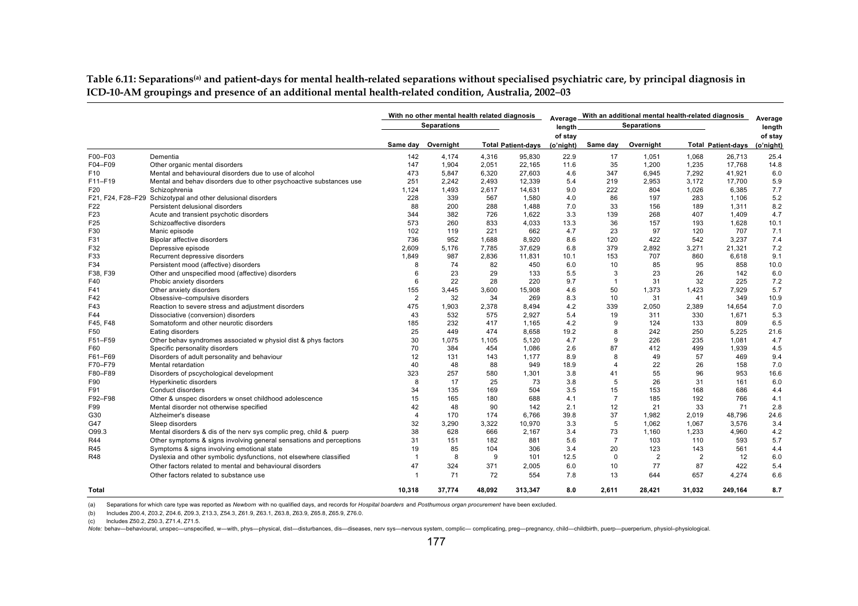Table 6.11: Separations<sup>(a)</sup> and patient-days for mental health-related separations without specialised psychiatric care, by principal diagnosis in **ICD-10-AM groupings and presence of an additional mental health-related condition, Australia, 2002**–**03**

|                 |                                                                     |                | With no other mental health related diagnosis |        |                           |           |                | Average With an additional mental health-related diagnosis |        |                           | Average   |
|-----------------|---------------------------------------------------------------------|----------------|-----------------------------------------------|--------|---------------------------|-----------|----------------|------------------------------------------------------------|--------|---------------------------|-----------|
|                 |                                                                     |                | <b>Separations</b>                            |        |                           | length.   |                | <b>Separations</b>                                         |        |                           | length    |
|                 |                                                                     |                |                                               |        |                           | of stay   |                |                                                            |        |                           | of stay   |
|                 |                                                                     | Same dav       | Overnight                                     |        | <b>Total Patient-days</b> | (o'night) | Same day       | Overnight                                                  |        | <b>Total Patient-days</b> | (o'night) |
| F00-F03         | Dementia                                                            | 142            | 4,174                                         | 4,316  | 95,830                    | 22.9      | 17             | 1,051                                                      | 1,068  | 26,713                    | 25.4      |
| F04-F09         | Other organic mental disorders                                      | 147            | 1,904                                         | 2,051  | 22,165                    | 11.6      | 35             | 1,200                                                      | 1,235  | 17,768                    | 14.8      |
| F <sub>10</sub> | Mental and behavioural disorders due to use of alcohol              | 473            | 5,847                                         | 6,320  | 27,603                    | 4.6       | 347            | 6,945                                                      | 7,292  | 41,921                    | 6.0       |
| F11-F19         | Mental and behav disorders due to other psychoactive substances use | 251            | 2,242                                         | 2,493  | 12,339                    | 5.4       | 219            | 2,953                                                      | 3,172  | 17,700                    | 5.9       |
| F <sub>20</sub> | Schizophrenia                                                       | 1,124          | 1,493                                         | 2,617  | 14,631                    | 9.0       | 222            | 804                                                        | 1,026  | 6,385                     | 7.7       |
|                 | F21, F24, F28-F29 Schizotypal and other delusional disorders        | 228            | 339                                           | 567    | 1,580                     | 4.0       | 86             | 197                                                        | 283    | 1,106                     | 5.2       |
| F22             | Persistent delusional disorders                                     | 88             | 200                                           | 288    | 1,488                     | 7.0       | 33             | 156                                                        | 189    | 1,311                     | 8.2       |
| F <sub>23</sub> | Acute and transient psychotic disorders                             | 344            | 382                                           | 726    | 1,622                     | 3.3       | 139            | 268                                                        | 407    | 1,409                     | 4.7       |
| F25             | Schizoaffective disorders                                           | 573            | 260                                           | 833    | 4,033                     | 13.3      | 36             | 157                                                        | 193    | 1,628                     | 10.1      |
| F30             | Manic episode                                                       | 102            | 119                                           | 221    | 662                       | 4.7       | 23             | 97                                                         | 120    | 707                       | 7.1       |
| F31             | <b>Bipolar affective disorders</b>                                  | 736            | 952                                           | 1,688  | 8,920                     | 8.6       | 120            | 422                                                        | 542    | 3,237                     | 7.4       |
| F32             | Depressive episode                                                  | 2.609          | 5.176                                         | 7.785  | 37.629                    | 6.8       | 379            | 2.892                                                      | 3.271  | 21.321                    | 7.2       |
| F33             | Recurrent depressive disorders                                      | 1.849          | 987                                           | 2.836  | 11,831                    | 10.1      | 153            | 707                                                        | 860    | 6.618                     | 9.1       |
| F34             | Persistent mood (affective) disorders                               | 8              | 74                                            | 82     | 450                       | 6.0       | 10             | 85                                                         | 95     | 858                       | 10.0      |
| F38, F39        | Other and unspecified mood (affective) disorders                    | 6              | 23                                            | 29     | 133                       | 5.5       | 3              | 23                                                         | 26     | 142                       | 6.0       |
| F40             | Phobic anxiety disorders                                            | 6              | 22                                            | 28     | 220                       | 9.7       | $\overline{1}$ | 31                                                         | 32     | 225                       | 7.2       |
| F41             | Other anxiety disorders                                             | 155            | 3.445                                         | 3,600  | 15,908                    | 4.6       | 50             | 1,373                                                      | 1,423  | 7,929                     | 5.7       |
| F42             | Obsessive-compulsive disorders                                      | $\overline{2}$ | 32                                            | 34     | 269                       | 8.3       | 10             | 31                                                         | 41     | 349                       | 10.9      |
| F43             | Reaction to severe stress and adjustment disorders                  | 475            | 1,903                                         | 2,378  | 8.494                     | 4.2       | 339            | 2,050                                                      | 2,389  | 14,654                    | 7.0       |
| F44             | Dissociative (conversion) disorders                                 | 43             | 532                                           | 575    | 2.927                     | 5.4       | 19             | 311                                                        | 330    | 1.671                     | 5.3       |
| F45. F48        | Somatoform and other neurotic disorders                             | 185            | 232                                           | 417    | 1.165                     | 4.2       | 9              | 124                                                        | 133    | 809                       | 6.5       |
| F <sub>50</sub> | Eating disorders                                                    | 25             | 449                                           | 474    | 8.658                     | 19.2      | 8              | 242                                                        | 250    | 5,225                     | 21.6      |
| F51-F59         | Other behav syndromes associated w physiol dist & phys factors      | 30             | 1,075                                         | 1,105  | 5,120                     | 4.7       | 9              | 226                                                        | 235    | 1,081                     | 4.7       |
| F60             | Specific personality disorders                                      | 70             | 384                                           | 454    | 1,086                     | 2.6       | 87             | 412                                                        | 499    | 1,939                     | 4.5       |
| F61-F69         | Disorders of adult personality and behaviour                        | 12             | 131                                           | 143    | 1,177                     | 8.9       | 8              | 49                                                         | 57     | 469                       | 9.4       |
| F70-F79         | Mental retardation                                                  | 40             | 48                                            | 88     | 949                       | 18.9      | $\overline{4}$ | 22                                                         | 26     | 158                       | 7.0       |
| F80-F89         | Disorders of pscychological development                             | 323            | 257                                           | 580    | 1,301                     | 3.8       | 41             | 55                                                         | 96     | 953                       | 16.6      |
| F90             | Hyperkinetic disorders                                              | 8              | 17                                            | 25     | 73                        | 3.8       | 5              | 26                                                         | 31     | 161                       | 6.0       |
| F91             | Conduct disorders                                                   | 34             | 135                                           | 169    | 504                       | 3.5       | 15             | 153                                                        | 168    | 686                       | 4.4       |
| F92-F98         | Other & unspec disorders w onset childhood adolescence              | 15             | 165                                           | 180    | 688                       | 4.1       | $\overline{7}$ | 185                                                        | 192    | 766                       | 4.1       |
| F99             | Mental disorder not otherwise specified                             | 42             | 48                                            | 90     | 142                       | 2.1       | 12             | 21                                                         | 33     | 71                        | 2.8       |
| G30             | Alzheimer's disease                                                 | $\overline{4}$ | 170                                           | 174    | 6,766                     | 39.8      | 37             | 1,982                                                      | 2,019  | 48,796                    | 24.6      |
| G47             | Sleep disorders                                                     | 32             | 3,290                                         | 3,322  | 10,970                    | 3.3       | 5              | 1,062                                                      | 1,067  | 3,576                     | 3.4       |
| O99.3           | Mental disorders & dis of the nerv sys complic preq, child & puerp  | 38             | 628                                           | 666    | 2.167                     | 3.4       | 73             | 1.160                                                      | 1.233  | 4.960                     | 4.2       |
| R44             | Other symptoms & signs involving general sensations and perceptions | 31             | 151                                           | 182    | 881                       | 5.6       | $\overline{7}$ | 103                                                        | 110    | 593                       | 5.7       |
| R45             | Symptoms & signs involving emotional state                          | 19             | 85                                            | 104    | 306                       | 3.4       | 20             | 123                                                        | 143    | 561                       | 4.4       |
| R48             | Dyslexia and other symbolic dysfunctions, not elsewhere classified  | $\overline{1}$ | 8                                             | 9      | 101                       | 12.5      | $\mathbf 0$    | 2                                                          | 2      | 12                        | 6.0       |
|                 |                                                                     | 47             |                                               |        |                           | 6.0       |                | 77                                                         | 87     | 422                       |           |
|                 | Other factors related to mental and behavioural disorders           |                | 324                                           | 371    | 2,005                     |           | 10             |                                                            |        |                           | 5.4       |
|                 | Other factors related to substance use                              | $\mathbf{1}$   | 71                                            | 72     | 554                       | 7.8       | 13             | 644                                                        | 657    | 4,274                     | 6.6       |
| Total           |                                                                     | 10.318         | 37.774                                        | 48.092 | 313.347                   | 8.0       | 2.611          | 28.421                                                     | 31.032 | 249.164                   | 8.7       |

(a) Separations for which care type was reported as *Newborn* with no qualified days, and records for *Hospital boarders* and *Posthumous organ procurement* have been excluded.

(b) Includes Z00.4, Z03.2, Z04.6, Z09.3, Z13.3, Z54.3, Z61.9, Z63.1, Z63.8, Z63.9, Z65.8, Z65.9, Z76.0.

(c) Includes Z50.2, Z50.3, Z71.4, Z71.5.

Note: behav-behavioural, unspec-unspecified, w-with, phys-physical, dist-disturbances, dis-diseases, nerv sys-nervous system, complic- complicating, preg-pregnancy, child-childbirth, puerp-puerperium, physiol-physiological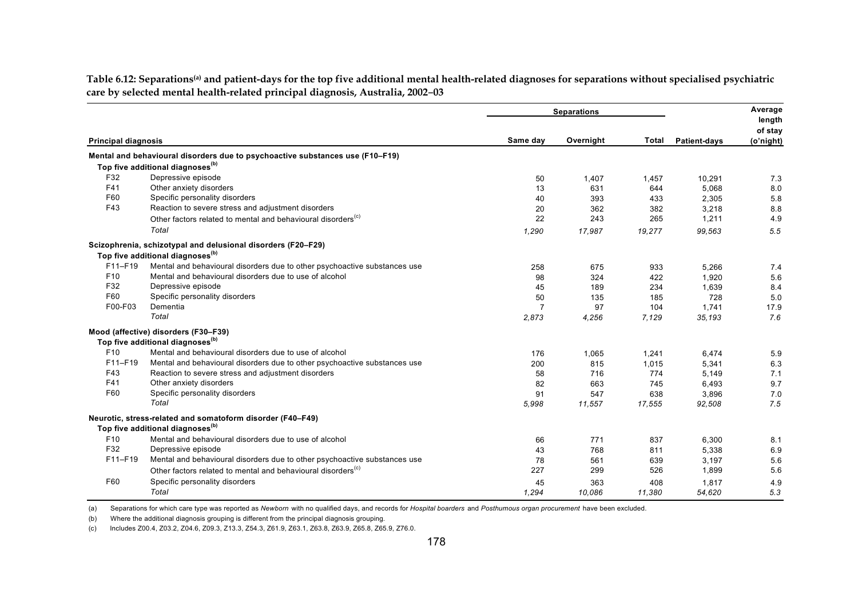|                                                                                                                                                                                                                                                                                                                                                                                                                                                                                                                                                                                                                                                                                                                                                                                                                                                                                                                                                                                                                                                                                                                                                                                                                                                                                                                                                                                                                                                                                                                                                                                                                                                                     |          |                | <b>Separations</b> |                     |           | Average           |
|---------------------------------------------------------------------------------------------------------------------------------------------------------------------------------------------------------------------------------------------------------------------------------------------------------------------------------------------------------------------------------------------------------------------------------------------------------------------------------------------------------------------------------------------------------------------------------------------------------------------------------------------------------------------------------------------------------------------------------------------------------------------------------------------------------------------------------------------------------------------------------------------------------------------------------------------------------------------------------------------------------------------------------------------------------------------------------------------------------------------------------------------------------------------------------------------------------------------------------------------------------------------------------------------------------------------------------------------------------------------------------------------------------------------------------------------------------------------------------------------------------------------------------------------------------------------------------------------------------------------------------------------------------------------|----------|----------------|--------------------|---------------------|-----------|-------------------|
|                                                                                                                                                                                                                                                                                                                                                                                                                                                                                                                                                                                                                                                                                                                                                                                                                                                                                                                                                                                                                                                                                                                                                                                                                                                                                                                                                                                                                                                                                                                                                                                                                                                                     |          |                |                    |                     |           | length<br>of stay |
| <b>Principal diagnosis</b><br>Mental and behavioural disorders due to psychoactive substances use (F10-F19)<br>Top five additional diagnoses <sup>(b)</sup><br>F32<br>Depressive episode<br>F41<br>Other anxiety disorders<br>F60<br>Specific personality disorders<br>F43<br>Reaction to severe stress and adjustment disorders<br>Other factors related to mental and behavioural disorders <sup>(c)</sup><br>Total<br>Scizophrenia, schizotypal and delusional disorders (F20-F29)<br>Top five additional diagnoses <sup>(b)</sup><br>F11-F19<br>Mental and behavioural disorders due to other psychoactive substances use<br>F <sub>10</sub><br>Mental and behavioural disorders due to use of alcohol<br>F32<br>Depressive episode<br>F60<br>Specific personality disorders<br>Dementia<br>F00-F03<br>Total<br>Mood (affective) disorders (F30-F39)<br>Top five additional diagnoses <sup>(b)</sup><br>F <sub>10</sub><br>Mental and behavioural disorders due to use of alcohol<br>F11-F19<br>Mental and behavioural disorders due to other psychoactive substances use<br>F43<br>Reaction to severe stress and adjustment disorders<br>F41<br>Other anxiety disorders<br>F60<br>Specific personality disorders<br>Total<br>Neurotic, stress-related and somatoform disorder (F40-F49)<br>Top five additional diagnoses <sup>(b)</sup><br>F <sub>10</sub><br>Mental and behavioural disorders due to use of alcohol<br>F32<br>Depressive episode<br>F11-F19<br>Mental and behavioural disorders due to other psychoactive substances use<br>Other factors related to mental and behavioural disorders <sup>(c)</sup><br>F60<br>Specific personality disorders | Same day | Overnight      | <b>Total</b>       | <b>Patient-days</b> | (o'night) |                   |
|                                                                                                                                                                                                                                                                                                                                                                                                                                                                                                                                                                                                                                                                                                                                                                                                                                                                                                                                                                                                                                                                                                                                                                                                                                                                                                                                                                                                                                                                                                                                                                                                                                                                     |          |                |                    |                     |           |                   |
|                                                                                                                                                                                                                                                                                                                                                                                                                                                                                                                                                                                                                                                                                                                                                                                                                                                                                                                                                                                                                                                                                                                                                                                                                                                                                                                                                                                                                                                                                                                                                                                                                                                                     |          |                |                    |                     |           |                   |
|                                                                                                                                                                                                                                                                                                                                                                                                                                                                                                                                                                                                                                                                                                                                                                                                                                                                                                                                                                                                                                                                                                                                                                                                                                                                                                                                                                                                                                                                                                                                                                                                                                                                     |          | 50             | 1,407              | 1,457               | 10,291    | 7.3               |
|                                                                                                                                                                                                                                                                                                                                                                                                                                                                                                                                                                                                                                                                                                                                                                                                                                                                                                                                                                                                                                                                                                                                                                                                                                                                                                                                                                                                                                                                                                                                                                                                                                                                     |          | 13             | 631                | 644                 | 5,068     | 8.0               |
|                                                                                                                                                                                                                                                                                                                                                                                                                                                                                                                                                                                                                                                                                                                                                                                                                                                                                                                                                                                                                                                                                                                                                                                                                                                                                                                                                                                                                                                                                                                                                                                                                                                                     |          | 40             | 393                | 433                 | 2,305     | 5.8               |
|                                                                                                                                                                                                                                                                                                                                                                                                                                                                                                                                                                                                                                                                                                                                                                                                                                                                                                                                                                                                                                                                                                                                                                                                                                                                                                                                                                                                                                                                                                                                                                                                                                                                     |          | 20             | 362                | 382                 | 3,218     | 8.8               |
|                                                                                                                                                                                                                                                                                                                                                                                                                                                                                                                                                                                                                                                                                                                                                                                                                                                                                                                                                                                                                                                                                                                                                                                                                                                                                                                                                                                                                                                                                                                                                                                                                                                                     |          | 22             | 243                | 265                 | 1,211     | 4.9               |
|                                                                                                                                                                                                                                                                                                                                                                                                                                                                                                                                                                                                                                                                                                                                                                                                                                                                                                                                                                                                                                                                                                                                                                                                                                                                                                                                                                                                                                                                                                                                                                                                                                                                     |          | 1,290          | 17,987             | 19,277              | 99,563    | 5.5               |
|                                                                                                                                                                                                                                                                                                                                                                                                                                                                                                                                                                                                                                                                                                                                                                                                                                                                                                                                                                                                                                                                                                                                                                                                                                                                                                                                                                                                                                                                                                                                                                                                                                                                     |          |                |                    |                     |           |                   |
|                                                                                                                                                                                                                                                                                                                                                                                                                                                                                                                                                                                                                                                                                                                                                                                                                                                                                                                                                                                                                                                                                                                                                                                                                                                                                                                                                                                                                                                                                                                                                                                                                                                                     |          |                |                    |                     |           |                   |
|                                                                                                                                                                                                                                                                                                                                                                                                                                                                                                                                                                                                                                                                                                                                                                                                                                                                                                                                                                                                                                                                                                                                                                                                                                                                                                                                                                                                                                                                                                                                                                                                                                                                     |          | 258            | 675                | 933                 | 5,266     | 7.4               |
|                                                                                                                                                                                                                                                                                                                                                                                                                                                                                                                                                                                                                                                                                                                                                                                                                                                                                                                                                                                                                                                                                                                                                                                                                                                                                                                                                                                                                                                                                                                                                                                                                                                                     |          | 98             | 324                | 422                 | 1,920     | 5.6               |
|                                                                                                                                                                                                                                                                                                                                                                                                                                                                                                                                                                                                                                                                                                                                                                                                                                                                                                                                                                                                                                                                                                                                                                                                                                                                                                                                                                                                                                                                                                                                                                                                                                                                     |          | 45             | 189                | 234                 | 1,639     | 8.4               |
|                                                                                                                                                                                                                                                                                                                                                                                                                                                                                                                                                                                                                                                                                                                                                                                                                                                                                                                                                                                                                                                                                                                                                                                                                                                                                                                                                                                                                                                                                                                                                                                                                                                                     |          | 50             | 135                | 185                 | 728       | 5.0               |
|                                                                                                                                                                                                                                                                                                                                                                                                                                                                                                                                                                                                                                                                                                                                                                                                                                                                                                                                                                                                                                                                                                                                                                                                                                                                                                                                                                                                                                                                                                                                                                                                                                                                     |          | $\overline{7}$ | 97                 | 104                 | 1.741     | 17.9              |
|                                                                                                                                                                                                                                                                                                                                                                                                                                                                                                                                                                                                                                                                                                                                                                                                                                                                                                                                                                                                                                                                                                                                                                                                                                                                                                                                                                                                                                                                                                                                                                                                                                                                     |          | 2,873          | 4,256              | 7,129               | 35,193    | 7.6               |
|                                                                                                                                                                                                                                                                                                                                                                                                                                                                                                                                                                                                                                                                                                                                                                                                                                                                                                                                                                                                                                                                                                                                                                                                                                                                                                                                                                                                                                                                                                                                                                                                                                                                     |          |                |                    |                     |           |                   |
|                                                                                                                                                                                                                                                                                                                                                                                                                                                                                                                                                                                                                                                                                                                                                                                                                                                                                                                                                                                                                                                                                                                                                                                                                                                                                                                                                                                                                                                                                                                                                                                                                                                                     |          |                |                    |                     |           |                   |
|                                                                                                                                                                                                                                                                                                                                                                                                                                                                                                                                                                                                                                                                                                                                                                                                                                                                                                                                                                                                                                                                                                                                                                                                                                                                                                                                                                                                                                                                                                                                                                                                                                                                     |          | 176            | 1.065              | 1,241               | 6.474     | 5.9               |
|                                                                                                                                                                                                                                                                                                                                                                                                                                                                                                                                                                                                                                                                                                                                                                                                                                                                                                                                                                                                                                                                                                                                                                                                                                                                                                                                                                                                                                                                                                                                                                                                                                                                     |          | 200            | 815                | 1,015               | 5,341     | 6.3               |
|                                                                                                                                                                                                                                                                                                                                                                                                                                                                                                                                                                                                                                                                                                                                                                                                                                                                                                                                                                                                                                                                                                                                                                                                                                                                                                                                                                                                                                                                                                                                                                                                                                                                     |          | 58             | 716                | 774                 | 5,149     | 7.1               |
|                                                                                                                                                                                                                                                                                                                                                                                                                                                                                                                                                                                                                                                                                                                                                                                                                                                                                                                                                                                                                                                                                                                                                                                                                                                                                                                                                                                                                                                                                                                                                                                                                                                                     |          | 82             | 663                | 745                 | 6,493     | 9.7               |
|                                                                                                                                                                                                                                                                                                                                                                                                                                                                                                                                                                                                                                                                                                                                                                                                                                                                                                                                                                                                                                                                                                                                                                                                                                                                                                                                                                                                                                                                                                                                                                                                                                                                     |          | 91             | 547                | 638                 | 3,896     | 7.0               |
|                                                                                                                                                                                                                                                                                                                                                                                                                                                                                                                                                                                                                                                                                                                                                                                                                                                                                                                                                                                                                                                                                                                                                                                                                                                                                                                                                                                                                                                                                                                                                                                                                                                                     |          | 5,998          | 11,557             | 17,555              | 92,508    | 7.5               |
|                                                                                                                                                                                                                                                                                                                                                                                                                                                                                                                                                                                                                                                                                                                                                                                                                                                                                                                                                                                                                                                                                                                                                                                                                                                                                                                                                                                                                                                                                                                                                                                                                                                                     |          |                |                    |                     |           |                   |
|                                                                                                                                                                                                                                                                                                                                                                                                                                                                                                                                                                                                                                                                                                                                                                                                                                                                                                                                                                                                                                                                                                                                                                                                                                                                                                                                                                                                                                                                                                                                                                                                                                                                     |          |                |                    |                     |           |                   |
|                                                                                                                                                                                                                                                                                                                                                                                                                                                                                                                                                                                                                                                                                                                                                                                                                                                                                                                                                                                                                                                                                                                                                                                                                                                                                                                                                                                                                                                                                                                                                                                                                                                                     |          | 66             | 771                | 837                 | 6.300     | 8.1               |
|                                                                                                                                                                                                                                                                                                                                                                                                                                                                                                                                                                                                                                                                                                                                                                                                                                                                                                                                                                                                                                                                                                                                                                                                                                                                                                                                                                                                                                                                                                                                                                                                                                                                     |          | 43             | 768                | 811                 | 5,338     | 6.9               |
|                                                                                                                                                                                                                                                                                                                                                                                                                                                                                                                                                                                                                                                                                                                                                                                                                                                                                                                                                                                                                                                                                                                                                                                                                                                                                                                                                                                                                                                                                                                                                                                                                                                                     |          | 78             | 561                | 639                 | 3,197     | 5.6               |
|                                                                                                                                                                                                                                                                                                                                                                                                                                                                                                                                                                                                                                                                                                                                                                                                                                                                                                                                                                                                                                                                                                                                                                                                                                                                                                                                                                                                                                                                                                                                                                                                                                                                     |          | 227            | 299                | 526                 | 1,899     | 5.6               |
|                                                                                                                                                                                                                                                                                                                                                                                                                                                                                                                                                                                                                                                                                                                                                                                                                                                                                                                                                                                                                                                                                                                                                                                                                                                                                                                                                                                                                                                                                                                                                                                                                                                                     |          | 45             | 363                | 408                 | 1,817     | 4.9               |
|                                                                                                                                                                                                                                                                                                                                                                                                                                                                                                                                                                                                                                                                                                                                                                                                                                                                                                                                                                                                                                                                                                                                                                                                                                                                                                                                                                                                                                                                                                                                                                                                                                                                     | Total    | 1.294          | 10.086             | 11.380              | 54.620    | 5.3               |

Table 6.12: Separations<sup>(a)</sup> and patient-days for the top five additional mental health-related diagnoses for separations without specialised psychiatric **care by selected mental health-related principal diagnosis, Australia, 2002**–**03** 

(a) Separations for which care type was reported as *Newborn* with no qualified days, and records for *Hospital boarders* and *Posthumous organ procurement* have been excluded.

(b) Where the additional diagnosis grouping is different from the principal diagnosis grouping.

(c) Includes Z00.4, Z03.2, Z04.6, Z09.3, Z13.3, Z54.3, Z61.9, Z63.1, Z63.8, Z63.9, Z65.8, Z65.9, Z76.0.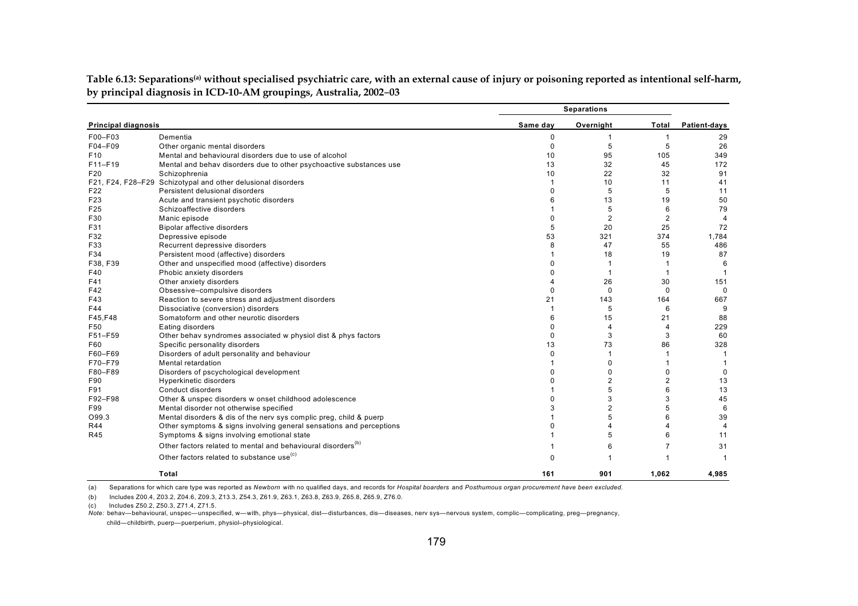|                            |                                                                          |                | <b>Separations</b> |                |                         |
|----------------------------|--------------------------------------------------------------------------|----------------|--------------------|----------------|-------------------------|
| <b>Principal diagnosis</b> |                                                                          | Same day       | Overnight          | Total          | Patient-days            |
| F00-F03                    | Dementia                                                                 | 0              |                    | 1              | 29                      |
| F04-F09                    | Other organic mental disorders                                           | $\Omega$       | 5                  | 5              | 26                      |
| F <sub>10</sub>            | Mental and behavioural disorders due to use of alcohol                   | 10             | 95                 | 105            | 349                     |
| $F11-F19$                  | Mental and behav disorders due to other psychoactive substances use      | 13             | 32                 | 45             | 172                     |
| F20                        | Schizophrenia                                                            | 10             | 22                 | 32             | 91                      |
|                            | F21, F24, F28-F29 Schizotypal and other delusional disorders             | -1             | 10                 | 11             | 41                      |
| F22                        | Persistent delusional disorders                                          | $\Omega$       | 5                  | 5              | 11                      |
| F23                        | Acute and transient psychotic disorders                                  | 6              | 13                 | 19             | 50                      |
| F25                        | Schizoaffective disorders                                                |                | 5                  | 6              | 79                      |
| F30                        | Manic episode                                                            | $\Omega$       | $\overline{2}$     | $\overline{2}$ | $\overline{\mathbf{A}}$ |
| F31                        | Bipolar affective disorders                                              | 5              | 20                 | 25             | 72                      |
| F32                        | Depressive episode                                                       | 53             | 321                | 374            | 1,784                   |
| F33                        | Recurrent depressive disorders                                           | 8              | 47                 | 55             | 486                     |
| F34                        | Persistent mood (affective) disorders                                    |                | 18                 | 19             | 87                      |
| F38, F39                   | Other and unspecified mood (affective) disorders                         | $\Omega$       |                    | -1             | 6                       |
| F40                        | Phobic anxiety disorders                                                 | $\Omega$       |                    | $\overline{1}$ |                         |
| F41                        | Other anxiety disorders                                                  | $\overline{4}$ | 26                 | 30             | 151                     |
| F42                        | Obsessive-compulsive disorders                                           | $\Omega$       | $\Omega$           | $\Omega$       | $\mathbf 0$             |
| F43                        | Reaction to severe stress and adjustment disorders                       | 21             | 143                | 164            | 667                     |
| F44                        | Dissociative (conversion) disorders                                      | -1             | 5                  | 6              | 9                       |
| F45,F48                    | Somatoform and other neurotic disorders                                  | 6              | 15                 | 21             | 88                      |
| F50                        | Eating disorders                                                         | $\Omega$       | 4                  | 4              | 229                     |
| F51-F59                    | Other behav syndromes associated w physiol dist & phys factors           | $\Omega$       | 3                  | 3              | 60                      |
| F60                        | Specific personality disorders                                           | 13             | 73                 | 86             | 328                     |
| F60-F69                    | Disorders of adult personality and behaviour                             | 0              |                    | 1              | -1                      |
| F70-F79                    | Mental retardation                                                       | 1              | $\Omega$           |                |                         |
| F80-F89                    | Disorders of pscychological development                                  | $\Omega$       | 0                  | 0              | $\Omega$                |
| F90                        | Hyperkinetic disorders                                                   | $\Omega$       | $\overline{2}$     | $\overline{2}$ | 13                      |
| F91                        | Conduct disorders                                                        |                | 5                  | 6              | 13                      |
| F92-F98                    | Other & unspec disorders w onset childhood adolescence                   | $\Omega$       | 3                  | 3              | 45                      |
| F99                        | Mental disorder not otherwise specified                                  | 3              | $\overline{2}$     | 5              | 6                       |
| O99.3                      | Mental disorders & dis of the nerv sys complic preg, child & puerp       |                | 5                  | 6              | 39                      |
| <b>R44</b>                 | Other symptoms & signs involving general sensations and perceptions      | $\Omega$       |                    |                | $\overline{4}$          |
| <b>R45</b>                 | Symptoms & signs involving emotional state                               |                | 5                  | 6              | 11                      |
|                            | Other factors related to mental and behavioural disorders <sup>(b)</sup> |                | 6                  | $\overline{7}$ | 31                      |
|                            | Other factors related to substance use <sup>(c)</sup>                    | $\Omega$       |                    |                |                         |
|                            | Total                                                                    | 161            | 901                | 1,062          | 4.985                   |

Table 6.13: Separations<sup>(a)</sup> without specialised psychiatric care, with an external cause of injury or poisoning reported as intentional self-harm, **by principal diagnosis in ICD-10-AM groupings, Australia, 2002**–**03**

(a) Separations for which care type was reported as *Newborn* with no qualified days, and records for *Hospital boarders* and *Posthumous organ procurement have been excluded.*

(b) Includes Z00.4, Z03.2, Z04.6, Z09.3, Z13.3, Z54.3, Z61.9, Z63.1, Z63.8, Z63.9, Z65.8, Z65.9, Z76.0.

(c) Includes Z50.2, Z50.3, Z71.4, Z71.5.

*Note:* behav—behavioural, unspec—unspecified, w—with, phys—physical, dist—disturbances, dis—diseases, nerv sys—nervous system, complic—complicating, preg—pregnancy, child—childbirth, puerp—puerperium, physiol–physiological.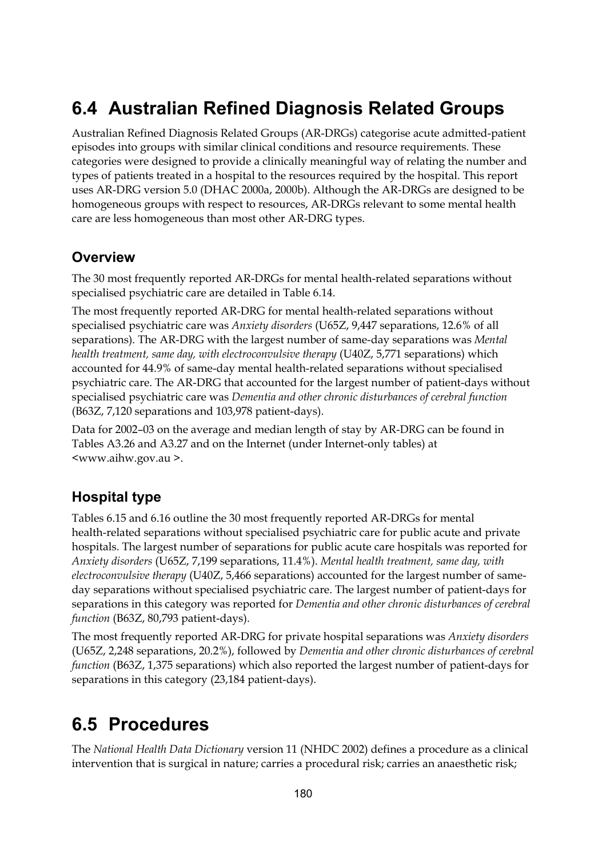## **6.4 Australian Refined Diagnosis Related Groups**

Australian Refined Diagnosis Related Groups (AR-DRGs) categorise acute admitted-patient episodes into groups with similar clinical conditions and resource requirements. These categories were designed to provide a clinically meaningful way of relating the number and types of patients treated in a hospital to the resources required by the hospital. This report uses AR-DRG version 5.0 (DHAC 2000a, 2000b). Although the AR-DRGs are designed to be homogeneous groups with respect to resources, AR-DRGs relevant to some mental health care are less homogeneous than most other AR-DRG types.

### **Overview**

The 30 most frequently reported AR-DRGs for mental health-related separations without specialised psychiatric care are detailed in Table 6.14.

The most frequently reported AR-DRG for mental health-related separations without specialised psychiatric care was *Anxiety disorders* (U65Z, 9,447 separations, 12.6% of all separations). The AR-DRG with the largest number of same-day separations was *Mental health treatment, same day, with electroconvulsive therapy* (U40Z, 5,771 separations) which accounted for 44.9% of same-day mental health-related separations without specialised psychiatric care. The AR-DRG that accounted for the largest number of patient-days without specialised psychiatric care was *Dementia and other chronic disturbances of cerebral function*  (B63Z, 7,120 separations and 103,978 patient-days).

Data for 2002–03 on the average and median length of stay by AR-DRG can be found in Tables A3.26 and A3.27 and on the Internet (under Internet-only tables) at <www.aihw.gov.au >.

### **Hospital type**

Tables 6.15 and 6.16 outline the 30 most frequently reported AR-DRGs for mental health-related separations without specialised psychiatric care for public acute and private hospitals. The largest number of separations for public acute care hospitals was reported for *Anxiety disorders* (U65Z, 7,199 separations, 11.4%). *Mental health treatment, same day, with electroconvulsive therapy* (U40Z, 5,466 separations) accounted for the largest number of sameday separations without specialised psychiatric care. The largest number of patient-days for separations in this category was reported for *Dementia and other chronic disturbances of cerebral function* (B63Z, 80,793 patient-days).

The most frequently reported AR-DRG for private hospital separations was *Anxiety disorders* (U65Z, 2,248 separations, 20.2%), followed by *Dementia and other chronic disturbances of cerebral function* (B63Z, 1,375 separations) which also reported the largest number of patient-days for separations in this category (23,184 patient-days).

## **6.5 Procedures**

The *National Health Data Dictionary* version 11 (NHDC 2002) defines a procedure as a clinical intervention that is surgical in nature; carries a procedural risk; carries an anaesthetic risk;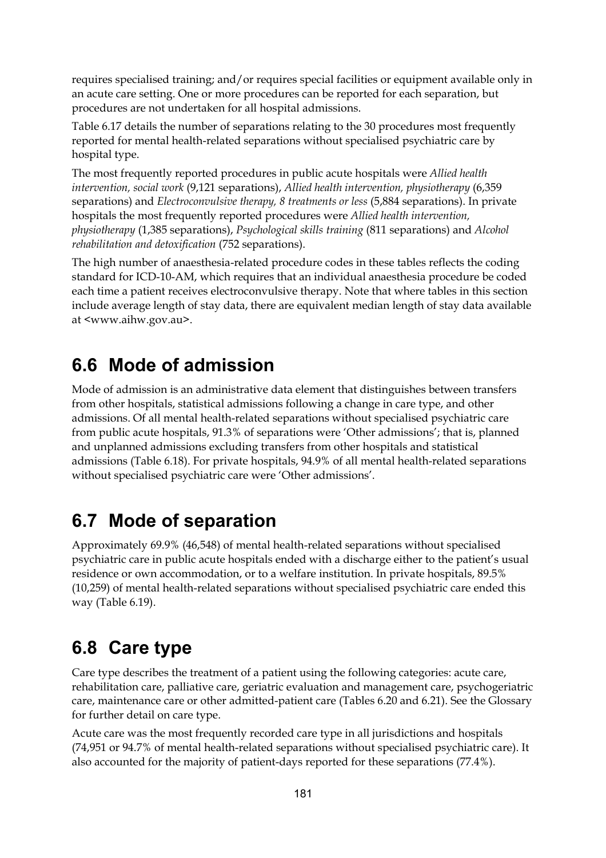requires specialised training; and/or requires special facilities or equipment available only in an acute care setting. One or more procedures can be reported for each separation, but procedures are not undertaken for all hospital admissions.

Table 6.17 details the number of separations relating to the 30 procedures most frequently reported for mental health-related separations without specialised psychiatric care by hospital type.

The most frequently reported procedures in public acute hospitals were *Allied health intervention, social work* (9,121 separations), *Allied health intervention, physiotherapy* (6,359 separations) and *Electroconvulsive therapy, 8 treatments or less* (5,884 separations). In private hospitals the most frequently reported procedures were *Allied health intervention, physiotherapy* (1,385 separations), *Psychological skills training* (811 separations) and *Alcohol rehabilitation and detoxification* (752 separations).

The high number of anaesthesia-related procedure codes in these tables reflects the coding standard for ICD-10-AM, which requires that an individual anaesthesia procedure be coded each time a patient receives electroconvulsive therapy. Note that where tables in this section include average length of stay data, there are equivalent median length of stay data available at <www.aihw.gov.au>.

## **6.6 Mode of admission**

Mode of admission is an administrative data element that distinguishes between transfers from other hospitals, statistical admissions following a change in care type, and other admissions. Of all mental health-related separations without specialised psychiatric care from public acute hospitals, 91.3% of separations were 'Other admissions'; that is, planned and unplanned admissions excluding transfers from other hospitals and statistical admissions (Table 6.18). For private hospitals, 94.9% of all mental health-related separations without specialised psychiatric care were 'Other admissions'.

## **6.7 Mode of separation**

Approximately 69.9% (46,548) of mental health-related separations without specialised psychiatric care in public acute hospitals ended with a discharge either to the patient's usual residence or own accommodation, or to a welfare institution. In private hospitals, 89.5% (10,259) of mental health-related separations without specialised psychiatric care ended this way (Table 6.19).

## **6.8 Care type**

Care type describes the treatment of a patient using the following categories: acute care, rehabilitation care, palliative care, geriatric evaluation and management care, psychogeriatric care, maintenance care or other admitted-patient care (Tables 6.20 and 6.21). See the Glossary for further detail on care type.

Acute care was the most frequently recorded care type in all jurisdictions and hospitals (74,951 or 94.7% of mental health-related separations without specialised psychiatric care). It also accounted for the majority of patient-days reported for these separations (77.4%).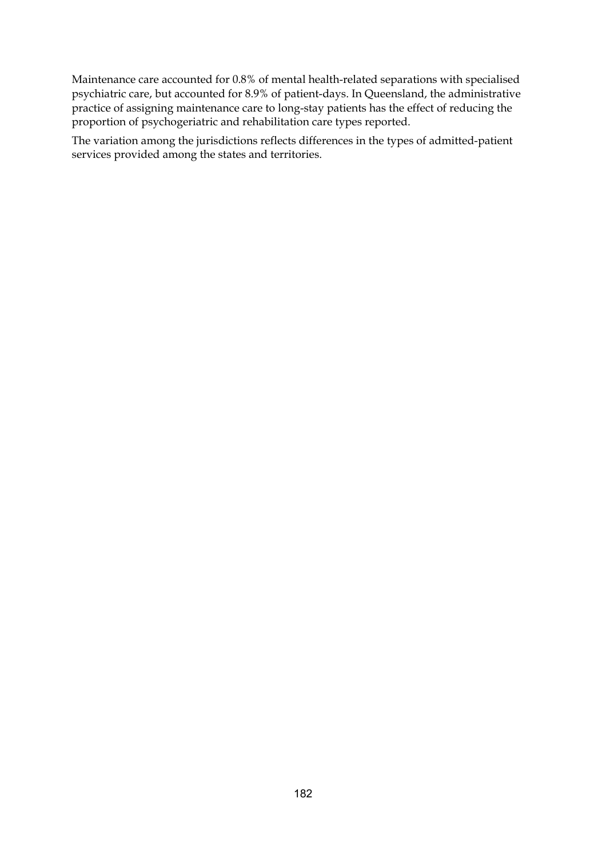Maintenance care accounted for 0.8% of mental health-related separations with specialised psychiatric care, but accounted for 8.9% of patient-days. In Queensland, the administrative practice of assigning maintenance care to long-stay patients has the effect of reducing the proportion of psychogeriatric and rehabilitation care types reported.

The variation among the jurisdictions reflects differences in the types of admitted-patient services provided among the states and territories.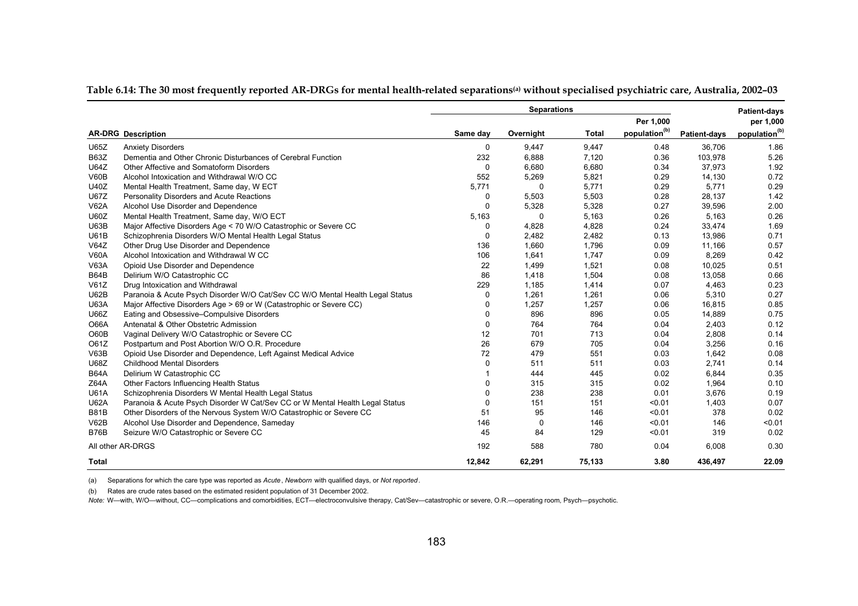|              |                                                                               |             | <b>Separations</b> |              |                           |                     | <b>Patient-days</b>       |
|--------------|-------------------------------------------------------------------------------|-------------|--------------------|--------------|---------------------------|---------------------|---------------------------|
|              |                                                                               |             |                    |              | Per 1,000                 |                     | per 1,000                 |
|              | <b>AR-DRG Description</b>                                                     | Same day    | Overnight          | <b>Total</b> | population <sup>(b)</sup> | <b>Patient-days</b> | population <sup>(b)</sup> |
| U65Z         | <b>Anxiety Disorders</b>                                                      | $\mathbf 0$ | 9.447              | 9.447        | 0.48                      | 36,706              | 1.86                      |
| <b>B63Z</b>  | Dementia and Other Chronic Disturbances of Cerebral Function                  | 232         | 6,888              | 7,120        | 0.36                      | 103,978             | 5.26                      |
| <b>U64Z</b>  | Other Affective and Somatoform Disorders                                      | $\Omega$    | 6.680              | 6.680        | 0.34                      | 37,973              | 1.92                      |
| V60B         | Alcohol Intoxication and Withdrawal W/O CC                                    | 552         | 5,269              | 5,821        | 0.29                      | 14,130              | 0.72                      |
| U40Z         | Mental Health Treatment, Same day, W ECT                                      | 5,771       | 0                  | 5,771        | 0.29                      | 5,771               | 0.29                      |
| <b>U67Z</b>  | Personality Disorders and Acute Reactions                                     | 0           | 5,503              | 5,503        | 0.28                      | 28,137              | 1.42                      |
| <b>V62A</b>  | Alcohol Use Disorder and Dependence                                           | $\Omega$    | 5,328              | 5,328        | 0.27                      | 39,596              | 2.00                      |
| U60Z         | Mental Health Treatment, Same day, W/O ECT                                    | 5,163       | $\Omega$           | 5,163        | 0.26                      | 5,163               | 0.26                      |
| <b>U63B</b>  | Major Affective Disorders Age < 70 W/O Catastrophic or Severe CC              | $\Omega$    | 4,828              | 4,828        | 0.24                      | 33,474              | 1.69                      |
| U61B         | Schizophrenia Disorders W/O Mental Health Legal Status                        | $\Omega$    | 2.482              | 2,482        | 0.13                      | 13,986              | 0.71                      |
| V64Z         | Other Drug Use Disorder and Dependence                                        | 136         | 1,660              | 1,796        | 0.09                      | 11,166              | 0.57                      |
| <b>V60A</b>  | Alcohol Intoxication and Withdrawal W CC                                      | 106         | 1,641              | 1,747        | 0.09                      | 8,269               | 0.42                      |
| <b>V63A</b>  | Opioid Use Disorder and Dependence                                            | 22          | 1,499              | 1,521        | 0.08                      | 10,025              | 0.51                      |
| <b>B64B</b>  | Delirium W/O Catastrophic CC                                                  | 86          | 1,418              | 1,504        | 0.08                      | 13,058              | 0.66                      |
| V61Z         | Drug Intoxication and Withdrawal                                              | 229         | 1,185              | 1,414        | 0.07                      | 4,463               | 0.23                      |
| U62B         | Paranoia & Acute Psych Disorder W/O Cat/Sev CC W/O Mental Health Legal Status | $\Omega$    | 1.261              | 1.261        | 0.06                      | 5,310               | 0.27                      |
| <b>U63A</b>  | Major Affective Disorders Age > 69 or W (Catastrophic or Severe CC)           | $\Omega$    | 1,257              | 1,257        | 0.06                      | 16,815              | 0.85                      |
| U66Z         | Eating and Obsessive-Compulsive Disorders                                     | $\Omega$    | 896                | 896          | 0.05                      | 14,889              | 0.75                      |
| O66A         | Antenatal & Other Obstetric Admission                                         | 0           | 764                | 764          | 0.04                      | 2,403               | 0.12                      |
| O60B         | Vaginal Delivery W/O Catastrophic or Severe CC                                | 12          | 701                | 713          | 0.04                      | 2,808               | 0.14                      |
| O61Z         | Postpartum and Post Abortion W/O O.R. Procedure                               | 26          | 679                | 705          | 0.04                      | 3,256               | 0.16                      |
| V63B         | Opioid Use Disorder and Dependence, Left Against Medical Advice               | 72          | 479                | 551          | 0.03                      | 1,642               | 0.08                      |
| <b>U68Z</b>  | <b>Childhood Mental Disorders</b>                                             | $\Omega$    | 511                | 511          | 0.03                      | 2,741               | 0.14                      |
| <b>B64A</b>  | Delirium W Catastrophic CC                                                    |             | 444                | 445          | 0.02                      | 6,844               | 0.35                      |
| Z64A         | Other Factors Influencing Health Status                                       | $\Omega$    | 315                | 315          | 0.02                      | 1,964               | 0.10                      |
| <b>U61A</b>  | Schizophrenia Disorders W Mental Health Legal Status                          | $\Omega$    | 238                | 238          | 0.01                      | 3,676               | 0.19                      |
| <b>U62A</b>  | Paranoia & Acute Psych Disorder W Cat/Sev CC or W Mental Health Legal Status  | $\Omega$    | 151                | 151          | < 0.01                    | 1,403               | 0.07                      |
| <b>B81B</b>  | Other Disorders of the Nervous System W/O Catastrophic or Severe CC           | 51          | 95                 | 146          | < 0.01                    | 378                 | 0.02                      |
| V62B         | Alcohol Use Disorder and Dependence, Sameday                                  | 146         | $\mathbf 0$        | 146          | < 0.01                    | 146                 | < 0.01                    |
| <b>B76B</b>  | Seizure W/O Catastrophic or Severe CC                                         | 45          | 84                 | 129          | < 0.01                    | 319                 | 0.02                      |
|              | All other AR-DRGS                                                             | 192         | 588                | 780          | 0.04                      | 6,008               | 0.30                      |
| <b>Total</b> |                                                                               | 12,842      | 62,291             | 75,133       | 3.80                      | 436,497             | 22.09                     |

Table 6.14: The 30 most frequently reported AR-DRGs for mental health-related separations<sup>(a)</sup> without specialised psychiatric care, Australia, 2002-03

(a) Separations for which the care type was reported as *Acute*, *Newborn* with qualified days, or *Not reported*.

(b) Rates are crude rates based on the estimated resident population of 31 December 2002.

*Note:* W—with, W/O—without, CC—complications and comorbidities, ECT—electroconvulsive therapy, Cat/Sev—catastrophic or severe, O.R.—operating room, Psych—psychotic.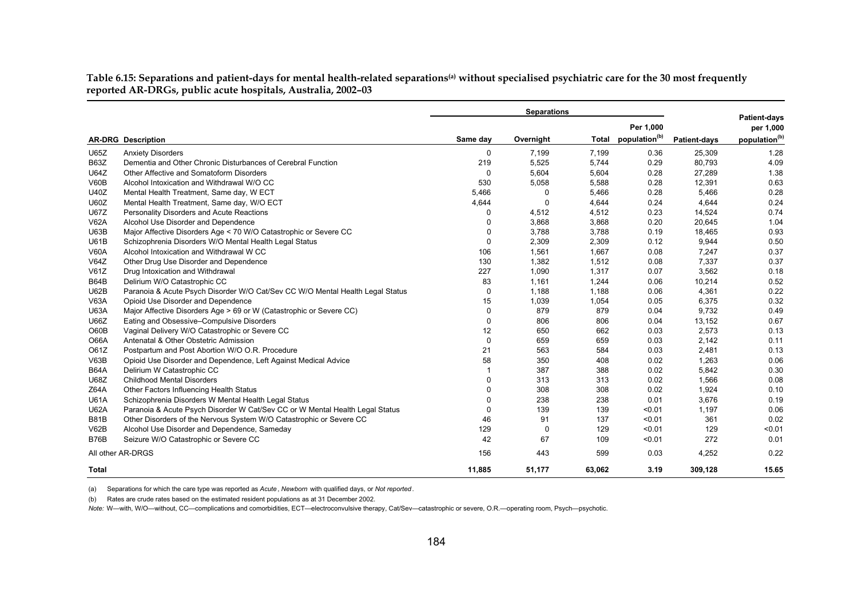**Table 6.15: Separations and patient-days for mental health-related separations(a) without specialised psychiatric care for the 30 most frequently reported AR-DRGs, public acute hospitals, Australia, 2002–03** 

|             |                                                                               |             | <b>Separations</b> |              |                           |                     |                                  |
|-------------|-------------------------------------------------------------------------------|-------------|--------------------|--------------|---------------------------|---------------------|----------------------------------|
|             |                                                                               |             |                    |              | Per 1,000                 |                     | <b>Patient-days</b><br>per 1,000 |
|             | <b>AR-DRG</b> Description                                                     | Same day    | Overnight          | <b>Total</b> | population <sup>(b)</sup> | <b>Patient-days</b> | population <sup>(b)</sup>        |
| U65Z        | <b>Anxiety Disorders</b>                                                      | 0           | 7,199              | 7,199        | 0.36                      | 25,309              | 1.28                             |
| <b>B63Z</b> | Dementia and Other Chronic Disturbances of Cerebral Function                  | 219         | 5,525              | 5,744        | 0.29                      | 80,793              | 4.09                             |
| <b>U64Z</b> | Other Affective and Somatoform Disorders                                      | 0           | 5,604              | 5,604        | 0.28                      | 27,289              | 1.38                             |
| V60B        | Alcohol Intoxication and Withdrawal W/O CC                                    | 530         | 5,058              | 5,588        | 0.28                      | 12,391              | 0.63                             |
| <b>U40Z</b> | Mental Health Treatment, Same day, W ECT                                      | 5,466       | 0                  | 5,466        | 0.28                      | 5,466               | 0.28                             |
| <b>U60Z</b> | Mental Health Treatment, Same day, W/O ECT                                    | 4,644       | 0                  | 4,644        | 0.24                      | 4,644               | 0.24                             |
| <b>U67Z</b> | Personality Disorders and Acute Reactions                                     | 0           | 4,512              | 4,512        | 0.23                      | 14,524              | 0.74                             |
| <b>V62A</b> | Alcohol Use Disorder and Dependence                                           | $\Omega$    | 3,868              | 3,868        | 0.20                      | 20,645              | 1.04                             |
| U63B        | Major Affective Disorders Age < 70 W/O Catastrophic or Severe CC              | $\Omega$    | 3,788              | 3,788        | 0.19                      | 18,465              | 0.93                             |
| <b>U61B</b> | Schizophrenia Disorders W/O Mental Health Legal Status                        | $\mathbf 0$ | 2,309              | 2,309        | 0.12                      | 9,944               | 0.50                             |
| <b>V60A</b> | Alcohol Intoxication and Withdrawal W CC                                      | 106         | 1,561              | 1,667        | 0.08                      | 7,247               | 0.37                             |
| V64Z        | Other Drug Use Disorder and Dependence                                        | 130         | 1,382              | 1,512        | 0.08                      | 7,337               | 0.37                             |
| V61Z        | Drug Intoxication and Withdrawal                                              | 227         | 1,090              | 1,317        | 0.07                      | 3,562               | 0.18                             |
| B64B        | Delirium W/O Catastrophic CC                                                  | 83          | 1,161              | 1,244        | 0.06                      | 10,214              | 0.52                             |
| <b>U62B</b> | Paranoia & Acute Psych Disorder W/O Cat/Sev CC W/O Mental Health Legal Status | 0           | 1,188              | 1,188        | 0.06                      | 4,361               | 0.22                             |
| <b>V63A</b> | Opioid Use Disorder and Dependence                                            | 15          | 1,039              | 1,054        | 0.05                      | 6,375               | 0.32                             |
| <b>U63A</b> | Major Affective Disorders Age > 69 or W (Catastrophic or Severe CC)           | 0           | 879                | 879          | 0.04                      | 9,732               | 0.49                             |
| <b>U66Z</b> | Eating and Obsessive-Compulsive Disorders                                     | 0           | 806                | 806          | 0.04                      | 13,152              | 0.67                             |
| O60B        | Vaginal Delivery W/O Catastrophic or Severe CC                                | 12          | 650                | 662          | 0.03                      | 2,573               | 0.13                             |
| <b>O66A</b> | Antenatal & Other Obstetric Admission                                         | $\Omega$    | 659                | 659          | 0.03                      | 2,142               | 0.11                             |
| O61Z        | Postpartum and Post Abortion W/O O.R. Procedure                               | 21          | 563                | 584          | 0.03                      | 2,481               | 0.13                             |
| V63B        | Opioid Use Disorder and Dependence, Left Against Medical Advice               | 58          | 350                | 408          | 0.02                      | 1,263               | 0.06                             |
| <b>B64A</b> | Delirium W Catastrophic CC                                                    | 1           | 387                | 388          | 0.02                      | 5,842               | 0.30                             |
| <b>U68Z</b> | <b>Childhood Mental Disorders</b>                                             | 0           | 313                | 313          | 0.02                      | 1,566               | 0.08                             |
| Z64A        | Other Factors Influencing Health Status                                       | 0           | 308                | 308          | 0.02                      | 1,924               | 0.10                             |
| <b>U61A</b> | Schizophrenia Disorders W Mental Health Legal Status                          | 0           | 238                | 238          | 0.01                      | 3,676               | 0.19                             |
| <b>U62A</b> | Paranoia & Acute Psych Disorder W Cat/Sev CC or W Mental Health Legal Status  | 0           | 139                | 139          | < 0.01                    | 1,197               | 0.06                             |
| <b>B81B</b> | Other Disorders of the Nervous System W/O Catastrophic or Severe CC           | 46          | 91                 | 137          | < 0.01                    | 361                 | 0.02                             |
| V62B        | Alcohol Use Disorder and Dependence, Sameday                                  | 129         | 0                  | 129          | < 0.01                    | 129                 | < 0.01                           |
| <b>B76B</b> | Seizure W/O Catastrophic or Severe CC                                         | 42          | 67                 | 109          | < 0.01                    | 272                 | 0.01                             |
|             | All other AR-DRGS                                                             | 156         | 443                | 599          | 0.03                      | 4,252               | 0.22                             |
| Total       |                                                                               | 11,885      | 51.177             | 63.062       | 3.19                      | 309.128             | 15.65                            |

(a) Separations for which the care type was reported as *Acute*, *Newborn* with qualified days, or *Not reported*.

(b) Rates are crude rates based on the estimated resident populations as at 31 December 2002.

*Note:* W—with, W/O—without, CC—complications and comorbidities, ECT—electroconvulsive therapy, Cat/Sev—catastrophic or severe, O.R.—operating room, Psych—psychotic.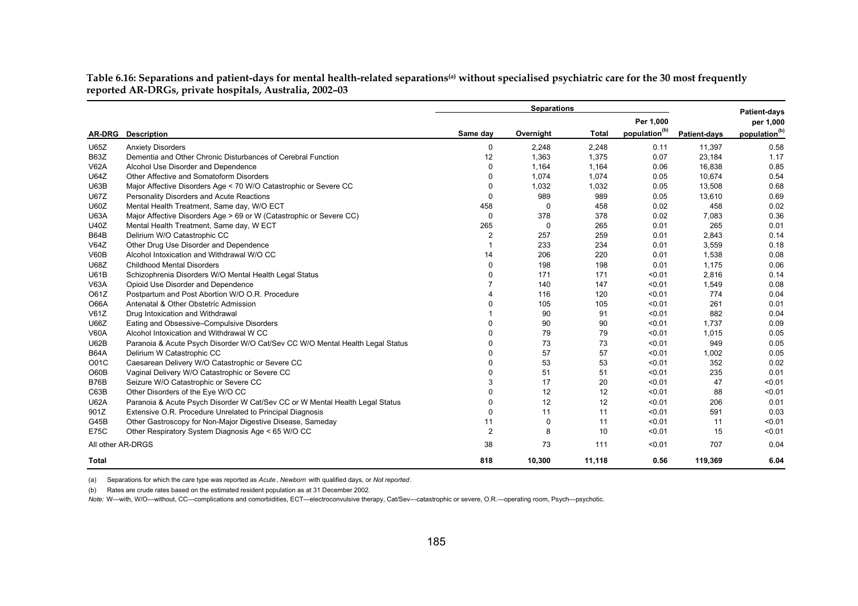Table 6.16: Separations and patient-days for mental health-related separations<sup>(a)</sup> without specialised psychiatric care for the 30 most frequently **reported AR-DRGs, private hospitals, Australia, 2002–03** 

|                   |                                                                               |                       | <b>Separations</b> |              |                           |                     | <b>Patient-days</b>       |
|-------------------|-------------------------------------------------------------------------------|-----------------------|--------------------|--------------|---------------------------|---------------------|---------------------------|
|                   |                                                                               |                       |                    |              | Per 1,000                 |                     | per 1,000                 |
| <b>AR-DRG</b>     | <b>Description</b>                                                            | Same day              | Overnight          | <b>Total</b> | population <sup>(b)</sup> | <b>Patient-days</b> | population <sup>(b)</sup> |
| <b>U65Z</b>       | <b>Anxiety Disorders</b>                                                      | 0                     | 2,248              | 2.248        | 0.11                      | 11,397              | 0.58                      |
| <b>B63Z</b>       | Dementia and Other Chronic Disturbances of Cerebral Function                  | 12                    | 1,363              | 1,375        | 0.07                      | 23,184              | 1.17                      |
| <b>V62A</b>       | Alcohol Use Disorder and Dependence                                           | 0                     | 1,164              | 1,164        | 0.06                      | 16,838              | 0.85                      |
| <b>U64Z</b>       | Other Affective and Somatoform Disorders                                      | $\Omega$              | 1,074              | 1,074        | 0.05                      | 10,674              | 0.54                      |
| <b>U63B</b>       | Major Affective Disorders Age < 70 W/O Catastrophic or Severe CC              | $\Omega$              | 1,032              | 1,032        | 0.05                      | 13,508              | 0.68                      |
| <b>U67Z</b>       | Personality Disorders and Acute Reactions                                     | $\Omega$              | 989                | 989          | 0.05                      | 13,610              | 0.69                      |
| <b>U60Z</b>       | Mental Health Treatment, Same day, W/O ECT                                    | 458                   | 0                  | 458          | 0.02                      | 458                 | 0.02                      |
| <b>U63A</b>       | Major Affective Disorders Age > 69 or W (Catastrophic or Severe CC)           | 0                     | 378                | 378          | 0.02                      | 7,083               | 0.36                      |
| <b>U40Z</b>       | Mental Health Treatment, Same day, W ECT                                      | 265                   | 0                  | 265          | 0.01                      | 265                 | 0.01                      |
| <b>B64B</b>       | Delirium W/O Catastrophic CC                                                  | $\overline{2}$        | 257                | 259          | 0.01                      | 2.843               | 0.14                      |
| V64Z              | Other Drug Use Disorder and Dependence                                        | -1                    | 233                | 234          | 0.01                      | 3,559               | 0.18                      |
| V60B              | Alcohol Intoxication and Withdrawal W/O CC                                    | 14                    | 206                | 220          | 0.01                      | 1.538               | 0.08                      |
| <b>U68Z</b>       | <b>Childhood Mental Disorders</b>                                             | $\Omega$              | 198                | 198          | 0.01                      | 1,175               | 0.06                      |
| <b>U61B</b>       | Schizophrenia Disorders W/O Mental Health Legal Status                        | $\Omega$              | 171                | 171          | < 0.01                    | 2,816               | 0.14                      |
| <b>V63A</b>       | Opioid Use Disorder and Dependence                                            | 7                     | 140                | 147          | < 0.01                    | 1,549               | 0.08                      |
| O61Z              | Postpartum and Post Abortion W/O O.R. Procedure                               | $\boldsymbol{\Delta}$ | 116                | 120          | < 0.01                    | 774                 | 0.04                      |
| <b>O66A</b>       | Antenatal & Other Obstetric Admission                                         | $\Omega$              | 105                | 105          | < 0.01                    | 261                 | 0.01                      |
| V61Z              | Drug Intoxication and Withdrawal                                              |                       | 90                 | 91           | < 0.01                    | 882                 | 0.04                      |
| <b>U66Z</b>       | Eating and Obsessive-Compulsive Disorders                                     | $\Omega$              | 90                 | 90           | < 0.01                    | 1.737               | 0.09                      |
| <b>V60A</b>       | Alcohol Intoxication and Withdrawal W CC                                      | $\Omega$              | 79                 | 79           | < 0.01                    | 1,015               | 0.05                      |
| <b>U62B</b>       | Paranoia & Acute Psych Disorder W/O Cat/Sev CC W/O Mental Health Legal Status | $\Omega$              | 73                 | 73           | < 0.01                    | 949                 | 0.05                      |
| <b>B64A</b>       | Delirium W Catastrophic CC                                                    | $\Omega$              | 57                 | 57           | < 0.01                    | 1,002               | 0.05                      |
| O01C              | Caesarean Delivery W/O Catastrophic or Severe CC                              | $\Omega$              | 53                 | 53           | < 0.01                    | 352                 | 0.02                      |
| O60B              | Vaginal Delivery W/O Catastrophic or Severe CC                                | $\Omega$              | 51                 | 51           | < 0.01                    | 235                 | 0.01                      |
| <b>B76B</b>       | Seizure W/O Catastrophic or Severe CC                                         | 3                     | 17                 | 20           | < 0.01                    | 47                  | < 0.01                    |
| C63B              | Other Disorders of the Eye W/O CC                                             | $\Omega$              | 12                 | 12           | < 0.01                    | 88                  | < 0.01                    |
| <b>U62A</b>       | Paranoia & Acute Psych Disorder W Cat/Sev CC or W Mental Health Legal Status  | $\Omega$              | 12                 | 12           | < 0.01                    | 206                 | 0.01                      |
| 901Z              | Extensive O.R. Procedure Unrelated to Principal Diagnosis                     | $\Omega$              | 11                 | 11           | < 0.01                    | 591                 | 0.03                      |
| G45B              | Other Gastroscopy for Non-Major Digestive Disease, Sameday                    | 11                    | $\mathbf{0}$       | 11           | < 0.01                    | 11                  | < 0.01                    |
| <b>E75C</b>       | Other Respiratory System Diagnosis Age < 65 W/O CC                            | $\overline{2}$        | 8                  | 10           | < 0.01                    | 15                  | < 0.01                    |
| All other AR-DRGS |                                                                               | 38                    | 73                 | 111          | < 0.01                    | 707                 | 0.04                      |
| <b>Total</b>      |                                                                               | 818                   | 10,300             | 11,118       | 0.56                      | 119,369             | 6.04                      |

(a) Separations for which the care type was reported as *Acute*, *Newborn* with qualified days, or *Not reported*.

(b) Rates are crude rates based on the estimated resident population as at 31 December 2002.

*Note:* W—with, W/O—without, CC—complications and comorbidities, ECT—electroconvulsive therapy, Cat/Sev—catastrophic or severe, O.R.—operating room, Psych—psychotic.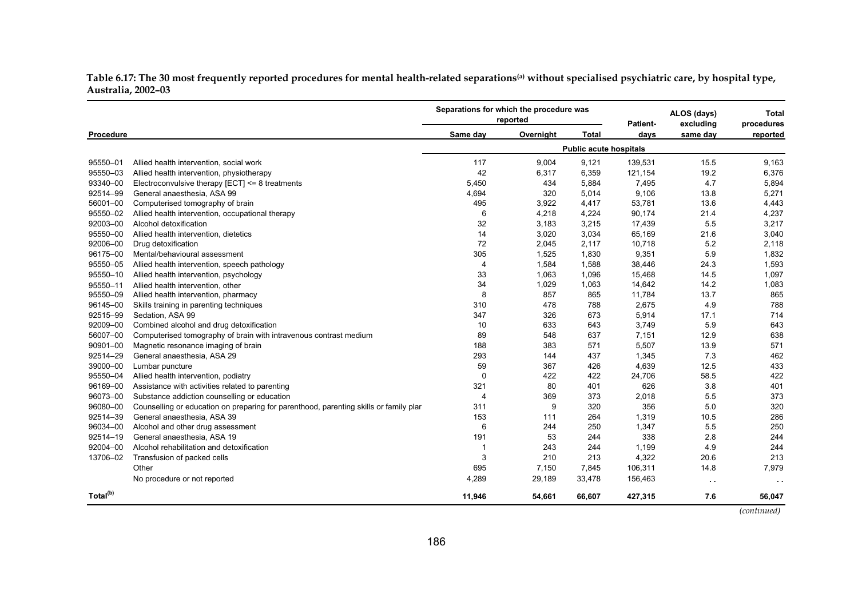Table 6.17: The 30 most frequently reported procedures for mental health-related separations<sup>(a)</sup> without specialised psychiatric care, by hospital type, **Australia, 2002–03** 

|                      |                                                                                       | Separations for which the procedure was | reported  | Patient-                      |         | ALOS (days)<br>excluding | <b>Total</b><br>procedures |
|----------------------|---------------------------------------------------------------------------------------|-----------------------------------------|-----------|-------------------------------|---------|--------------------------|----------------------------|
| Procedure            |                                                                                       | Same day                                | Overnight | <b>Total</b>                  | days    | same day                 | reported                   |
|                      |                                                                                       |                                         |           | <b>Public acute hospitals</b> |         |                          |                            |
| 95550-01             | Allied health intervention, social work                                               | 117                                     | 9,004     | 9,121                         | 139,531 | 15.5                     | 9,163                      |
| 95550-03             | Allied health intervention, physiotherapy                                             | 42                                      | 6,317     | 6,359                         | 121,154 | 19.2                     | 6,376                      |
| 93340-00             | Electroconvulsive therapy $[ECT] \leq 8$ treatments                                   | 5,450                                   | 434       | 5,884                         | 7,495   | 4.7                      | 5,894                      |
| 92514-99             | General anaesthesia, ASA 99                                                           | 4,694                                   | 320       | 5,014                         | 9,106   | 13.8                     | 5,271                      |
| 56001-00             | Computerised tomography of brain                                                      | 495                                     | 3,922     | 4,417                         | 53,781  | 13.6                     | 4,443                      |
| 95550-02             | Allied health intervention, occupational therapy                                      | 6                                       | 4,218     | 4,224                         | 90,174  | 21.4                     | 4,237                      |
| 92003-00             | Alcohol detoxification                                                                | 32                                      | 3,183     | 3,215                         | 17,439  | 5.5                      | 3,217                      |
| 95550-00             | Allied health intervention, dietetics                                                 | 14                                      | 3,020     | 3,034                         | 65,169  | 21.6                     | 3,040                      |
| 92006-00             | Drug detoxification                                                                   | 72                                      | 2,045     | 2,117                         | 10,718  | 5.2                      | 2,118                      |
| 96175-00             | Mental/behavioural assessment                                                         | 305                                     | 1,525     | 1,830                         | 9,351   | 5.9                      | 1,832                      |
| 95550-05             | Allied health intervention, speech pathology                                          | $\overline{4}$                          | 1,584     | 1,588                         | 38,446  | 24.3                     | 1,593                      |
| 95550-10             | Allied health intervention, psychology                                                | 33                                      | 1,063     | 1,096                         | 15,468  | 14.5                     | 1,097                      |
| 95550-11             | Allied health intervention, other                                                     | 34                                      | 1,029     | 1,063                         | 14,642  | 14.2                     | 1,083                      |
| 95550-09             | Allied health intervention, pharmacy                                                  | 8                                       | 857       | 865                           | 11,784  | 13.7                     | 865                        |
| 96145-00             | Skills training in parenting techniques                                               | 310                                     | 478       | 788                           | 2,675   | 4.9                      | 788                        |
| 92515-99             | Sedation, ASA 99                                                                      | 347                                     | 326       | 673                           | 5,914   | 17.1                     | 714                        |
| 92009-00             | Combined alcohol and drug detoxification                                              | 10                                      | 633       | 643                           | 3,749   | 5.9                      | 643                        |
| 56007-00             | Computerised tomography of brain with intravenous contrast medium                     | 89                                      | 548       | 637                           | 7,151   | 12.9                     | 638                        |
| 90901-00             | Magnetic resonance imaging of brain                                                   | 188                                     | 383       | 571                           | 5,507   | 13.9                     | 571                        |
| 92514-29             | General anaesthesia, ASA 29                                                           | 293                                     | 144       | 437                           | 1,345   | 7.3                      | 462                        |
| 39000-00             | Lumbar puncture                                                                       | 59                                      | 367       | 426                           | 4,639   | 12.5                     | 433                        |
| 95550-04             | Allied health intervention, podiatry                                                  | 0                                       | 422       | 422                           | 24,706  | 58.5                     | 422                        |
| 96169-00             | Assistance with activities related to parenting                                       | 321                                     | 80        | 401                           | 626     | 3.8                      | 401                        |
| 96073-00             | Substance addiction counselling or education                                          | $\overline{4}$                          | 369       | 373                           | 2,018   | 5.5                      | 373                        |
| 96080-00             | Counselling or education on preparing for parenthood, parenting skills or family plar | 311                                     | 9         | 320                           | 356     | 5.0                      | 320                        |
| 92514-39             | General anaesthesia, ASA 39                                                           | 153                                     | 111       | 264                           | 1,319   | 10.5                     | 286                        |
| 96034-00             | Alcohol and other drug assessment                                                     | 6                                       | 244       | 250                           | 1,347   | 5.5                      | 250                        |
| 92514-19             | General anaesthesia. ASA 19                                                           | 191                                     | 53        | 244                           | 338     | 2.8                      | 244                        |
| 92004-00             | Alcohol rehabilitation and detoxification                                             | $\mathbf{1}$                            | 243       | 244                           | 1,199   | 4.9                      | 244                        |
| 13706-02             | Transfusion of packed cells                                                           | 3                                       | 210       | 213                           | 4,322   | 20.6                     | 213                        |
|                      | Other                                                                                 | 695                                     | 7,150     | 7,845                         | 106,311 | 14.8                     | 7,979                      |
|                      | No procedure or not reported                                                          | 4,289                                   | 29,189    | 33,478                        | 156,463 | $\sim$ $\sim$            | $\sim$ $\sim$              |
| Total <sup>(b)</sup> |                                                                                       | 11,946                                  | 54,661    | 66,607                        | 427,315 | 7.6                      | 56,047                     |

*(continued)*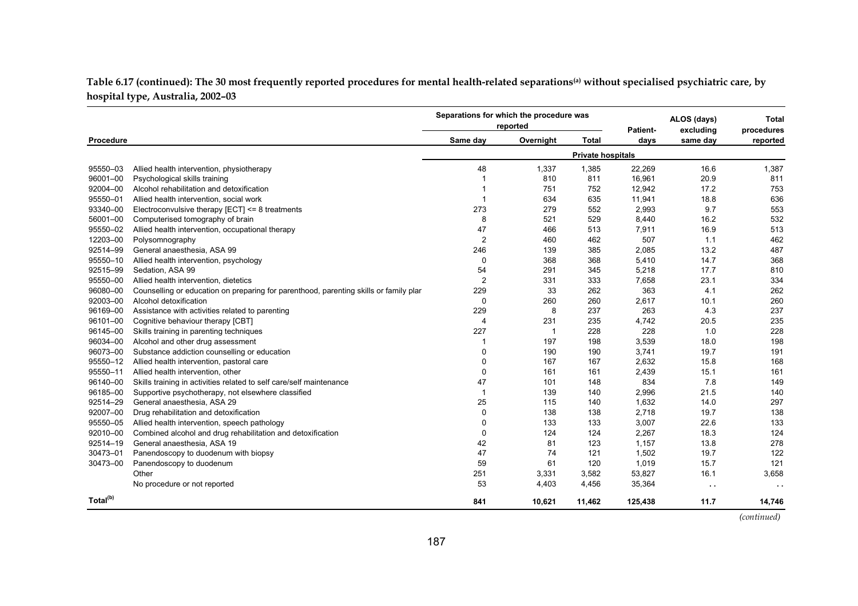Table 6.17 (continued): The 30 most frequently reported procedures for mental health-related separations<sup>(a)</sup> without specialised psychiatric care, by **hospital type, Australia, 2002–03**

|                      |                                                                                       | Separations for which the procedure was | reported  |                          | Patient- | ALOS (days)<br>excluding | <b>Total</b><br>procedures |
|----------------------|---------------------------------------------------------------------------------------|-----------------------------------------|-----------|--------------------------|----------|--------------------------|----------------------------|
| Procedure            |                                                                                       | Same day                                | Overnight | <b>Total</b>             | davs     | same day                 | reported                   |
|                      |                                                                                       |                                         |           | <b>Private hospitals</b> |          |                          |                            |
| 95550-03             | Allied health intervention, physiotherapy                                             | 48                                      | 1,337     | 1,385                    | 22,269   | 16.6                     | 1,387                      |
| 96001-00             | Psychological skills training                                                         |                                         | 810       | 811                      | 16,961   | 20.9                     | 811                        |
| 92004-00             | Alcohol rehabilitation and detoxification                                             | -1                                      | 751       | 752                      | 12,942   | 17.2                     | 753                        |
| 95550-01             | Allied health intervention, social work                                               |                                         | 634       | 635                      | 11,941   | 18.8                     | 636                        |
| 93340-00             | Electroconvulsive therapy [ECT] <= 8 treatments                                       | 273                                     | 279       | 552                      | 2,993    | 9.7                      | 553                        |
| 56001-00             | Computerised tomography of brain                                                      | 8                                       | 521       | 529                      | 8,440    | 16.2                     | 532                        |
| 95550-02             | Allied health intervention, occupational therapy                                      | 47                                      | 466       | 513                      | 7,911    | 16.9                     | 513                        |
| 12203-00             | Polysomnography                                                                       | $\overline{2}$                          | 460       | 462                      | 507      | 1.1                      | 462                        |
| 92514-99             | General anaesthesia, ASA 99                                                           | 246                                     | 139       | 385                      | 2,085    | 13.2                     | 487                        |
| 95550-10             | Allied health intervention, psychology                                                | 0                                       | 368       | 368                      | 5,410    | 14.7                     | 368                        |
| 92515-99             | Sedation, ASA 99                                                                      | 54                                      | 291       | 345                      | 5,218    | 17.7                     | 810                        |
| 95550-00             | Allied health intervention, dietetics                                                 | $\overline{2}$                          | 331       | 333                      | 7,658    | 23.1                     | 334                        |
| 96080-00             | Counselling or education on preparing for parenthood, parenting skills or family plar | 229                                     | 33        | 262                      | 363      | 4.1                      | 262                        |
| 92003-00             | Alcohol detoxification                                                                | 0                                       | 260       | 260                      | 2,617    | 10.1                     | 260                        |
| 96169-00             | Assistance with activities related to parenting                                       | 229                                     | 8         | 237                      | 263      | 4.3                      | 237                        |
| 96101-00             | Cognitive behaviour therapy [CBT]                                                     | $\overline{4}$                          | 231       | 235                      | 4,742    | 20.5                     | 235                        |
| 96145-00             | Skills training in parenting techniques                                               | 227                                     | -1        | 228                      | 228      | 1.0                      | 228                        |
| 96034-00             | Alcohol and other drug assessment                                                     | -1                                      | 197       | 198                      | 3,539    | 18.0                     | 198                        |
| 96073-00             | Substance addiction counselling or education                                          | 0                                       | 190       | 190                      | 3,741    | 19.7                     | 191                        |
| 95550-12             | Allied health intervention, pastoral care                                             | 0                                       | 167       | 167                      | 2,632    | 15.8                     | 168                        |
| 95550-11             | Allied health intervention, other                                                     | 0                                       | 161       | 161                      | 2,439    | 15.1                     | 161                        |
| 96140-00             | Skills training in activities related to self care/self maintenance                   | 47                                      | 101       | 148                      | 834      | 7.8                      | 149                        |
| 96185-00             | Supportive psychotherapy, not elsewhere classified                                    | $\overline{1}$                          | 139       | 140                      | 2,996    | 21.5                     | 140                        |
| 92514-29             | General anaesthesia, ASA 29                                                           | 25                                      | 115       | 140                      | 1,632    | 14.0                     | 297                        |
| 92007-00             | Drug rehabilitation and detoxification                                                | 0                                       | 138       | 138                      | 2,718    | 19.7                     | 138                        |
| 95550-05             | Allied health intervention, speech pathology                                          | 0                                       | 133       | 133                      | 3,007    | 22.6                     | 133                        |
| 92010-00             | Combined alcohol and drug rehabilitation and detoxification                           | 0                                       | 124       | 124                      | 2,267    | 18.3                     | 124                        |
| 92514-19             | General anaesthesia, ASA 19                                                           | 42                                      | 81        | 123                      | 1,157    | 13.8                     | 278                        |
| 30473-01             | Panendoscopy to duodenum with biopsy                                                  | 47                                      | 74        | 121                      | 1,502    | 19.7                     | 122                        |
| 30473-00             | Panendoscopy to duodenum                                                              | 59                                      | 61        | 120                      | 1,019    | 15.7                     | 121                        |
|                      | Other                                                                                 | 251                                     | 3,331     | 3,582                    | 53,827   | 16.1                     | 3,658                      |
|                      | No procedure or not reported                                                          | 53                                      | 4,403     | 4,456                    | 35,364   | $\sim$ $\sim$            | $\sim$ $\sim$              |
| Total <sup>(b)</sup> |                                                                                       | 841                                     | 10,621    | 11,462                   | 125,438  | 11.7                     | 14,746                     |

 *(continued)*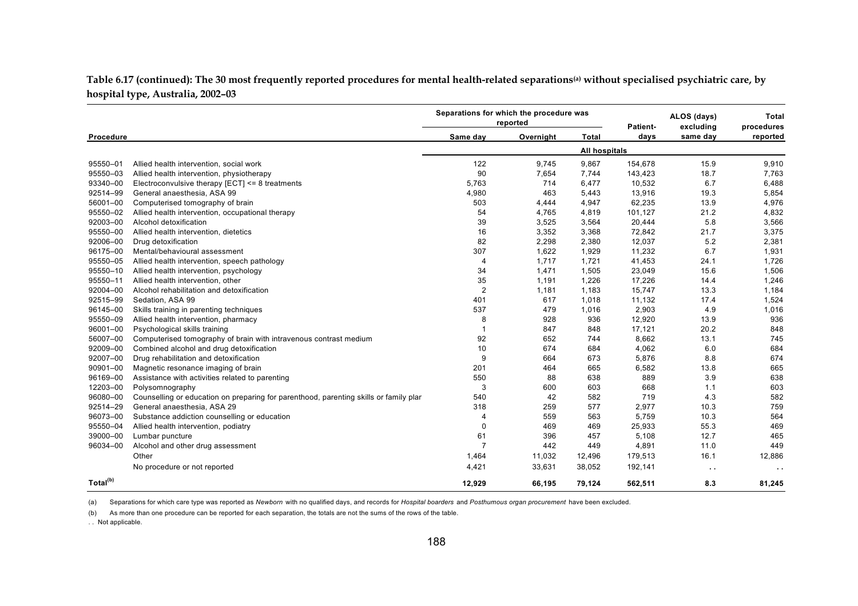**Table 6.17 (continued): The 30 most frequently reported procedures for mental health-related separations(a) without specialised psychiatric care, by hospital type, Australia, 2002–03**

|                      |                                                                                       | Separations for which the procedure was | reported  |                      | Patient- | ALOS (days)<br>excluding | Total<br>procedures |
|----------------------|---------------------------------------------------------------------------------------|-----------------------------------------|-----------|----------------------|----------|--------------------------|---------------------|
| Procedure            |                                                                                       | Same day                                | Overnight | <b>Total</b>         | days     | same day                 | reported            |
|                      |                                                                                       |                                         |           | <b>All hospitals</b> |          |                          |                     |
| 95550-01             | Allied health intervention, social work                                               | 122                                     | 9,745     | 9,867                | 154,678  | 15.9                     | 9,910               |
| 95550-03             | Allied health intervention, physiotherapy                                             | 90                                      | 7,654     | 7,744                | 143,423  | 18.7                     | 7,763               |
| 93340-00             | Electroconvulsive therapy $[ECT] \leq 8$ treatments                                   | 5,763                                   | 714       | 6,477                | 10,532   | 6.7                      | 6,488               |
| 92514-99             | General anaesthesia, ASA 99                                                           | 4,980                                   | 463       | 5,443                | 13,916   | 19.3                     | 5,854               |
| 56001-00             | Computerised tomography of brain                                                      | 503                                     | 4,444     | 4,947                | 62,235   | 13.9                     | 4,976               |
| 95550-02             | Allied health intervention, occupational therapy                                      | 54                                      | 4,765     | 4,819                | 101,127  | 21.2                     | 4,832               |
| 92003-00             | Alcohol detoxification                                                                | 39                                      | 3,525     | 3,564                | 20,444   | 5.8                      | 3,566               |
| 95550-00             | Allied health intervention, dietetics                                                 | 16                                      | 3,352     | 3,368                | 72,842   | 21.7                     | 3,375               |
| 92006-00             | Drug detoxification                                                                   | 82                                      | 2,298     | 2,380                | 12,037   | 5.2                      | 2,381               |
| 96175-00             | Mental/behavioural assessment                                                         | 307                                     | 1,622     | 1,929                | 11,232   | 6.7                      | 1,931               |
| 95550-05             | Allied health intervention, speech pathology                                          | 4                                       | 1,717     | 1,721                | 41,453   | 24.1                     | 1,726               |
| 95550-10             | Allied health intervention, psychology                                                | 34                                      | 1,471     | 1,505                | 23,049   | 15.6                     | 1,506               |
| 95550-11             | Allied health intervention, other                                                     | 35                                      | 1,191     | 1,226                | 17,226   | 14.4                     | 1,246               |
| 92004-00             | Alcohol rehabilitation and detoxification                                             | $\overline{2}$                          | 1,181     | 1,183                | 15,747   | 13.3                     | 1,184               |
| 92515-99             | Sedation, ASA 99                                                                      | 401                                     | 617       | 1,018                | 11,132   | 17.4                     | 1,524               |
| 96145-00             | Skills training in parenting techniques                                               | 537                                     | 479       | 1,016                | 2,903    | 4.9                      | 1,016               |
| 95550-09             | Allied health intervention, pharmacy                                                  | 8                                       | 928       | 936                  | 12,920   | 13.9                     | 936                 |
| 96001-00             | Psychological skills training                                                         | $\overline{1}$                          | 847       | 848                  | 17,121   | 20.2                     | 848                 |
| 56007-00             | Computerised tomography of brain with intravenous contrast medium                     | 92                                      | 652       | 744                  | 8,662    | 13.1                     | 745                 |
| 92009-00             | Combined alcohol and drug detoxification                                              | 10                                      | 674       | 684                  | 4,062    | 6.0                      | 684                 |
| 92007-00             | Drug rehabilitation and detoxification                                                | 9                                       | 664       | 673                  | 5,876    | 8.8                      | 674                 |
| 90901-00             | Magnetic resonance imaging of brain                                                   | 201                                     | 464       | 665                  | 6,582    | 13.8                     | 665                 |
| 96169-00             | Assistance with activities related to parenting                                       | 550                                     | 88        | 638                  | 889      | 3.9                      | 638                 |
| 12203-00             | Polysomnography                                                                       | 3                                       | 600       | 603                  | 668      | 1.1                      | 603                 |
| 96080-00             | Counselling or education on preparing for parenthood, parenting skills or family plar | 540                                     | 42        | 582                  | 719      | 4.3                      | 582                 |
| 92514-29             | General anaesthesia, ASA 29                                                           | 318                                     | 259       | 577                  | 2,977    | 10.3                     | 759                 |
| 96073-00             | Substance addiction counselling or education                                          | 4                                       | 559       | 563                  | 5,759    | 10.3                     | 564                 |
| 95550-04             | Allied health intervention, podiatry                                                  | 0                                       | 469       | 469                  | 25,933   | 55.3                     | 469                 |
| 39000-00             | Lumbar puncture                                                                       | 61                                      | 396       | 457                  | 5,108    | 12.7                     | 465                 |
| 96034-00             | Alcohol and other drug assessment                                                     | $\overline{7}$                          | 442       | 449                  | 4,891    | 11.0                     | 449                 |
|                      | Other                                                                                 | 1,464                                   | 11,032    | 12,496               | 179,513  | 16.1                     | 12,886              |
|                      | No procedure or not reported                                                          | 4,421                                   | 33,631    | 38,052               | 192,141  | $\sim$ $\sim$            | $\sim$ $\sim$       |
| Total <sup>(b)</sup> |                                                                                       | 12,929                                  | 66,195    | 79,124               | 562,511  | 8.3                      | 81,245              |

(a) Separations for which care type was reported as *Newborn* with no qualified days, and records for *Hospital boarders* and *Posthumous organ procurement* have been excluded.

(b) As more than one procedure can be reported for each separation, the totals are not the sums of the rows of the table.

. . Not applicable.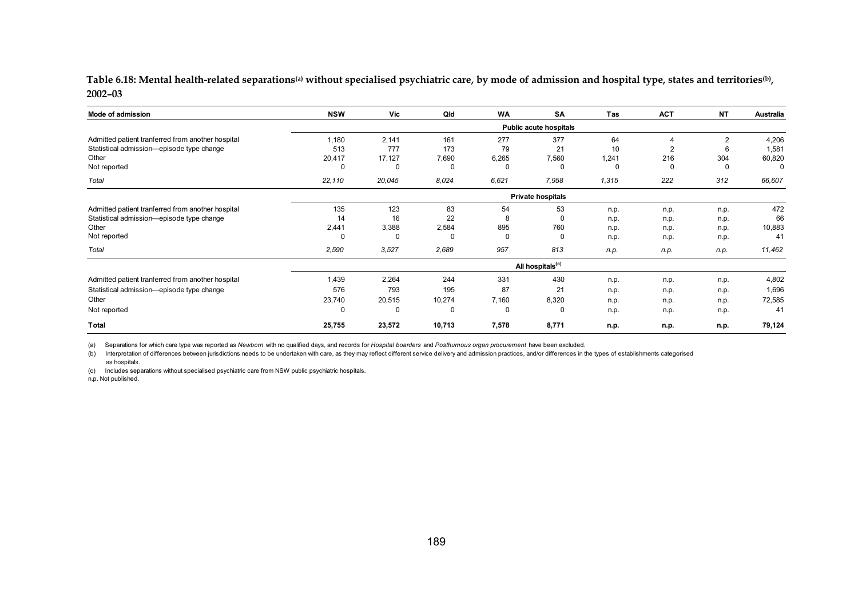Table 6.18: Mental health-related separations<sup>(a)</sup> without specialised psychiatric care, by mode of admission and hospital type, states and territories<sup>(b)</sup>, **2002–03**

| Mode of admission                                 | <b>NSW</b> | Vic          | Qld      | <b>WA</b> | SA                           | Tas      | <b>ACT</b> | <b>NT</b> | Australia |
|---------------------------------------------------|------------|--------------|----------|-----------|------------------------------|----------|------------|-----------|-----------|
|                                                   |            |              |          |           | Public acute hospitals       |          |            |           |           |
| Admitted patient tranferred from another hospital | 1,180      | 2,141        | 161      | 277       | 377                          | 64       | 4          | 2         | 4,206     |
| Statistical admission-episode type change         | 513        | 777          | 173      | 79        | 21                           | 10       | 2          | 6         | 1,581     |
| Other                                             | 20,417     | 17,127       | 7,690    | 6,265     | 7,560                        | 1,241    | 216        | 304       | 60,820    |
| Not reported                                      |            | $\Omega$     | $\Omega$ | $\Omega$  | $\Omega$                     | $\Omega$ | $\Omega$   | $\Omega$  | C         |
| Total                                             | 22,110     | 20,045       | 8,024    | 6,621     | 7,958                        | 1,315    | 222        | 312       | 66,607    |
|                                                   |            |              |          |           | Private hospitals            |          |            |           |           |
| Admitted patient tranferred from another hospital | 135        | 123          | 83       | 54        | 53                           | n.p.     | n.p.       | n.p.      | 472       |
| Statistical admission-episode type change         | 14         | 16           | 22       | 8         | $\Omega$                     | n.p.     | n.p.       | n.p.      | 66        |
| Other                                             | 2,441      | 3,388        | 2,584    | 895       | 760                          | n.p.     | n.p.       | n.p.      | 10,883    |
| Not reported                                      |            | <sup>0</sup> | 0        | $\Omega$  | $\Omega$                     | n.p.     | n.p.       | n.p.      | 41        |
| Total                                             | 2,590      | 3,527        | 2,689    | 957       | 813                          | n.p.     | n.p.       | n.p.      | 11,462    |
|                                                   |            |              |          |           | All hospitals <sup>(c)</sup> |          |            |           |           |
| Admitted patient tranferred from another hospital | 1,439      | 2,264        | 244      | 331       | 430                          | n.p.     | n.p.       | n.p.      | 4,802     |
| Statistical admission-episode type change         | 576        | 793          | 195      | 87        | 21                           | n.p.     | n.p.       | n.p.      | 1,696     |
| Other                                             | 23,740     | 20,515       | 10,274   | 7,160     | 8,320                        | n.p.     | n.p.       | n.p.      | 72,585    |
| Not reported                                      | 0          | $\Omega$     | $\Omega$ | 0         | 0                            | n.p.     | n.p.       | n.p.      | 41        |
| Total                                             | 25,755     | 23,572       | 10,713   | 7,578     | 8,771                        | n.p.     | n.p.       | n.p.      | 79,124    |

(a) Separations for which care type was reported as *Newborn* with no qualified days, and records for *Hospital boarders* and *Posthumous organ procurement* have been excluded.

(b) Interpretation of differences between jurisdictions needs to be undertaken with care, as they may reflect different service delivery and admission practices, and/or differences in the types of establishments categorise as hospitals.

(c) Includes separations without specialised psychiatric care from NSW public psychiatric hospitals.

n.p. Not published.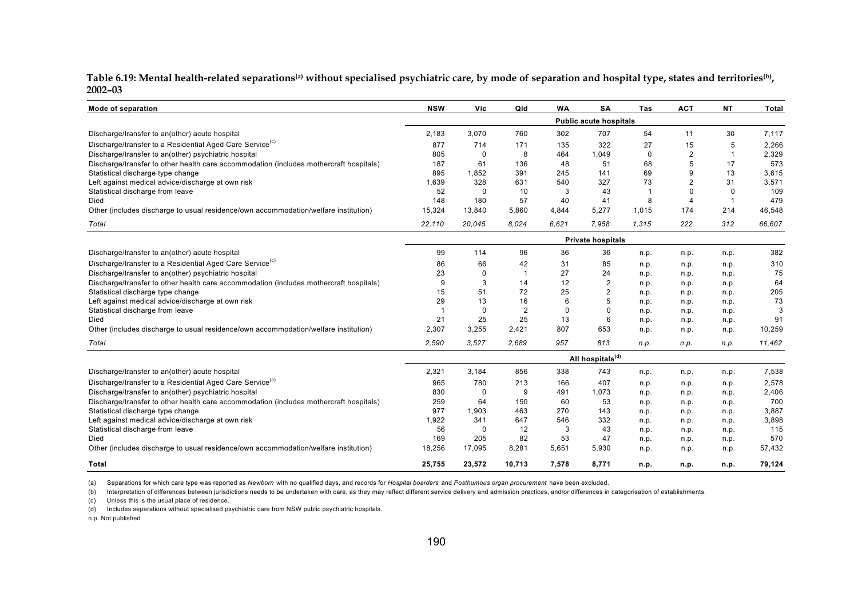Table 6.19: Mental health-related separations<sup>(a)</sup> without specialised psychiatric care, by mode of separation and hospital type, states and territories<sup>(b)</sup>, **2002–03**

| Mode of separation                                                                     | <b>NSW</b>     | Vic    | Qld                                                                                                                                                                                                                                                                                                                                                                                                                                                                                                                                                                                                                                                                                                                                                                                                                                                                                                                                                                                                                                                                                                                                                                                                                                                                                                          | <b>WA</b> | SA    | Tas  | <b>ACT</b> | <b>NT</b> | <b>Total</b> |
|----------------------------------------------------------------------------------------|----------------|--------|--------------------------------------------------------------------------------------------------------------------------------------------------------------------------------------------------------------------------------------------------------------------------------------------------------------------------------------------------------------------------------------------------------------------------------------------------------------------------------------------------------------------------------------------------------------------------------------------------------------------------------------------------------------------------------------------------------------------------------------------------------------------------------------------------------------------------------------------------------------------------------------------------------------------------------------------------------------------------------------------------------------------------------------------------------------------------------------------------------------------------------------------------------------------------------------------------------------------------------------------------------------------------------------------------------------|-----------|-------|------|------------|-----------|--------------|
|                                                                                        |                |        | <b>Public acute hospitals</b><br>760<br>302<br>707<br>54<br>11<br>30<br>322<br>27<br>171<br>135<br>15<br>5<br>8<br>464<br>1.049<br>$\mathbf 0$<br>$\overline{2}$<br>0<br>$\mathbf 1$<br>5<br>136<br>51<br>68<br>17<br>48<br>9<br>13<br>391<br>245<br>141<br>69<br>$\overline{2}$<br>31<br>631<br>540<br>327<br>73<br>10<br>43<br>$\overline{1}$<br>$\Omega$<br>$\Omega$<br>0<br>3<br>57<br>40<br>41<br>8<br>$\overline{4}$<br>$\mathbf 1$<br>5,860<br>4,844<br>5,277<br>1,015<br>174<br>214<br>8.024<br>6,621<br>7.958<br>1,315<br>222<br>312<br><b>Private hospitals</b><br>96<br>36<br>36<br>n.p.<br>n.p.<br>n.p.<br>42<br>31<br>85<br>n.p.<br>n.p.<br>n.p.<br>27<br>0<br>24<br>n.p.<br>n.p.<br>n.p.<br>3<br>12<br>$\overline{2}$<br>14<br>n.p.<br>n.p.<br>n.p.<br>72<br>25<br>$\overline{2}$<br>n.p.<br>n.p.<br>n.p.<br>16<br>5<br>6<br>n.p.<br>n.p.<br>n.p.<br>2<br>$\mathbf 0$<br>$\Omega$<br>$\Omega$<br>n.p.<br>n.p.<br>n.p.<br>25<br>13<br>6<br>n.p.<br>n.p.<br>n.p.<br>2,421<br>653<br>807<br>n.p.<br>n.p.<br>n.p.<br>813<br>2,689<br>957<br>n.p.<br>n.p.<br>n.p.<br>All hospitals <sup>(d)</sup><br>856<br>338<br>743<br>n.p.<br>n.p.<br>n.p.<br>213<br>407<br>166<br>n.p.<br>n.p.<br>n.p.<br>9<br>$\mathbf{0}$<br>491<br>1.073<br>n.p.<br>n.p.<br>n.p.<br>150<br>60<br>53<br>n.p.<br>n.p.<br>n.p. |           |       |      |            |           |              |
| Discharge/transfer to an(other) acute hospital                                         | 2,183          | 3,070  |                                                                                                                                                                                                                                                                                                                                                                                                                                                                                                                                                                                                                                                                                                                                                                                                                                                                                                                                                                                                                                                                                                                                                                                                                                                                                                              |           |       |      |            |           | 7,117        |
| Discharge/transfer to a Residential Aged Care Service <sup>(c)</sup>                   | 877            | 714    |                                                                                                                                                                                                                                                                                                                                                                                                                                                                                                                                                                                                                                                                                                                                                                                                                                                                                                                                                                                                                                                                                                                                                                                                                                                                                                              |           |       |      |            |           | 2,266        |
| Discharge/transfer to an(other) psychiatric hospital                                   | 805            |        |                                                                                                                                                                                                                                                                                                                                                                                                                                                                                                                                                                                                                                                                                                                                                                                                                                                                                                                                                                                                                                                                                                                                                                                                                                                                                                              |           |       |      |            |           | 2,329        |
| Discharge/transfer to other health care accommodation (includes mothercraft hospitals) | 187            | 61     |                                                                                                                                                                                                                                                                                                                                                                                                                                                                                                                                                                                                                                                                                                                                                                                                                                                                                                                                                                                                                                                                                                                                                                                                                                                                                                              |           |       |      |            |           | 573          |
| Statistical discharge type change                                                      | 895            | 1,852  |                                                                                                                                                                                                                                                                                                                                                                                                                                                                                                                                                                                                                                                                                                                                                                                                                                                                                                                                                                                                                                                                                                                                                                                                                                                                                                              |           |       |      |            |           | 3,615        |
| Left against medical advice/discharge at own risk                                      | 1.639          | 328    |                                                                                                                                                                                                                                                                                                                                                                                                                                                                                                                                                                                                                                                                                                                                                                                                                                                                                                                                                                                                                                                                                                                                                                                                                                                                                                              |           |       |      |            |           | 3,571        |
| Statistical discharge from leave                                                       | 52             |        |                                                                                                                                                                                                                                                                                                                                                                                                                                                                                                                                                                                                                                                                                                                                                                                                                                                                                                                                                                                                                                                                                                                                                                                                                                                                                                              |           |       |      |            |           | 109          |
| Died                                                                                   | 148            | 180    |                                                                                                                                                                                                                                                                                                                                                                                                                                                                                                                                                                                                                                                                                                                                                                                                                                                                                                                                                                                                                                                                                                                                                                                                                                                                                                              |           |       |      |            |           | 479          |
| Other (includes discharge to usual residence/own accommodation/welfare institution)    | 15,324         | 13,840 |                                                                                                                                                                                                                                                                                                                                                                                                                                                                                                                                                                                                                                                                                                                                                                                                                                                                                                                                                                                                                                                                                                                                                                                                                                                                                                              |           |       |      |            |           | 46,548       |
| Total                                                                                  | 22,110         | 20,045 |                                                                                                                                                                                                                                                                                                                                                                                                                                                                                                                                                                                                                                                                                                                                                                                                                                                                                                                                                                                                                                                                                                                                                                                                                                                                                                              |           |       |      |            |           | 66,607       |
|                                                                                        |                |        |                                                                                                                                                                                                                                                                                                                                                                                                                                                                                                                                                                                                                                                                                                                                                                                                                                                                                                                                                                                                                                                                                                                                                                                                                                                                                                              |           |       |      |            |           |              |
| Discharge/transfer to an(other) acute hospital                                         | 99             | 114    |                                                                                                                                                                                                                                                                                                                                                                                                                                                                                                                                                                                                                                                                                                                                                                                                                                                                                                                                                                                                                                                                                                                                                                                                                                                                                                              |           |       |      |            |           | 382          |
| Discharge/transfer to a Residential Aged Care Service <sup>(c)</sup>                   | 86             | 66     |                                                                                                                                                                                                                                                                                                                                                                                                                                                                                                                                                                                                                                                                                                                                                                                                                                                                                                                                                                                                                                                                                                                                                                                                                                                                                                              |           |       |      |            |           | 310          |
| Discharge/transfer to an(other) psychiatric hospital                                   | 23             |        |                                                                                                                                                                                                                                                                                                                                                                                                                                                                                                                                                                                                                                                                                                                                                                                                                                                                                                                                                                                                                                                                                                                                                                                                                                                                                                              |           |       |      |            |           | 75           |
| Discharge/transfer to other health care accommodation (includes mothercraft hospitals) | 9              |        |                                                                                                                                                                                                                                                                                                                                                                                                                                                                                                                                                                                                                                                                                                                                                                                                                                                                                                                                                                                                                                                                                                                                                                                                                                                                                                              |           |       |      |            |           | 64           |
| Statistical discharge type change                                                      | 15             | 51     |                                                                                                                                                                                                                                                                                                                                                                                                                                                                                                                                                                                                                                                                                                                                                                                                                                                                                                                                                                                                                                                                                                                                                                                                                                                                                                              |           |       |      |            |           | 205          |
| Left against medical advice/discharge at own risk                                      | 29             | 13     |                                                                                                                                                                                                                                                                                                                                                                                                                                                                                                                                                                                                                                                                                                                                                                                                                                                                                                                                                                                                                                                                                                                                                                                                                                                                                                              |           |       |      |            |           | 73           |
| Statistical discharge from leave                                                       | $\overline{1}$ |        |                                                                                                                                                                                                                                                                                                                                                                                                                                                                                                                                                                                                                                                                                                                                                                                                                                                                                                                                                                                                                                                                                                                                                                                                                                                                                                              |           |       |      |            |           | 3            |
| Died                                                                                   | 21             | 25     |                                                                                                                                                                                                                                                                                                                                                                                                                                                                                                                                                                                                                                                                                                                                                                                                                                                                                                                                                                                                                                                                                                                                                                                                                                                                                                              |           |       |      |            |           | 91           |
| Other (includes discharge to usual residence/own accommodation/welfare institution)    | 2,307          | 3,255  |                                                                                                                                                                                                                                                                                                                                                                                                                                                                                                                                                                                                                                                                                                                                                                                                                                                                                                                                                                                                                                                                                                                                                                                                                                                                                                              |           |       |      |            |           | 10,259       |
| Total                                                                                  | 2,590          | 3,527  |                                                                                                                                                                                                                                                                                                                                                                                                                                                                                                                                                                                                                                                                                                                                                                                                                                                                                                                                                                                                                                                                                                                                                                                                                                                                                                              |           |       |      |            |           | 11,462       |
|                                                                                        |                |        |                                                                                                                                                                                                                                                                                                                                                                                                                                                                                                                                                                                                                                                                                                                                                                                                                                                                                                                                                                                                                                                                                                                                                                                                                                                                                                              |           |       |      |            |           |              |
| Discharge/transfer to an(other) acute hospital                                         | 2,321          | 3,184  |                                                                                                                                                                                                                                                                                                                                                                                                                                                                                                                                                                                                                                                                                                                                                                                                                                                                                                                                                                                                                                                                                                                                                                                                                                                                                                              |           |       |      |            |           | 7,538        |
| Discharge/transfer to a Residential Aged Care Service <sup>(c)</sup>                   | 965            | 780    |                                                                                                                                                                                                                                                                                                                                                                                                                                                                                                                                                                                                                                                                                                                                                                                                                                                                                                                                                                                                                                                                                                                                                                                                                                                                                                              |           |       |      |            |           | 2,578        |
| Discharge/transfer to an(other) psychiatric hospital                                   | 830            |        |                                                                                                                                                                                                                                                                                                                                                                                                                                                                                                                                                                                                                                                                                                                                                                                                                                                                                                                                                                                                                                                                                                                                                                                                                                                                                                              |           |       |      |            |           | 2,406        |
| Discharge/transfer to other health care accommodation (includes mothercraft hospitals) | 259            | 64     |                                                                                                                                                                                                                                                                                                                                                                                                                                                                                                                                                                                                                                                                                                                                                                                                                                                                                                                                                                                                                                                                                                                                                                                                                                                                                                              |           |       |      |            |           | 700          |
| Statistical discharge type change                                                      | 977            | 1,903  | 463                                                                                                                                                                                                                                                                                                                                                                                                                                                                                                                                                                                                                                                                                                                                                                                                                                                                                                                                                                                                                                                                                                                                                                                                                                                                                                          | 270       | 143   | n.p. | n.p.       | n.p.      | 3,887        |
| Left against medical advice/discharge at own risk                                      | 1,922          | 341    | 647                                                                                                                                                                                                                                                                                                                                                                                                                                                                                                                                                                                                                                                                                                                                                                                                                                                                                                                                                                                                                                                                                                                                                                                                                                                                                                          | 546       | 332   | n.p. | n.p.       | n.p.      | 3,898        |
| Statistical discharge from leave                                                       | 56             | 0      | 12                                                                                                                                                                                                                                                                                                                                                                                                                                                                                                                                                                                                                                                                                                                                                                                                                                                                                                                                                                                                                                                                                                                                                                                                                                                                                                           | 3         | 43    | n.p. | n.p.       | n.p.      | 115          |
| Died                                                                                   | 169            | 205    | 82                                                                                                                                                                                                                                                                                                                                                                                                                                                                                                                                                                                                                                                                                                                                                                                                                                                                                                                                                                                                                                                                                                                                                                                                                                                                                                           | 53        | 47    | n.p. | n.p.       | n.p.      | 570          |
| Other (includes discharge to usual residence/own accommodation/welfare institution)    | 18,256         | 17,095 | 8,281                                                                                                                                                                                                                                                                                                                                                                                                                                                                                                                                                                                                                                                                                                                                                                                                                                                                                                                                                                                                                                                                                                                                                                                                                                                                                                        | 5,651     | 5,930 | n.p. | n.p.       | n.p.      | 57,432       |
| Total                                                                                  | 25,755         | 23,572 | 10,713                                                                                                                                                                                                                                                                                                                                                                                                                                                                                                                                                                                                                                                                                                                                                                                                                                                                                                                                                                                                                                                                                                                                                                                                                                                                                                       | 7,578     | 8,771 | n.p. | n.p.       | n.p.      | 79,124       |

(a) Separations for which care type was reported as *Newborn* with no qualified days, and records for *Hospital boarders* and *Posthumous organ procurement* have been excluded.

(b) Interpretation of differences between jurisdictions needs to be undertaken with care, as they may reflect different service delivery and admission practices, and/or differences in categorisation of establishments.

(c) Unless this is the usual place of residence.

(d) Includes separations without specialised psychiatric care from NSW public psychiatric hospitals.

n.p. Not published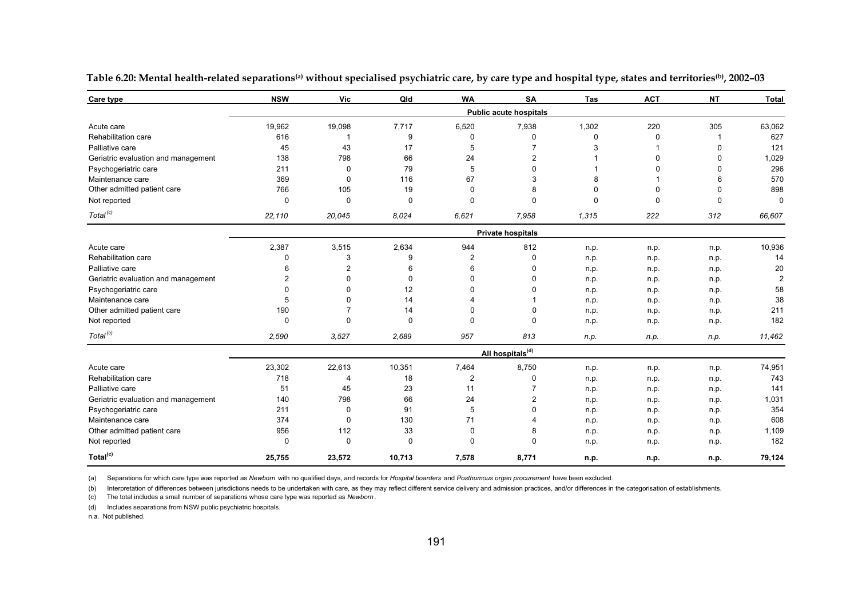| Care type                           | <b>NSW</b>     | Vic            | Qld         | <b>WA</b>      | <b>SA</b>                     | Tas      | <b>ACT</b> | <b>NT</b> | <b>Total</b>   |
|-------------------------------------|----------------|----------------|-------------|----------------|-------------------------------|----------|------------|-----------|----------------|
|                                     |                |                |             |                | <b>Public acute hospitals</b> |          |            |           |                |
| Acute care                          | 19,962         | 19,098         | 7.717       | 6,520          | 7,938                         | 1,302    | 220        | 305       | 63,062         |
| Rehabilitation care                 | 616            | 1              | 9           | 0              | $\Omega$                      | $\Omega$ | $\Omega$   |           | 627            |
| Palliative care                     | 45             | 43             | 17          | 5              |                               | 3        | 1          | $\Omega$  | 121            |
| Geriatric evaluation and management | 138            | 798            | 66          | 24             | $\overline{2}$                |          | $\Omega$   | U         | 1,029          |
| Psychogeriatric care                | 211            | $\mathbf 0$    | 79          | 5              | $\Omega$                      |          | 0          | $\Omega$  | 296            |
| Maintenance care                    | 369            | $\mathbf 0$    | 116         | 67             | 3                             | 8        |            | 6         | 570            |
| Other admitted patient care         | 766            | 105            | 19          | $\mathbf 0$    | 8                             | $\Omega$ | 0          | $\Omega$  | 898            |
| Not reported                        | 0              | $\mathbf 0$    | $\mathbf 0$ | 0              | $\Omega$                      | 0        | $\Omega$   | $\Omega$  | $\Omega$       |
| Total <sup>(c)</sup>                | 22,110         | 20,045         | 8.024       | 6,621          | 7,958                         | 1,315    | 222        | 312       | 66,607         |
|                                     |                |                |             |                | <b>Private hospitals</b>      |          |            |           |                |
| Acute care                          | 2,387          | 3,515          | 2,634       | 944            | 812                           | n.p.     | n.p.       | n.p.      | 10,936         |
| Rehabilitation care                 | 0              | 3              | 9           | $\overline{2}$ | $\mathbf 0$                   | n.p.     | n.p.       | n.p.      | 14             |
| Palliative care                     | 6              | $\overline{2}$ | 6           | 6              | $\Omega$                      | n.p.     | n.p.       | n.p.      | 20             |
| Geriatric evaluation and management | $\overline{2}$ | $\mathbf 0$    | $\Omega$    | $\Omega$       | n                             | n.p.     | n.p.       | n.p.      | $\overline{2}$ |
| Psychogeriatric care                | n              | $\Omega$       | 12          | O              |                               | n.p.     | n.p.       | n.p.      | 58             |
| Maintenance care                    | 5              | $\Omega$       | 14          |                |                               | n.p.     | n.p.       | n.p.      | 38             |
| Other admitted patient care         | 190            | $\overline{7}$ | 14          | $\Omega$       |                               | n.p.     | n.p.       | n.p.      | 211            |
| Not reported                        | 0              | $\Omega$       | $\mathbf 0$ | $\Omega$       | $\Omega$                      | n.p.     | n.p.       | n.p.      | 182            |
| Total <sup>(c)</sup>                | 2,590          | 3,527          | 2,689       | 957            | 813                           | n.p.     | n.p.       | n.p.      | 11,462         |
|                                     |                |                |             |                | All hospitals <sup>(d)</sup>  |          |            |           |                |
| Acute care                          | 23,302         | 22,613         | 10,351      | 7,464          | 8,750                         | n.p.     | n.p.       | n.p.      | 74,951         |
| Rehabilitation care                 | 718            | 4              | 18          | $\mathbf{2}$   | $\Omega$                      | n.p.     | n.p.       | n.p.      | 743            |
| Palliative care                     | 51             | 45             | 23          | 11             |                               | n.p.     | n.p.       | n.p.      | 141            |
| Geriatric evaluation and management | 140            | 798            | 66          | 24             | $\overline{2}$                | n.p.     | n.p.       | n.p.      | 1,031          |
| Psychogeriatric care                | 211            | $\mathbf 0$    | 91          | 5              | $\Omega$                      | n.p.     | n.p.       | n.p.      | 354            |
| Maintenance care                    | 374            | $\mathbf 0$    | 130         | 71             |                               | n.p.     | n.p.       | n.p.      | 608            |
| Other admitted patient care         | 956            | 112            | 33          | 0              | 8                             | n.p.     | n.p.       | n.p.      | 1,109          |
| Not reported                        | 0              | $\mathbf 0$    | $\Omega$    | 0              | $\Omega$                      | n.p.     | n.p.       | n.p.      | 182            |
| Total <sup>(c)</sup>                | 25,755         | 23,572         | 10,713      | 7,578          | 8,771                         | n.p.     | n.p.       | n.p.      | 79,124         |

Table 6.20: Mental health-related separations<sup>(a)</sup> without specialised psychiatric care, by care type and hospital type, states and territories<sup>(b)</sup>, 2002-03

(a) Separations for which care type was reported as *Newborn* with no qualified days, and records for *Hospital boarders* and *Posthumous organ procurement* have been excluded.

(b) Interpretation of differences between jurisdictions needs to be undertaken with care, as they may reflect different service delivery and admission practices, and/or differences in the categorisation of establishments.

(c) The total includes a small number of separations whose care type was reported as *Newborn*.

(d) Includes separations from NSW public psychiatric hospitals.

n.a. Not published.